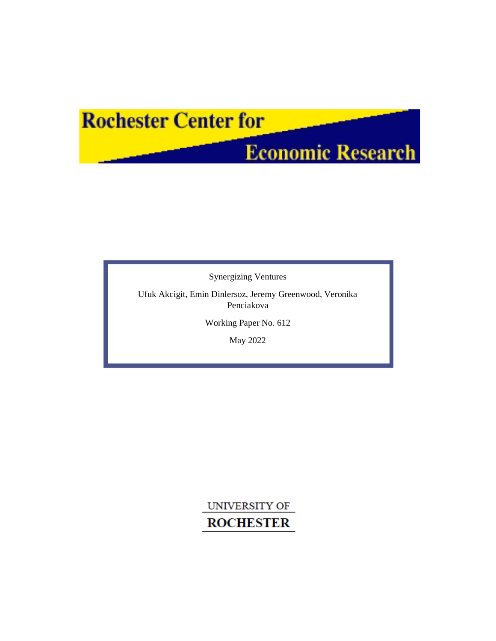# **Rochester Center for**

# **Economic Research**

Synergizing Ventures

Ufuk Akcigit, Emin Dinlersoz, Jeremy Greenwood, Veronika Penciakova

Working Paper No. 612

May 2022

UNIVERSITY OF **ROCHESTER**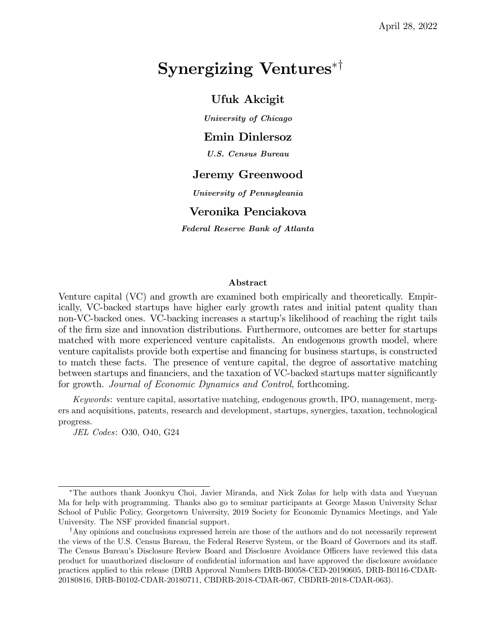# Synergizing Ventures<sup> $*$ †</sup>

## Ufuk Akcigit

University of Chicago

## Emin Dinlersoz

U.S. Census Bureau

## Jeremy Greenwood

University of Pennsylvania

### Veronika Penciakova

Federal Reserve Bank of Atlanta

### Abstract

Venture capital (VC) and growth are examined both empirically and theoretically. Empirically, VC-backed startups have higher early growth rates and initial patent quality than non-VC-backed ones. VC-backing increases a startup's likelihood of reaching the right tails of the Örm size and innovation distributions. Furthermore, outcomes are better for startups matched with more experienced venture capitalists. An endogenous growth model, where venture capitalists provide both expertise and financing for business startups, is constructed to match these facts. The presence of venture capital, the degree of assortative matching between startups and financiers, and the taxation of VC-backed startups matter significantly for growth. Journal of Economic Dynamics and Control, forthcoming.

Keywords: venture capital, assortative matching, endogenous growth, IPO, management, mergers and acquisitions, patents, research and development, startups, synergies, taxation, technological progress.

JEL Codes: O30, O40, G24

The authors thank Joonkyu Choi, Javier Miranda, and Nick Zolas for help with data and Yueyuan Ma for help with programming. Thanks also go to seminar participants at George Mason University Schar School of Public Policy, Georgetown University, 2019 Society for Economic Dynamics Meetings, and Yale University. The NSF provided financial support.

<sup>&</sup>lt;sup>†</sup>Any opinions and conclusions expressed herein are those of the authors and do not necessarily represent the views of the U.S. Census Bureau, the Federal Reserve System, or the Board of Governors and its staff. The Census Bureau's Disclosure Review Board and Disclosure Avoidance Officers have reviewed this data product for unauthorized disclosure of confidential information and have approved the disclosure avoidance practices applied to this release (DRB Approval Numbers DRB-B0058-CED-20190605, DRB-B0116-CDAR-20180816, DRB-B0102-CDAR-20180711, CBDRB-2018-CDAR-067, CBDRB-2018-CDAR-063).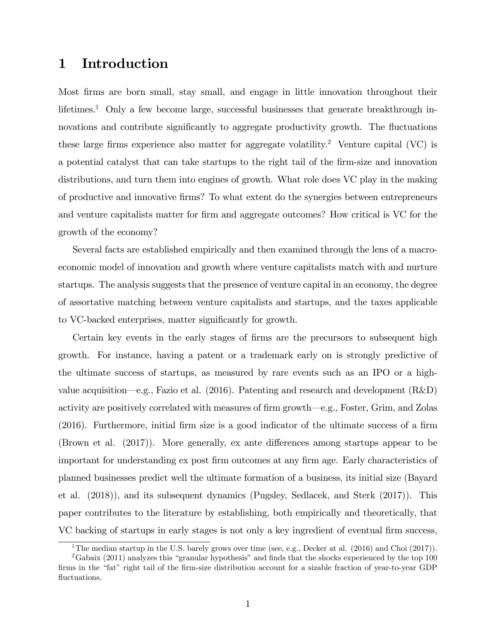## 1 Introduction

Most firms are born small, stay small, and engage in little innovation throughout their lifetimes.<sup>1</sup> Only a few become large, successful businesses that generate breakthrough innovations and contribute significantly to aggregate productivity growth. The fluctuations these large firms experience also matter for aggregate volatility.<sup>2</sup> Venture capital (VC) is a potential catalyst that can take startups to the right tail of the firm-size and innovation distributions, and turn them into engines of growth. What role does VC play in the making of productive and innovative Örms? To what extent do the synergies between entrepreneurs and venture capitalists matter for firm and aggregate outcomes? How critical is VC for the growth of the economy?

Several facts are established empirically and then examined through the lens of a macroeconomic model of innovation and growth where venture capitalists match with and nurture startups. The analysis suggests that the presence of venture capital in an economy, the degree of assortative matching between venture capitalists and startups, and the taxes applicable to VC-backed enterprises, matter significantly for growth.

Certain key events in the early stages of firms are the precursors to subsequent high growth. For instance, having a patent or a trademark early on is strongly predictive of the ultimate success of startups, as measured by rare events such as an IPO or a highvalue acquisition—e.g., Fazio et al. (2016). Patenting and research and development  $(R&D)$ activity are positively correlated with measures of firm growth—e.g., Foster, Grim, and Zolas  $(2016)$ . Furthermore, initial firm size is a good indicator of the ultimate success of a firm (Brown et al.  $(2017)$ ). More generally, ex ante differences among startups appear to be important for understanding ex post firm outcomes at any firm age. Early characteristics of planned businesses predict well the ultimate formation of a business, its initial size (Bayard et al. (2018)), and its subsequent dynamics (Pugsley, Sedlacek, and Sterk (2017)). This paper contributes to the literature by establishing, both empirically and theoretically, that VC backing of startups in early stages is not only a key ingredient of eventual firm success,

<sup>&</sup>lt;sup>1</sup>The median startup in the U.S. barely grows over time (see, e.g., Decker at al.  $(2016)$  and Choi  $(2017)$ ).

<sup>&</sup>lt;sup>2</sup>Gabaix (2011) analyzes this "granular hypothesis" and finds that the shocks experienced by the top 100 firms in the "fat" right tail of the firm-size distribution account for a sizable fraction of year-to-year GDP fluctuations.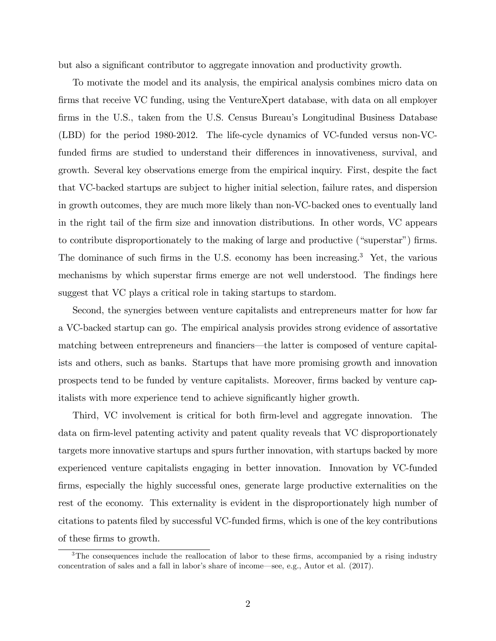but also a significant contributor to aggregate innovation and productivity growth.

To motivate the model and its analysis, the empirical analysis combines micro data on firms that receive VC funding, using the VentureXpert database, with data on all employer firms in the U.S., taken from the U.S. Census Bureau's Longitudinal Business Database (LBD) for the period 1980-2012. The life-cycle dynamics of VC-funded versus non-VCfunded firms are studied to understand their differences in innovativeness, survival, and growth. Several key observations emerge from the empirical inquiry. First, despite the fact that VC-backed startups are subject to higher initial selection, failure rates, and dispersion in growth outcomes, they are much more likely than non-VC-backed ones to eventually land in the right tail of the Örm size and innovation distributions. In other words, VC appears to contribute disproportionately to the making of large and productive ("superstar") firms. The dominance of such firms in the U.S. economy has been increasing.<sup>3</sup> Yet, the various mechanisms by which superstar firms emerge are not well understood. The findings here suggest that VC plays a critical role in taking startups to stardom.

Second, the synergies between venture capitalists and entrepreneurs matter for how far a VC-backed startup can go. The empirical analysis provides strong evidence of assortative matching between entrepreneurs and financiers—the latter is composed of venture capitalists and others, such as banks. Startups that have more promising growth and innovation prospects tend to be funded by venture capitalists. Moreover, Örms backed by venture capitalists with more experience tend to achieve significantly higher growth.

Third, VC involvement is critical for both firm-level and aggregate innovation. The data on firm-level patenting activity and patent quality reveals that VC disproportionately targets more innovative startups and spurs further innovation, with startups backed by more experienced venture capitalists engaging in better innovation. Innovation by VC-funded firms, especially the highly successful ones, generate large productive externalities on the rest of the economy. This externality is evident in the disproportionately high number of citations to patents Öled by successful VC-funded Örms, which is one of the key contributions of these firms to growth.

<sup>&</sup>lt;sup>3</sup>The consequences include the reallocation of labor to these firms, accompanied by a rising industry concentration of sales and a fall in labor's share of income—see, e.g., Autor et al.  $(2017)$ .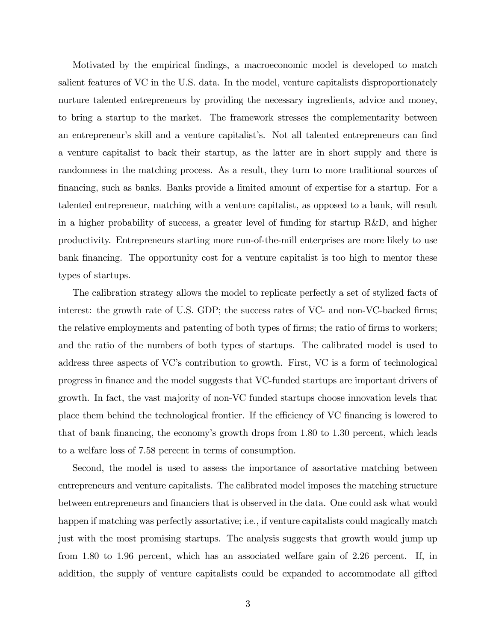Motivated by the empirical Öndings, a macroeconomic model is developed to match salient features of VC in the U.S. data. In the model, venture capitalists disproportionately nurture talented entrepreneurs by providing the necessary ingredients, advice and money, to bring a startup to the market. The framework stresses the complementarity between an entrepreneur's skill and a venture capitalist's. Not all talented entrepreneurs can find a venture capitalist to back their startup, as the latter are in short supply and there is randomness in the matching process. As a result, they turn to more traditional sources of Önancing, such as banks. Banks provide a limited amount of expertise for a startup. For a talented entrepreneur, matching with a venture capitalist, as opposed to a bank, will result in a higher probability of success, a greater level of funding for startup R&D, and higher productivity. Entrepreneurs starting more run-of-the-mill enterprises are more likely to use bank financing. The opportunity cost for a venture capitalist is too high to mentor these types of startups.

The calibration strategy allows the model to replicate perfectly a set of stylized facts of interest: the growth rate of U.S. GDP; the success rates of VC- and non-VC-backed firms; the relative employments and patenting of both types of firms; the ratio of firms to workers; and the ratio of the numbers of both types of startups. The calibrated model is used to address three aspects of VC's contribution to growth. First, VC is a form of technological progress in Önance and the model suggests that VC-funded startups are important drivers of growth. In fact, the vast majority of non-VC funded startups choose innovation levels that place them behind the technological frontier. If the efficiency of VC financing is lowered to that of bank financing, the economy's growth drops from  $1.80$  to  $1.30$  percent, which leads to a welfare loss of 7.58 percent in terms of consumption.

Second, the model is used to assess the importance of assortative matching between entrepreneurs and venture capitalists. The calibrated model imposes the matching structure between entrepreneurs and financiers that is observed in the data. One could ask what would happen if matching was perfectly assortative; i.e., if venture capitalists could magically match just with the most promising startups. The analysis suggests that growth would jump up from 1.80 to 1.96 percent, which has an associated welfare gain of 2.26 percent. If, in addition, the supply of venture capitalists could be expanded to accommodate all gifted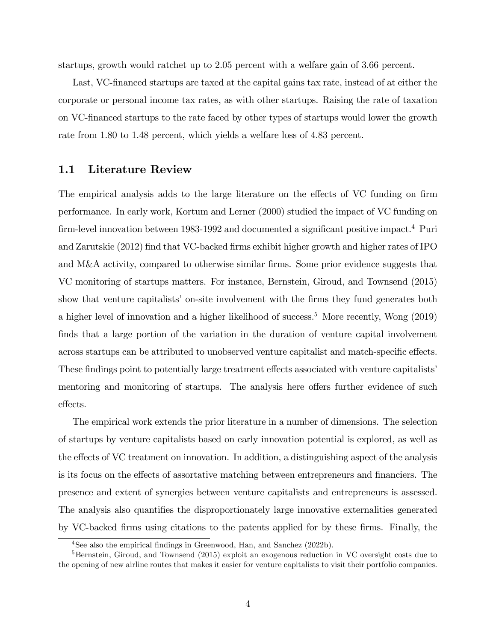startups, growth would ratchet up to 2.05 percent with a welfare gain of 3.66 percent.

Last, VC-financed startups are taxed at the capital gains tax rate, instead of at either the corporate or personal income tax rates, as with other startups. Raising the rate of taxation on VC-Önanced startups to the rate faced by other types of startups would lower the growth rate from 1.80 to 1.48 percent, which yields a welfare loss of 4.83 percent.

## 1.1 Literature Review

The empirical analysis adds to the large literature on the effects of VC funding on firm performance. In early work, Kortum and Lerner (2000) studied the impact of VC funding on firm-level innovation between 1983-1992 and documented a significant positive impact.<sup>4</sup> Puri and Zarutskie (2012) find that VC-backed firms exhibit higher growth and higher rates of IPO and M&A activity, compared to otherwise similar firms. Some prior evidence suggests that VC monitoring of startups matters. For instance, Bernstein, Giroud, and Townsend (2015) show that venture capitalists' on-site involvement with the firms they fund generates both a higher level of innovation and a higher likelihood of success.<sup>5</sup> More recently, Wong  $(2019)$ finds that a large portion of the variation in the duration of venture capital involvement across startups can be attributed to unobserved venture capitalist and match-specific effects. These findings point to potentially large treatment effects associated with venture capitalists' mentoring and monitoring of startups. The analysis here offers further evidence of such effects.

The empirical work extends the prior literature in a number of dimensions. The selection of startups by venture capitalists based on early innovation potential is explored, as well as the effects of VC treatment on innovation. In addition, a distinguishing aspect of the analysis is its focus on the effects of assortative matching between entrepreneurs and financiers. The presence and extent of synergies between venture capitalists and entrepreneurs is assessed. The analysis also quantifies the disproportionately large innovative externalities generated by VC-backed Örms using citations to the patents applied for by these Örms. Finally, the

<sup>&</sup>lt;sup>4</sup>See also the empirical findings in Greenwood, Han, and Sanchez (2022b).

 ${}^{5}$ Bernstein, Giroud, and Townsend (2015) exploit an exogenous reduction in VC oversight costs due to the opening of new airline routes that makes it easier for venture capitalists to visit their portfolio companies.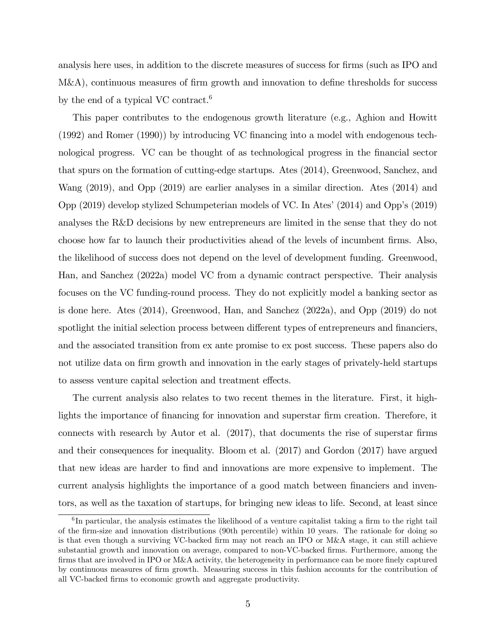analysis here uses, in addition to the discrete measures of success for firms (such as IPO and  $M&A$ , continuous measures of firm growth and innovation to define thresholds for success by the end of a typical VC contract.<sup>6</sup>

This paper contributes to the endogenous growth literature (e.g., Aghion and Howitt (1992) and Romer (1990)) by introducing VC Önancing into a model with endogenous technological progress. VC can be thought of as technological progress in the Önancial sector that spurs on the formation of cutting-edge startups. Ates (2014), Greenwood, Sanchez, and Wang (2019), and Opp (2019) are earlier analyses in a similar direction. Ates (2014) and Opp (2019) develop stylized Schumpeterian models of VC. In Atesí(2014) and Oppís (2019) analyses the R&D decisions by new entrepreneurs are limited in the sense that they do not choose how far to launch their productivities ahead of the levels of incumbent Örms. Also, the likelihood of success does not depend on the level of development funding. Greenwood, Han, and Sanchez (2022a) model VC from a dynamic contract perspective. Their analysis focuses on the VC funding-round process. They do not explicitly model a banking sector as is done here. Ates (2014), Greenwood, Han, and Sanchez (2022a), and Opp (2019) do not spotlight the initial selection process between different types of entrepreneurs and financiers, and the associated transition from ex ante promise to ex post success. These papers also do not utilize data on firm growth and innovation in the early stages of privately-held startups to assess venture capital selection and treatment effects.

The current analysis also relates to two recent themes in the literature. First, it highlights the importance of financing for innovation and superstar firm creation. Therefore, it connects with research by Autor et al.  $(2017)$ , that documents the rise of superstar firms and their consequences for inequality. Bloom et al. (2017) and Gordon (2017) have argued that new ideas are harder to Önd and innovations are more expensive to implement. The current analysis highlights the importance of a good match between financiers and inventors, as well as the taxation of startups, for bringing new ideas to life. Second, at least since

 ${}^{6}$ In particular, the analysis estimates the likelihood of a venture capitalist taking a firm to the right tail of the Örm-size and innovation distributions (90th percentile) within 10 years. The rationale for doing so is that even though a surviving VC-backed Örm may not reach an IPO or M&A stage, it can still achieve substantial growth and innovation on average, compared to non-VC-backed firms. Furthermore, among the firms that are involved in IPO or M&A activity, the heterogeneity in performance can be more finely captured by continuous measures of Örm growth. Measuring success in this fashion accounts for the contribution of all VC-backed firms to economic growth and aggregate productivity.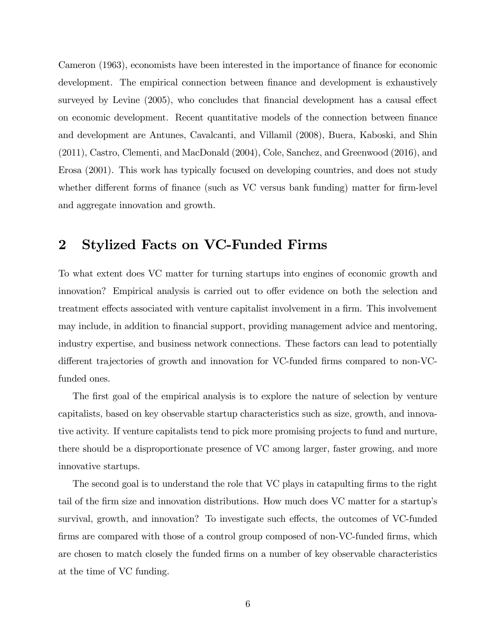Cameron (1963), economists have been interested in the importance of finance for economic development. The empirical connection between finance and development is exhaustively surveyed by Levine  $(2005)$ , who concludes that financial development has a causal effect on economic development. Recent quantitative models of the connection between finance and development are Antunes, Cavalcanti, and Villamil (2008), Buera, Kaboski, and Shin (2011), Castro, Clementi, and MacDonald (2004), Cole, Sanchez, and Greenwood (2016), and Erosa (2001). This work has typically focused on developing countries, and does not study whether different forms of finance (such as VC versus bank funding) matter for firm-level and aggregate innovation and growth.

## 2 Stylized Facts on VC-Funded Firms

To what extent does VC matter for turning startups into engines of economic growth and innovation? Empirical analysis is carried out to offer evidence on both the selection and treatment effects associated with venture capitalist involvement in a firm. This involvement may include, in addition to financial support, providing management advice and mentoring, industry expertise, and business network connections. These factors can lead to potentially different trajectories of growth and innovation for VC-funded firms compared to non-VCfunded ones.

The first goal of the empirical analysis is to explore the nature of selection by venture capitalists, based on key observable startup characteristics such as size, growth, and innovative activity. If venture capitalists tend to pick more promising projects to fund and nurture, there should be a disproportionate presence of VC among larger, faster growing, and more innovative startups.

The second goal is to understand the role that VC plays in catapulting firms to the right tail of the firm size and innovation distributions. How much does VC matter for a startup's survival, growth, and innovation? To investigate such effects, the outcomes of VC-funded firms are compared with those of a control group composed of non-VC-funded firms, which are chosen to match closely the funded Örms on a number of key observable characteristics at the time of VC funding.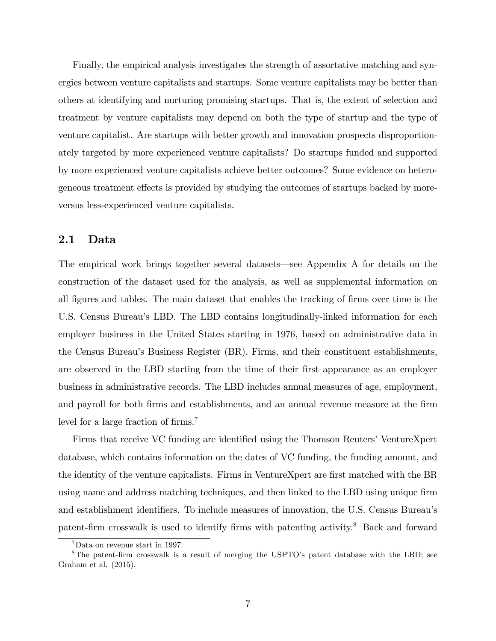Finally, the empirical analysis investigates the strength of assortative matching and synergies between venture capitalists and startups. Some venture capitalists may be better than others at identifying and nurturing promising startups. That is, the extent of selection and treatment by venture capitalists may depend on both the type of startup and the type of venture capitalist. Are startups with better growth and innovation prospects disproportionately targeted by more experienced venture capitalists? Do startups funded and supported by more experienced venture capitalists achieve better outcomes? Some evidence on heterogeneous treatment effects is provided by studying the outcomes of startups backed by moreversus less-experienced venture capitalists.

## 2.1 Data

The empirical work brings together several datasets—see Appendix A for details on the construction of the dataset used for the analysis, as well as supplemental information on all figures and tables. The main dataset that enables the tracking of firms over time is the U.S. Census Bureau's LBD. The LBD contains longitudinally-linked information for each employer business in the United States starting in 1976, based on administrative data in the Census Bureauís Business Register (BR). Firms, and their constituent establishments, are observed in the LBD starting from the time of their first appearance as an employer business in administrative records. The LBD includes annual measures of age, employment, and payroll for both firms and establishments, and an annual revenue measure at the firm level for a large fraction of firms.<sup>7</sup>

Firms that receive VC funding are identified using the Thomson Reuters<sup>†</sup> VentureXpert database, which contains information on the dates of VC funding, the funding amount, and the identity of the venture capitalists. Firms in VentureXpert are first matched with the BR using name and address matching techniques, and then linked to the LBD using unique firm and establishment identifiers. To include measures of innovation, the U.S. Census Bureau's patent-firm crosswalk is used to identify firms with patenting activity.<sup>8</sup> Back and forward

<sup>7</sup>Data on revenue start in 1997.

<sup>&</sup>lt;sup>8</sup>The patent-firm crosswalk is a result of merging the USPTO's patent database with the LBD; see Graham et al. (2015).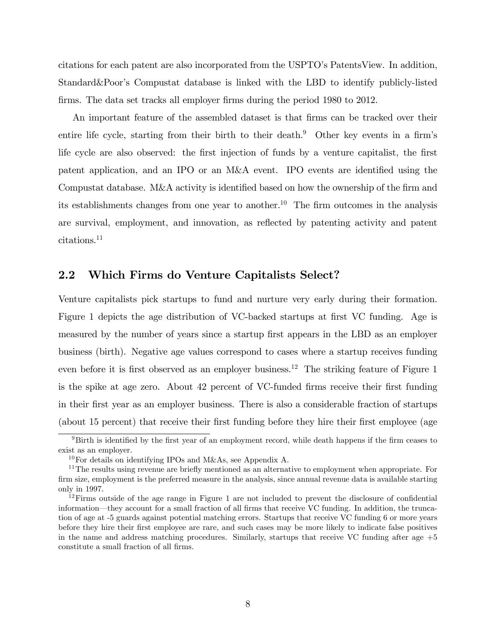citations for each patent are also incorporated from the USPTO's PatentsView. In addition, Standard&Poorís Compustat database is linked with the LBD to identify publicly-listed firms. The data set tracks all employer firms during the period 1980 to 2012.

An important feature of the assembled dataset is that Örms can be tracked over their entire life cycle, starting from their birth to their death.<sup>9</sup> Other key events in a firm's life cycle are also observed: the first injection of funds by a venture capitalist, the first patent application, and an IPO or an M&A event. IPO events are identified using the Compustat database. M&A activity is identified based on how the ownership of the firm and its establishments changes from one year to another.<sup>10</sup> The firm outcomes in the analysis are survival, employment, and innovation, as reflected by patenting activity and patent citations.<sup>11</sup>

### 2.2 Which Firms do Venture Capitalists Select?

Venture capitalists pick startups to fund and nurture very early during their formation. Figure 1 depicts the age distribution of VC-backed startups at first VC funding. Age is measured by the number of years since a startup first appears in the LBD as an employer business (birth). Negative age values correspond to cases where a startup receives funding even before it is first observed as an employer business.<sup>12</sup> The striking feature of Figure 1 is the spike at age zero. About 42 percent of VC-funded firms receive their first funding in their first year as an employer business. There is also a considerable fraction of startups (about 15 percent) that receive their first funding before they hire their first employee (age

 $9$ Birth is identified by the first year of an employment record, while death happens if the firm ceases to exist as an employer.

<sup>&</sup>lt;sup>10</sup>For details on identifying IPOs and M&As, see Appendix A.

 $11$ The results using revenue are briefly mentioned as an alternative to employment when appropriate. For Örm size, employment is the preferred measure in the analysis, since annual revenue data is available starting only in 1997.

 $12$ Firms outside of the age range in Figure 1 are not included to prevent the disclosure of confidential information—they account for a small fraction of all firms that receive VC funding. In addition, the truncation of age at -5 guards against potential matching errors. Startups that receive VC funding 6 or more years before they hire their Örst employee are rare, and such cases may be more likely to indicate false positives in the name and address matching procedures. Similarly, startups that receive VC funding after age +5 constitute a small fraction of all firms.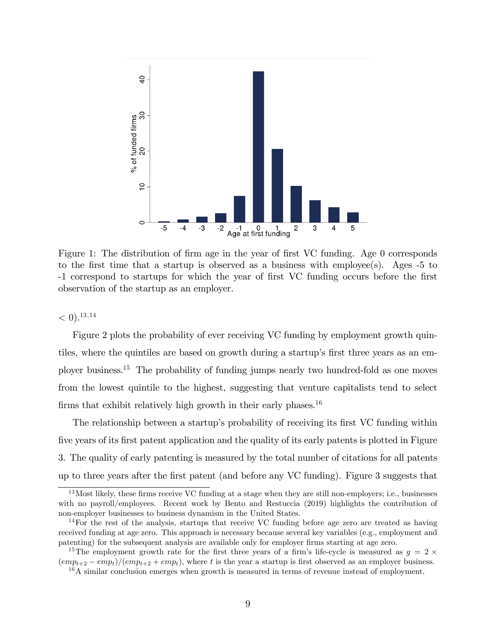

Figure 1: The distribution of firm age in the year of first VC funding. Age 0 corresponds to the first time that a startup is observed as a business with employee(s). Ages  $-5$  to -1 correspond to startups for which the year of first VC funding occurs before the first observation of the startup as an employer.

 $< 0$ ).<sup>13,14</sup>

Figure 2 plots the probability of ever receiving VC funding by employment growth quintiles, where the quintiles are based on growth during a startup's first three years as an employer business.<sup>15</sup> The probability of funding jumps nearly two hundred-fold as one moves from the lowest quintile to the highest, suggesting that venture capitalists tend to select firms that exhibit relatively high growth in their early phases.<sup>16</sup>

The relationship between a startup's probability of receiving its first VC funding within five years of its first patent application and the quality of its early patents is plotted in Figure 3. The quality of early patenting is measured by the total number of citations for all patents up to three years after the Örst patent (and before any VC funding). Figure 3 suggests that

 $13$ Most likely, these firms receive VC funding at a stage when they are still non-employers; i.e., businesses with no payroll/employees. Recent work by Bento and Restuccia (2019) highlights the contribution of non-employer businesses to business dynamism in the United States.

 $14$  For the rest of the analysis, startups that receive VC funding before age zero are treated as having received funding at age zero. This approach is necessary because several key variables (e.g., employment and patenting) for the subsequent analysis are available only for employer firms starting at age zero.

<sup>&</sup>lt;sup>15</sup>The employment growth rate for the first three years of a firm's life-cycle is measured as  $g = 2 \times$  $\frac{1}{(emp_{t+2} - emp_t)}$   $\frac{1}{(emp_{t+2} + emp_t)}$ , where t is the year a startup is first observed as an employer business.

 $16A$  similar conclusion emerges when growth is measured in terms of revenue instead of employment.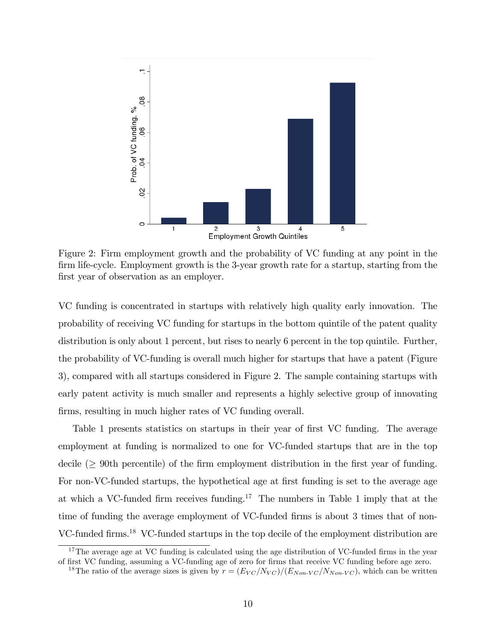

Figure 2: Firm employment growth and the probability of VC funding at any point in the firm life-cycle. Employment growth is the 3-year growth rate for a startup, starting from the first year of observation as an employer.

VC funding is concentrated in startups with relatively high quality early innovation. The probability of receiving VC funding for startups in the bottom quintile of the patent quality distribution is only about 1 percent, but rises to nearly 6 percent in the top quintile. Further, the probability of VC-funding is overall much higher for startups that have a patent (Figure 3), compared with all startups considered in Figure 2. The sample containing startups with early patent activity is much smaller and represents a highly selective group of innovating firms, resulting in much higher rates of VC funding overall.

Table 1 presents statistics on startups in their year of first VC funding. The average employment at funding is normalized to one for VC-funded startups that are in the top decile ( $\geq$  90th percentile) of the firm employment distribution in the first year of funding. For non-VC-funded startups, the hypothetical age at first funding is set to the average age at which a VC-funded firm receives funding.<sup>17</sup> The numbers in Table 1 imply that at the time of funding the average employment of VC-funded firms is about 3 times that of non-VC-funded firms.<sup>18</sup> VC-funded startups in the top decile of the employment distribution are

 $17$ The average age at VC funding is calculated using the age distribution of VC-funded firms in the year of first VC funding, assuming a VC-funding age of zero for firms that receive VC funding before age zero.

<sup>&</sup>lt;sup>18</sup>The ratio of the average sizes is given by  $r = (E_{VC}/N_{VC})/(E_{Non\text{-}VC}/N_{Non\text{-}VC})$ , which can be written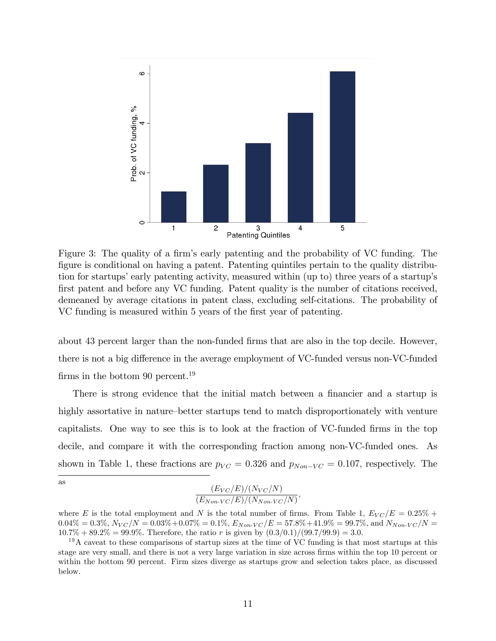

Figure 3: The quality of a firm's early patenting and the probability of VC funding. The figure is conditional on having a patent. Patenting quintiles pertain to the quality distribution for startups' early patenting activity, measured within (up to) three years of a startup's first patent and before any VC funding. Patent quality is the number of citations received, demeaned by average citations in patent class, excluding self-citations. The probability of VC funding is measured within 5 years of the first year of patenting.

about 43 percent larger than the non-funded firms that are also in the top decile. However, there is not a big difference in the average employment of VC-funded versus non-VC-funded firms in the bottom 90 percent.<sup>19</sup>

There is strong evidence that the initial match between a financier and a startup is highly assortative in nature-better startups tend to match disproportionately with venture capitalists. One way to see this is to look at the fraction of VC-funded firms in the top decile, and compare it with the corresponding fraction among non-VC-funded ones. As shown in Table 1, these fractions are  $p_{VC} = 0.326$  and  $p_{Non-VC} = 0.107$ , respectively. The

$$
\frac{(E_{VC}/E)/(N_{VC}/N)}{(E_{Non\text{-}VC}/E)/(N_{Non\text{-}VC}/N)},
$$

as

where E is the total employment and N is the total number of firms. From Table 1,  $E_{VC}/E = 0.25\% +$  $0.04\% = 0.3\%, N_{VC}/N = 0.03\% + 0.07\% = 0.1\%, E_{Non-VC}/E = 57.8\% + 41.9\% = 99.7\%, \text{ and } N_{Non-VC}/N = 0.03\% + 0.07\% = 0.1\%$  $10.7\% + 89.2\% = 99.9\%.$  Therefore, the ratio r is given by  $(0.3/0.1)/(99.7/99.9) = 3.0.$ 

 $19A$  caveat to these comparisons of startup sizes at the time of VC funding is that most startups at this stage are very small, and there is not a very large variation in size across firms within the top 10 percent or within the bottom 90 percent. Firm sizes diverge as startups grow and selection takes place, as discussed below.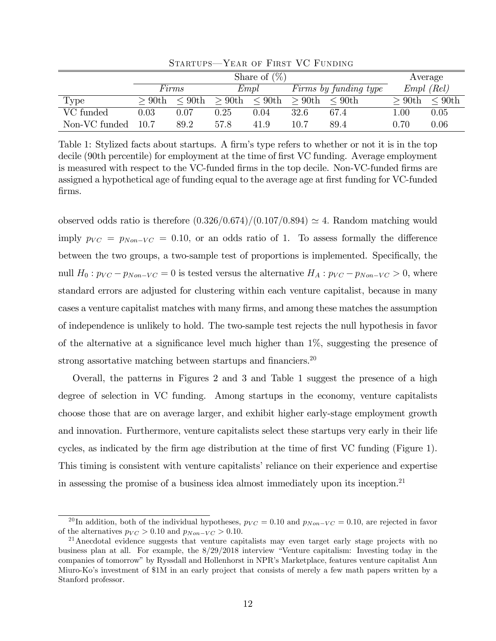|               | Share of $(\%)$ |              |          |              |          |                       |          | Average      |
|---------------|-----------------|--------------|----------|--------------|----------|-----------------------|----------|--------------|
|               |                 | Firms        |          | Empl         |          | Firms by funding type |          | $Empl$ (Rel) |
| Type          | $>90$ th        | $\leq 90$ th | $>90$ th | $\leq 90$ th | $>90$ th | $\leq 90$ th          | $>90$ th | $\leq 90$ th |
| VC funded     | $\rm 0.03$      | 0.07         | 0.25     | 0.04         | 32.6     | 67.4                  | $1.00\,$ | 0.05         |
| Non-VC funded | 10.7            | 89.2         | 57.8     | 41.9         | 10.7     | 89.4                  | 0.70     | 0.06         |

STARTUPS-YEAR OF FIRST VC FUNDING

Table 1: Stylized facts about startups. A firm's type refers to whether or not it is in the top decile (90th percentile) for employment at the time of first VC funding. Average employment is measured with respect to the VC-funded firms in the top decile. Non-VC-funded firms are assigned a hypothetical age of funding equal to the average age at first funding for VC-funded Örms.

observed odds ratio is therefore  $(0.326/0.674)/(0.107/0.894) \approx 4$ . Random matching would imply  $p_{VC} = p_{Non-VC} = 0.10$ , or an odds ratio of 1. To assess formally the difference between the two groups, a two-sample test of proportions is implemented. Specifically, the null  $H_0: p_{VC} - p_{Non-VC} = 0$  is tested versus the alternative  $H_A: p_{VC} - p_{Non-VC} > 0$ , where standard errors are adjusted for clustering within each venture capitalist, because in many cases a venture capitalist matches with many Örms, and among these matches the assumption of independence is unlikely to hold. The two-sample test rejects the null hypothesis in favor of the alternative at a significance level much higher than  $1\%$ , suggesting the presence of strong assortative matching between startups and financiers.<sup>20</sup>

Overall, the patterns in Figures 2 and 3 and Table 1 suggest the presence of a high degree of selection in VC funding. Among startups in the economy, venture capitalists choose those that are on average larger, and exhibit higher early-stage employment growth and innovation. Furthermore, venture capitalists select these startups very early in their life cycles, as indicated by the firm age distribution at the time of first VC funding (Figure 1). This timing is consistent with venture capitalists' reliance on their experience and expertise in assessing the promise of a business idea almost immediately upon its inception.<sup>21</sup>

<sup>&</sup>lt;sup>20</sup>In addition, both of the individual hypotheses,  $p_{VC} = 0.10$  and  $p_{Non-VC} = 0.10$ , are rejected in favor of the alternatives  $p_{VC} > 0.10$  and  $p_{Non-VC} > 0.10$ .

<sup>&</sup>lt;sup>21</sup> Anecdotal evidence suggests that venture capitalists may even target early stage projects with no business plan at all. For example, the  $8/29/2018$  interview "Venture capitalism: Investing today in the companies of tomorrow" by Ryssdall and Hollenhorst in NPR's Marketplace, features venture capitalist Ann Miuro-Koís investment of \$1M in an early project that consists of merely a few math papers written by a Stanford professor.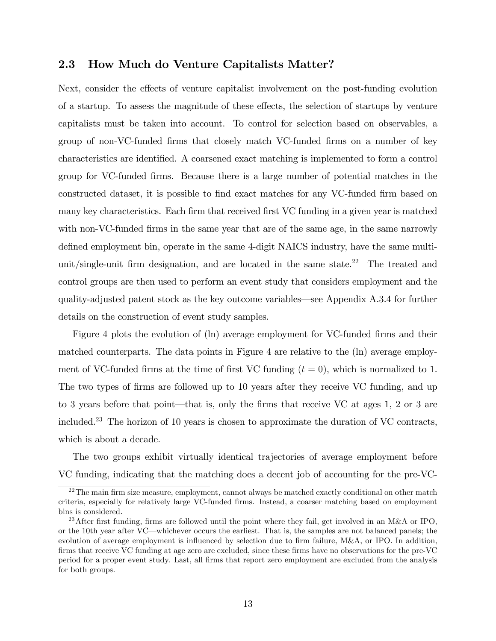## 2.3 How Much do Venture Capitalists Matter?

Next, consider the effects of venture capitalist involvement on the post-funding evolution of a startup. To assess the magnitude of these effects, the selection of startups by venture capitalists must be taken into account. To control for selection based on observables, a group of non-VC-funded Örms that closely match VC-funded Örms on a number of key characteristics are identified. A coarsened exact matching is implemented to form a control group for VC-funded Örms. Because there is a large number of potential matches in the constructed dataset, it is possible to find exact matches for any VC-funded firm based on many key characteristics. Each firm that received first VC funding in a given year is matched with non-VC-funded firms in the same year that are of the same age, in the same narrowly defined employment bin, operate in the same 4-digit NAICS industry, have the same multiunit/single-unit firm designation, and are located in the same state.<sup>22</sup> The treated and control groups are then used to perform an event study that considers employment and the quality-adjusted patent stock as the key outcome variables—see Appendix  $A.3.4$  for further details on the construction of event study samples.

Figure 4 plots the evolution of (ln) average employment for VC-funded firms and their matched counterparts. The data points in Figure 4 are relative to the (ln) average employment of VC-funded firms at the time of first VC funding  $(t = 0)$ , which is normalized to 1. The two types of firms are followed up to 10 years after they receive VC funding, and up to 3 years before that point—that is, only the firms that receive VC at ages 1, 2 or 3 are included.<sup>23</sup> The horizon of 10 years is chosen to approximate the duration of VC contracts, which is about a decade.

The two groups exhibit virtually identical trajectories of average employment before VC funding, indicating that the matching does a decent job of accounting for the pre-VC-

 $^{22}$ The main firm size measure, employment, cannot always be matched exactly conditional on other match criteria, especially for relatively large VC-funded Örms. Instead, a coarser matching based on employment bins is considered.

<sup>&</sup>lt;sup>23</sup>After first funding, firms are followed until the point where they fail, get involved in an M&A or IPO, or the 10th year after VC—whichever occurs the earliest. That is, the samples are not balanced panels; the evolution of average employment is influenced by selection due to firm failure,  $M&A$ , or IPO. In addition, firms that receive VC funding at age zero are excluded, since these firms have no observations for the pre-VC period for a proper event study. Last, all Örms that report zero employment are excluded from the analysis for both groups.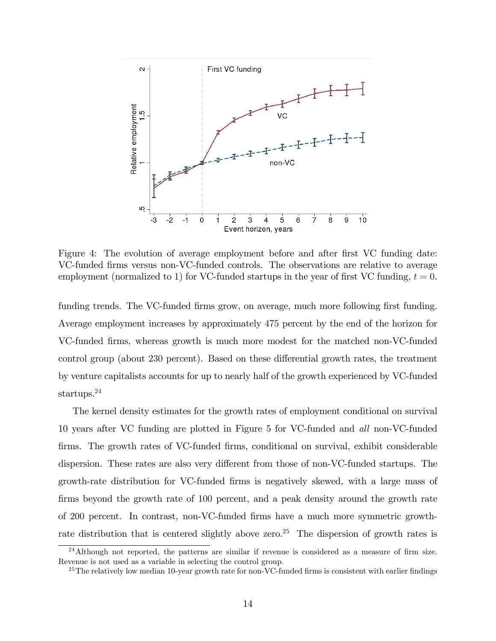

Figure 4: The evolution of average employment before and after first VC funding date: VC-funded Örms versus non-VC-funded controls. The observations are relative to average employment (normalized to 1) for VC-funded startups in the year of first VC funding,  $t = 0$ .

funding trends. The VC-funded firms grow, on average, much more following first funding. Average employment increases by approximately 475 percent by the end of the horizon for VC-funded Örms, whereas growth is much more modest for the matched non-VC-funded control group (about 230 percent). Based on these differential growth rates, the treatment by venture capitalists accounts for up to nearly half of the growth experienced by VC-funded startups.<sup>24</sup>

The kernel density estimates for the growth rates of employment conditional on survival 10 years after VC funding are plotted in Figure 5 for VC-funded and all non-VC-funded firms. The growth rates of VC-funded firms, conditional on survival, exhibit considerable dispersion. These rates are also very different from those of non-VC-funded startups. The growth-rate distribution for VC-funded Örms is negatively skewed, with a large mass of firms beyond the growth rate of 100 percent, and a peak density around the growth rate of 200 percent. In contrast, non-VC-funded Örms have a much more symmetric growthrate distribution that is centered slightly above zero.<sup>25</sup> The dispersion of growth rates is

 $^{24}$ Although not reported, the patterns are similar if revenue is considered as a measure of firm size. Revenue is not used as a variable in selecting the control group.

<sup>&</sup>lt;sup>25</sup>The relatively low median 10-year growth rate for non-VC-funded firms is consistent with earlier findings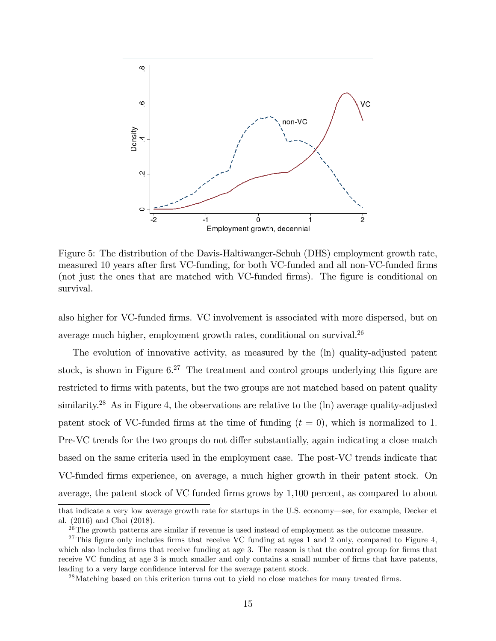

Figure 5: The distribution of the Davis-Haltiwanger-Schuh (DHS) employment growth rate, measured 10 years after first VC-funding, for both VC-funded and all non-VC-funded firms (not just the ones that are matched with VC-funded firms). The figure is conditional on survival.

also higher for VC-funded Örms. VC involvement is associated with more dispersed, but on average much higher, employment growth rates, conditional on survival.<sup>26</sup>

The evolution of innovative activity, as measured by the (ln) quality-adjusted patent stock, is shown in Figure  $6^{27}$ . The treatment and control groups underlying this figure are restricted to firms with patents, but the two groups are not matched based on patent quality similarity.<sup>28</sup> As in Figure 4, the observations are relative to the (ln) average quality-adjusted patent stock of VC-funded firms at the time of funding  $(t = 0)$ , which is normalized to 1. Pre-VC trends for the two groups do not differ substantially, again indicating a close match based on the same criteria used in the employment case. The post-VC trends indicate that VC-funded Örms experience, on average, a much higher growth in their patent stock. On average, the patent stock of VC funded firms grows by  $1,100$  percent, as compared to about

that indicate a very low average growth rate for startups in the U.S. economy—see, for example, Decker et al. (2016) and Choi (2018).

 $26$ The growth patterns are similar if revenue is used instead of employment as the outcome measure.

<sup>&</sup>lt;sup>27</sup>This figure only includes firms that receive VC funding at ages 1 and 2 only, compared to Figure 4, which also includes firms that receive funding at age 3. The reason is that the control group for firms that receive VC funding at age 3 is much smaller and only contains a small number of firms that have patents, leading to a very large confidence interval for the average patent stock.

 $^{28}$ Matching based on this criterion turns out to yield no close matches for many treated firms.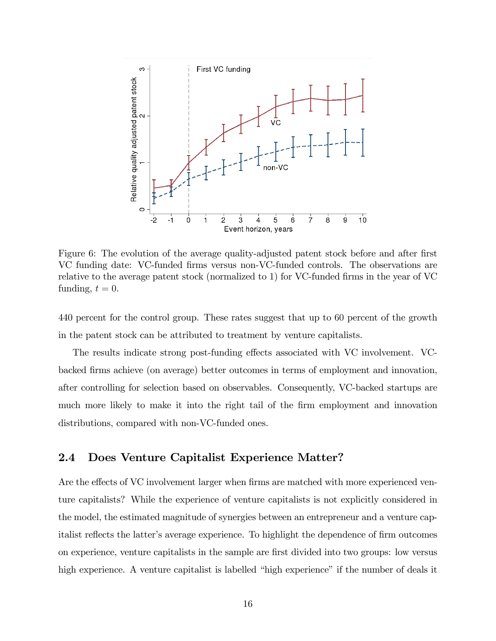

Figure 6: The evolution of the average quality-adjusted patent stock before and after first VC funding date: VC-funded Örms versus non-VC-funded controls. The observations are relative to the average patent stock (normalized to 1) for VC-funded firms in the year of VC funding,  $t = 0$ .

440 percent for the control group. These rates suggest that up to 60 percent of the growth in the patent stock can be attributed to treatment by venture capitalists.

The results indicate strong post-funding effects associated with VC involvement. VCbacked Örms achieve (on average) better outcomes in terms of employment and innovation, after controlling for selection based on observables. Consequently, VC-backed startups are much more likely to make it into the right tail of the firm employment and innovation distributions, compared with non-VC-funded ones.

## 2.4 Does Venture Capitalist Experience Matter?

Are the effects of VC involvement larger when firms are matched with more experienced venture capitalists? While the experience of venture capitalists is not explicitly considered in the model, the estimated magnitude of synergies between an entrepreneur and a venture capitalist reflects the latter's average experience. To highlight the dependence of firm outcomes on experience, venture capitalists in the sample are Örst divided into two groups: low versus high experience. A venture capitalist is labelled "high experience" if the number of deals it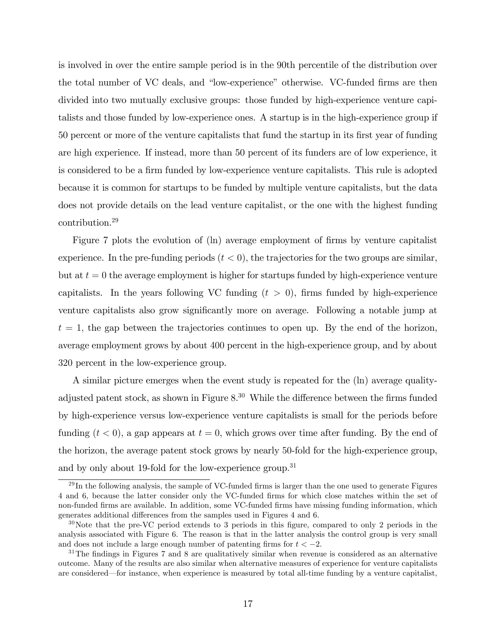is involved in over the entire sample period is in the 90th percentile of the distribution over the total number of VC deals, and "low-experience" otherwise. VC-funded firms are then divided into two mutually exclusive groups: those funded by high-experience venture capitalists and those funded by low-experience ones. A startup is in the high-experience group if 50 percent or more of the venture capitalists that fund the startup in its first year of funding are high experience. If instead, more than 50 percent of its funders are of low experience, it is considered to be a firm funded by low-experience venture capitalists. This rule is adopted because it is common for startups to be funded by multiple venture capitalists, but the data does not provide details on the lead venture capitalist, or the one with the highest funding contribution.<sup>29</sup>

Figure 7 plots the evolution of (ln) average employment of firms by venture capitalist experience. In the pre-funding periods  $(t < 0)$ , the trajectories for the two groups are similar, but at  $t = 0$  the average employment is higher for startups funded by high-experience venture capitalists. In the years following VC funding  $(t > 0)$ , firms funded by high-experience venture capitalists also grow significantly more on average. Following a notable jump at  $t = 1$ , the gap between the trajectories continues to open up. By the end of the horizon, average employment grows by about 400 percent in the high-experience group, and by about 320 percent in the low-experience group.

A similar picture emerges when the event study is repeated for the (ln) average qualityadjusted patent stock, as shown in Figure  $8^{30}$  While the difference between the firms funded by high-experience versus low-experience venture capitalists is small for the periods before funding  $(t < 0)$ , a gap appears at  $t = 0$ , which grows over time after funding. By the end of the horizon, the average patent stock grows by nearly 50-fold for the high-experience group, and by only about 19-fold for the low-experience group.<sup>31</sup>

 $^{29}$ In the following analysis, the sample of VC-funded firms is larger than the one used to generate Figures 4 and 6, because the latter consider only the VC-funded Örms for which close matches within the set of non-funded Örms are available. In addition, some VC-funded Örms have missing funding information, which generates additional differences from the samples used in Figures 4 and 6.

 $30$ Note that the pre-VC period extends to 3 periods in this figure, compared to only 2 periods in the analysis associated with Figure 6. The reason is that in the latter analysis the control group is very small and does not include a large enough number of patenting firms for  $t < -2$ .

 $31$ The findings in Figures 7 and 8 are qualitatively similar when revenue is considered as an alternative outcome. Many of the results are also similar when alternative measures of experience for venture capitalists are considered—for instance, when experience is measured by total all-time funding by a venture capitalist,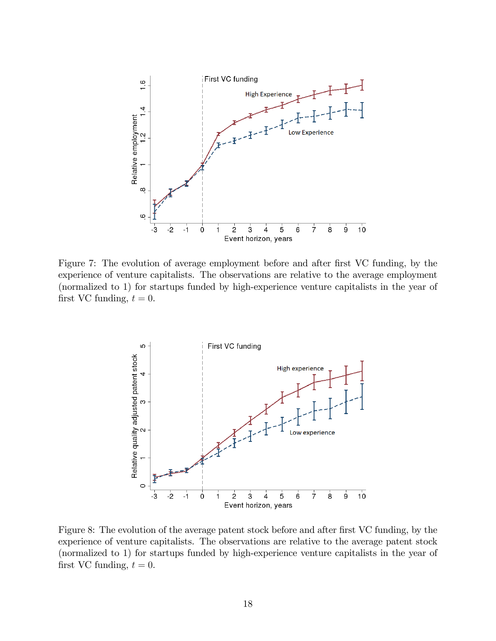

Figure 7: The evolution of average employment before and after first VC funding, by the experience of venture capitalists. The observations are relative to the average employment (normalized to 1) for startups funded by high-experience venture capitalists in the year of first VC funding,  $t = 0$ .



Figure 8: The evolution of the average patent stock before and after first VC funding, by the experience of venture capitalists. The observations are relative to the average patent stock (normalized to 1) for startups funded by high-experience venture capitalists in the year of first VC funding,  $t = 0$ .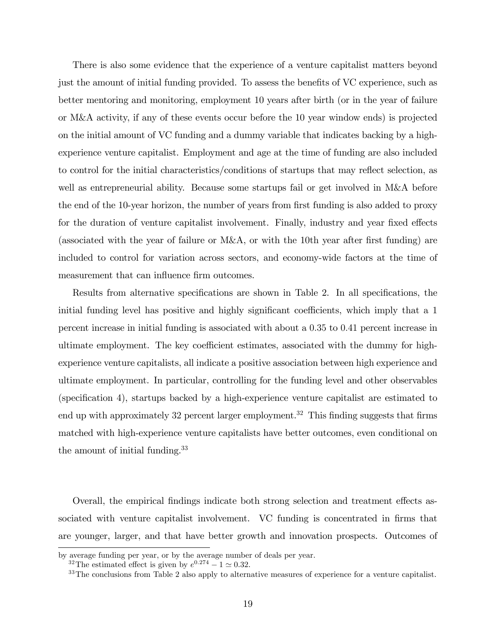There is also some evidence that the experience of a venture capitalist matters beyond just the amount of initial funding provided. To assess the benefits of VC experience, such as better mentoring and monitoring, employment 10 years after birth (or in the year of failure or M&A activity, if any of these events occur before the 10 year window ends) is projected on the initial amount of VC funding and a dummy variable that indicates backing by a highexperience venture capitalist. Employment and age at the time of funding are also included to control for the initial characteristics/conditions of startups that may reflect selection, as well as entrepreneurial ability. Because some startups fail or get involved in M&A before the end of the 10-year horizon, the number of years from first funding is also added to proxy for the duration of venture capitalist involvement. Finally, industry and year fixed effects (associated with the year of failure or  $M\&A$ , or with the 10th year after first funding) are included to control for variation across sectors, and economy-wide factors at the time of measurement that can influence firm outcomes.

Results from alternative specifications are shown in Table 2. In all specifications, the initial funding level has positive and highly significant coefficients, which imply that a 1 percent increase in initial funding is associated with about a 0:35 to 0:41 percent increase in ultimate employment. The key coefficient estimates, associated with the dummy for highexperience venture capitalists, all indicate a positive association between high experience and ultimate employment. In particular, controlling for the funding level and other observables (specification 4), startups backed by a high-experience venture capitalist are estimated to end up with approximately 32 percent larger employment.<sup>32</sup> This finding suggests that firms matched with high-experience venture capitalists have better outcomes, even conditional on the amount of initial funding.<sup>33</sup>

Overall, the empirical findings indicate both strong selection and treatment effects associated with venture capitalist involvement. VC funding is concentrated in firms that are younger, larger, and that have better growth and innovation prospects. Outcomes of

by average funding per year, or by the average number of deals per year.

<sup>&</sup>lt;sup>32</sup>The estimated effect is given by  $e^{0.274} - 1 \approx 0.32$ .

<sup>&</sup>lt;sup>33</sup>The conclusions from Table 2 also apply to alternative measures of experience for a venture capitalist.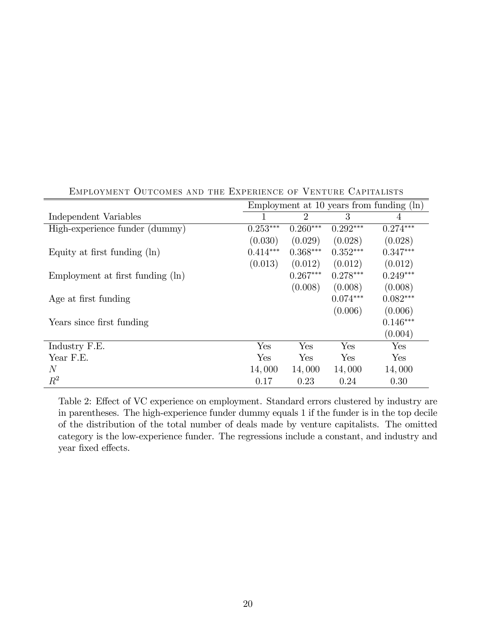|                                  | Employment at 10 years from funding $(\ln)$ |                |            |            |  |
|----------------------------------|---------------------------------------------|----------------|------------|------------|--|
| Independent Variables            |                                             | $\overline{2}$ | 3          | 4          |  |
| High-experience funder (dummy)   | $0.253***$                                  | $0.260***$     | $0.292***$ | $0.274***$ |  |
|                                  | (0.030)                                     | (0.029)        | (0.028)    | (0.028)    |  |
| Equity at first funding $(\ln)$  | $0.414***$                                  | $0.368***$     | $0.352***$ | $0.347***$ |  |
|                                  | (0.013)                                     | (0.012)        | (0.012)    | (0.012)    |  |
| Employment at first funding (ln) |                                             | $0.267***$     | $0.278***$ | $0.249***$ |  |
|                                  |                                             | (0.008)        | (0.008)    | (0.008)    |  |
| Age at first funding             |                                             |                | $0.074***$ | $0.082***$ |  |
|                                  |                                             |                | (0.006)    | (0.006)    |  |
| Years since first funding        |                                             |                |            | $0.146***$ |  |
|                                  |                                             |                |            | (0.004)    |  |
| Industry F.E.                    | Yes                                         | Yes            | Yes        | Yes        |  |
| Year F.E.                        | Yes                                         | Yes            | Yes        | Yes        |  |
| N                                | 14,000                                      | 14,000         | 14,000     | 14,000     |  |
| $R^2$                            | 0.17                                        | 0.23           | 0.24       | 0.30       |  |

Employment Outcomes and the Experience of Venture Capitalists

Table 2: Effect of VC experience on employment. Standard errors clustered by industry are in parentheses. The high-experience funder dummy equals 1 if the funder is in the top decile of the distribution of the total number of deals made by venture capitalists. The omitted category is the low-experience funder. The regressions include a constant, and industry and year fixed effects.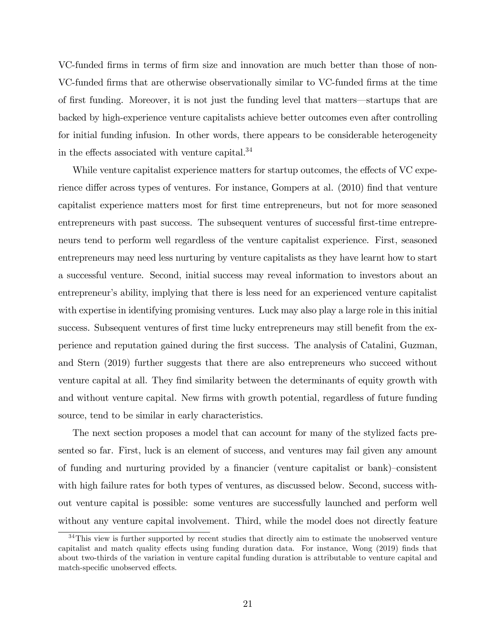VC-funded firms in terms of firm size and innovation are much better than those of non-VC-funded Örms that are otherwise observationally similar to VC-funded Örms at the time of first funding. Moreover, it is not just the funding level that matters—startups that are backed by high-experience venture capitalists achieve better outcomes even after controlling for initial funding infusion. In other words, there appears to be considerable heterogeneity in the effects associated with venture capital. $34$ 

While venture capitalist experience matters for startup outcomes, the effects of VC experience differ across types of ventures. For instance, Gompers at al. (2010) find that venture capitalist experience matters most for first time entrepreneurs, but not for more seasoned entrepreneurs with past success. The subsequent ventures of successful first-time entrepreneurs tend to perform well regardless of the venture capitalist experience. First, seasoned entrepreneurs may need less nurturing by venture capitalists as they have learnt how to start a successful venture. Second, initial success may reveal information to investors about an entrepreneur's ability, implying that there is less need for an experienced venture capitalist with expertise in identifying promising ventures. Luck may also play a large role in this initial success. Subsequent ventures of first time lucky entrepreneurs may still benefit from the experience and reputation gained during the Örst success. The analysis of Catalini, Guzman, and Stern (2019) further suggests that there are also entrepreneurs who succeed without venture capital at all. They find similarity between the determinants of equity growth with and without venture capital. New firms with growth potential, regardless of future funding source, tend to be similar in early characteristics.

The next section proposes a model that can account for many of the stylized facts presented so far. First, luck is an element of success, and ventures may fail given any amount of funding and nurturing provided by a financier (venture capitalist or bank)–consistent with high failure rates for both types of ventures, as discussed below. Second, success without venture capital is possible: some ventures are successfully launched and perform well without any venture capital involvement. Third, while the model does not directly feature

<sup>&</sup>lt;sup>34</sup>This view is further supported by recent studies that directly aim to estimate the unobserved venture capitalist and match quality effects using funding duration data. For instance, Wong (2019) finds that about two-thirds of the variation in venture capital funding duration is attributable to venture capital and match-specific unobserved effects.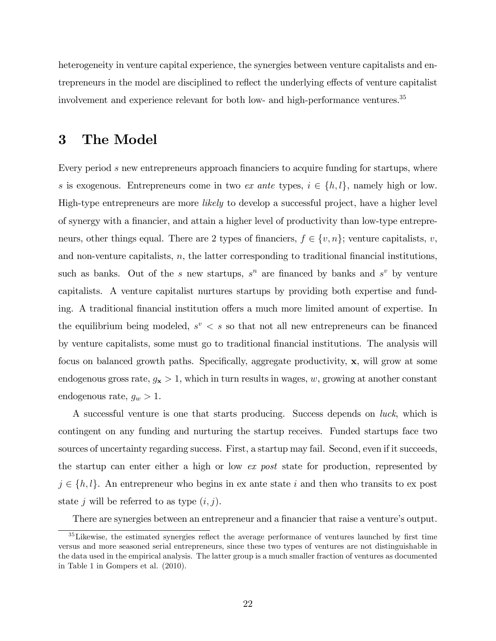heterogeneity in venture capital experience, the synergies between venture capitalists and entrepreneurs in the model are disciplined to reflect the underlying effects of venture capitalist involvement and experience relevant for both low- and high-performance ventures.<sup>35</sup>

## 3 The Model

Every period s new entrepreneurs approach financiers to acquire funding for startups, where s is exogenous. Entrepreneurs come in two ex ante types,  $i \in \{h, l\}$ , namely high or low. High-type entrepreneurs are more likely to develop a successful project, have a higher level of synergy with a financier, and attain a higher level of productivity than low-type entrepreneurs, other things equal. There are 2 types of financiers,  $f \in \{v, n\}$ ; venture capitalists, v, and non-venture capitalists,  $n$ , the latter corresponding to traditional financial institutions, such as banks. Out of the s new startups,  $s^n$  are financed by banks and  $s^v$  by venture capitalists. A venture capitalist nurtures startups by providing both expertise and funding. A traditional financial institution offers a much more limited amount of expertise. In the equilibrium being modeled,  $s^v < s$  so that not all new entrepreneurs can be financed by venture capitalists, some must go to traditional Önancial institutions. The analysis will focus on balanced growth paths. Specifically, aggregate productivity,  $x$ , will grow at some endogenous gross rate,  $g_x > 1$ , which in turn results in wages, w, growing at another constant endogenous rate,  $g_w > 1$ .

A successful venture is one that starts producing. Success depends on luck, which is contingent on any funding and nurturing the startup receives. Funded startups face two sources of uncertainty regarding success. First, a startup may fail. Second, even if it succeeds, the startup can enter either a high or low ex post state for production, represented by  $j \in \{h, l\}$ . An entrepreneur who begins in ex ante state i and then who transits to ex post state j will be referred to as type  $(i, j)$ .

There are synergies between an entrepreneur and a financier that raise a venture's output.

 $35$  Likewise, the estimated synergies reflect the average performance of ventures launched by first time versus and more seasoned serial entrepreneurs, since these two types of ventures are not distinguishable in the data used in the empirical analysis. The latter group is a much smaller fraction of ventures as documented in Table 1 in Gompers et al. (2010).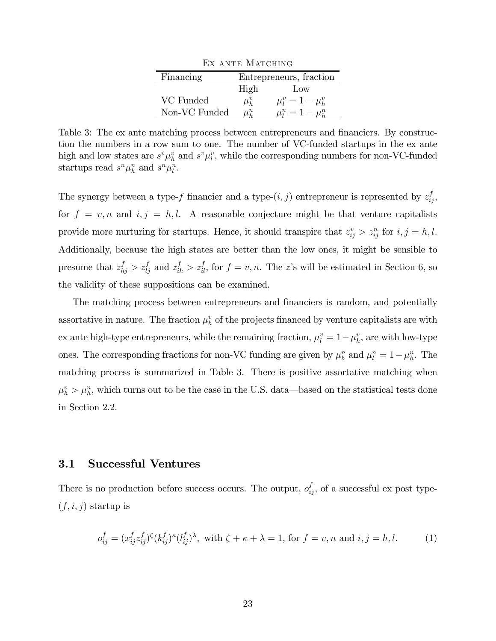| EX ANTE MATCHING        |                         |                         |  |  |  |  |  |
|-------------------------|-------------------------|-------------------------|--|--|--|--|--|
| Financing               | Entrepreneurs, fraction |                         |  |  |  |  |  |
| High<br>$_{\text{Low}}$ |                         |                         |  |  |  |  |  |
| VC Funded               | $\mu_h^v$               | $\mu_l^v = 1 - \mu_h^v$ |  |  |  |  |  |
| Non-VC Funded           | $\mu_h^n$               | $\mu_l^n = 1 - \mu_h^n$ |  |  |  |  |  |

Table 3: The ex ante matching process between entrepreneurs and financiers. By construction the numbers in a row sum to one. The number of VC-funded startups in the ex ante high and low states are  $s^v \mu_h^v$  and  $s^v \mu_l^v$ , while the corresponding numbers for non-VC-funded startups read  $s^n \mu_h^n$  and  $s^n \mu_l^n$ .

The synergy between a type-f financier and a type- $(i, j)$  entrepreneur is represented by  $z_{ij}^f$ , for  $f = v, n$  and  $i, j = h, l$ . A reasonable conjecture might be that venture capitalists provide more nurturing for startups. Hence, it should transpire that  $z_{ij}^v > z_{ij}^n$  for  $i, j = h, l$ . Additionally, because the high states are better than the low ones, it might be sensible to presume that  $z_{hj}^f > z_{lj}^f$  and  $z_{ih}^f > z_{il}^f$ , for  $f = v, n$ . The z's will be estimated in Section 6, so the validity of these suppositions can be examined.

The matching process between entrepreneurs and financiers is random, and potentially assortative in nature. The fraction  $\mu_h^v$  of the projects financed by venture capitalists are with ex ante high-type entrepreneurs, while the remaining fraction,  $\mu_l^v = 1 - \mu_h^v$ , are with low-type ones. The corresponding fractions for non-VC funding are given by  $\mu_h^n$  and  $\mu_l^n = 1 - \mu_h^n$ . The matching process is summarized in Table 3. There is positive assortative matching when  $\mu_h^v > \mu_h^n$ , which turns out to be the case in the U.S. data—based on the statistical tests done in Section 2.2.

## 3.1 Successful Ventures

There is no production before success occurs. The output,  $o_{ij}^f$ , of a successful ex post type- $(f, i, j)$  startup is

$$
o_{ij}^f = (x_{ij}^f z_{ij}^f)^{\zeta} (k_{ij}^f)^{\kappa} (l_{ij}^f)^{\lambda}, \text{ with } \zeta + \kappa + \lambda = 1, \text{ for } f = v, n \text{ and } i, j = h, l. \tag{1}
$$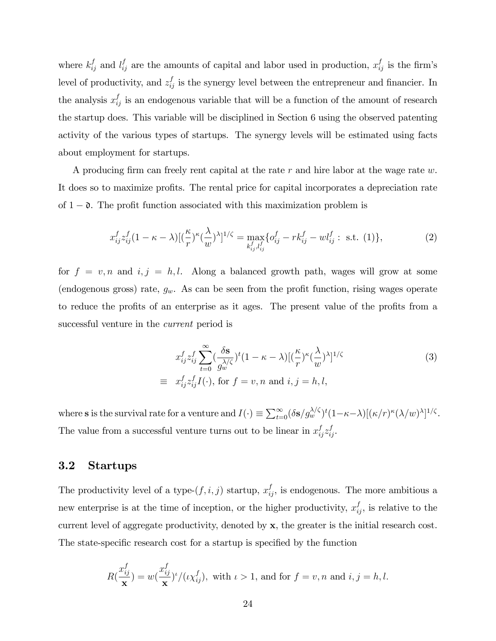where  $k_{ij}^f$  and  $l_{ij}^f$  are the amounts of capital and labor used in production,  $x_{ij}^f$  is the firm's level of productivity, and  $z_{ij}^f$  is the synergy level between the entrepreneur and financier. In the analysis  $x_{ij}^f$  is an endogenous variable that will be a function of the amount of research the startup does. This variable will be disciplined in Section 6 using the observed patenting activity of the various types of startups. The synergy levels will be estimated using facts about employment for startups.

A producing firm can freely rent capital at the rate  $r$  and hire labor at the wage rate  $w$ . It does so to maximize profits. The rental price for capital incorporates a depreciation rate of  $1 - \mathfrak{d}$ . The profit function associated with this maximization problem is

$$
x_{ij}^f z_{ij}^f (1 - \kappa - \lambda) [(\frac{\kappa}{r})^{\kappa} (\frac{\lambda}{w})^{\lambda}]^{1/\zeta} = \max_{k_{ij}^f, l_{ij}^f} \{ o_{ij}^f - r k_{ij}^f - w l_{ij}^f : \text{ s.t. } (1) \},
$$
 (2)

for  $f = v, n$  and  $i, j = h, l$ . Along a balanced growth path, wages will grow at some (endogenous gross) rate,  $g_w$ . As can be seen from the profit function, rising wages operate to reduce the profits of an enterprise as it ages. The present value of the profits from a successful venture in the current period is

$$
x_{ij}^f z_{ij}^f \sum_{t=0}^{\infty} \left(\frac{\delta \mathbf{s}}{g_w^{\lambda/\zeta}}\right)^t (1 - \kappa - \lambda) \left[\left(\frac{\kappa}{r}\right)^\kappa \left(\frac{\lambda}{w}\right)^\lambda\right]^{1/\zeta}
$$
  
\n
$$
\equiv x_{ij}^f z_{ij}^f I(\cdot), \text{ for } f = v, n \text{ and } i, j = h, l,
$$
\n(3)

where **s** is the survival rate for a venture and  $I(\cdot) \equiv \sum_{t=0}^{\infty} (\delta s / g_w^{\lambda/\zeta})^t (1 - \kappa - \lambda) [(\kappa/r)^{\kappa} (\lambda/w)^{\lambda}]^{1/\zeta}$ . The value from a successful venture turns out to be linear in  $x_{ij}^f z_{ij}^f$ .

## 3.2 Startups

The productivity level of a type- $(f, i, j)$  startup,  $x_{ij}^f$ , is endogenous. The more ambitious a new enterprise is at the time of inception, or the higher productivity,  $x_{ij}^f$ , is relative to the current level of aggregate productivity, denoted by x, the greater is the initial research cost. The state-specific research cost for a startup is specified by the function

$$
R(\frac{x_{ij}^f}{\mathbf{x}}) = w(\frac{x_{ij}^f}{\mathbf{x}})^{\iota}/(\iota \chi_{ij}^f), \text{ with } \iota > 1, \text{ and for } f = v, n \text{ and } i, j = h, l.
$$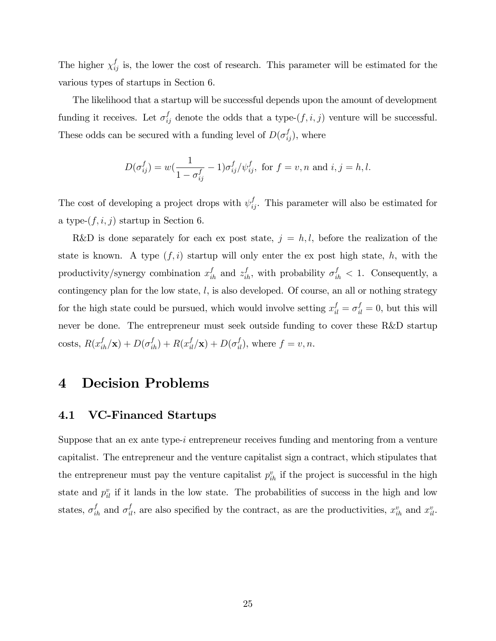The higher  $\chi_{ij}^f$  is, the lower the cost of research. This parameter will be estimated for the various types of startups in Section 6.

The likelihood that a startup will be successful depends upon the amount of development funding it receives. Let  $\sigma_{ij}^f$  denote the odds that a type- $(f, i, j)$  venture will be successful. These odds can be secured with a funding level of  $D(\sigma_{ij}^f)$ , where

$$
D(\sigma_{ij}^f) = w(\frac{1}{1 - \sigma_{ij}^f} - 1)\sigma_{ij}^f/\psi_{ij}^f, \text{ for } f = v, n \text{ and } i, j = h, l.
$$

The cost of developing a project drops with  $\psi_{ij}^f$ . This parameter will also be estimated for a type- $(f, i, j)$  startup in Section 6.

R&D is done separately for each ex post state,  $j = h, l$ , before the realization of the state is known. A type  $(f, i)$  startup will only enter the ex post high state, h, with the productivity/synergy combination  $x_{ih}^f$  and  $z_{ih}^f$ , with probability  $\sigma_{ih}^f$  < 1. Consequently, a contingency plan for the low state,  $l$ , is also developed. Of course, an all or nothing strategy for the high state could be pursued, which would involve setting  $x_{il}^f = \sigma_{il}^f = 0$ , but this will never be done. The entrepreneur must seek outside funding to cover these R&D startup costs,  $R(x_{ih}^f/\mathbf{x}) + D(\sigma_{ih}^f) + R(x_{il}^f/\mathbf{x}) + D(\sigma_{il}^f)$ , where  $f = v, n$ .

## 4 Decision Problems

## 4.1 VC-Financed Startups

Suppose that an ex ante type-i entrepreneur receives funding and mentoring from a venture capitalist. The entrepreneur and the venture capitalist sign a contract, which stipulates that the entrepreneur must pay the venture capitalist  $p_{ih}^v$  if the project is successful in the high state and  $p_{il}^v$  if it lands in the low state. The probabilities of success in the high and low states,  $\sigma_{ih}^f$  and  $\sigma_{il}^f$ , are also specified by the contract, as are the productivities,  $x_{ih}^v$  and  $x_{il}^v$ .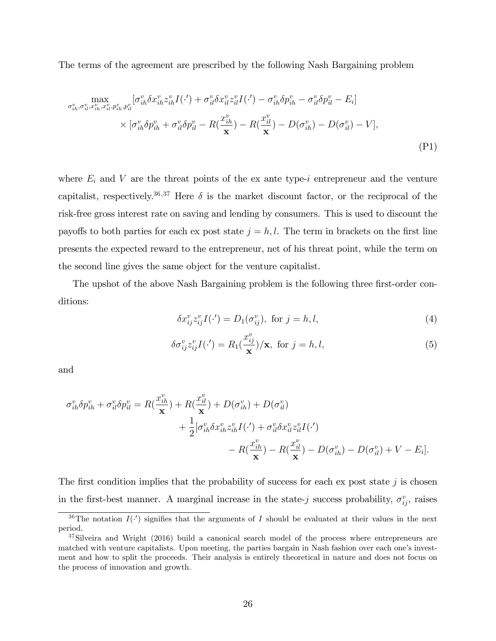The terms of the agreement are prescribed by the following Nash Bargaining problem

$$
\max_{\sigma_{ih}^v, \sigma_{il}^v, x_{ih}^v, x_{il}^v, p_{ih}^v, p_{il}^v} [\sigma_{ih}^v \delta x_{ih}^v z_{ih}^v I(\cdot') + \sigma_{il}^v \delta x_{il}^v z_{il}^v I(\cdot') - \sigma_{ih}^v \delta p_{ih}^v - \sigma_{il}^v \delta p_{il}^v - E_i]
$$
\n
$$
\times [\sigma_{ih}^v \delta p_{ih}^v + \sigma_{il}^v \delta p_{il}^v - R(\frac{x_{ih}^v}{\mathbf{x}}) - R(\frac{x_{il}^v}{\mathbf{x}}) - D(\sigma_{ih}^v) - D(\sigma_{il}^v) - V],
$$
\n(P1)

where  $E_i$  and V are the threat points of the ex ante type-i entrepreneur and the venture capitalist, respectively.<sup>36,37</sup> Here  $\delta$  is the market discount factor, or the reciprocal of the risk-free gross interest rate on saving and lending by consumers. This is used to discount the payoffs to both parties for each ex post state  $j = h, l$ . The term in brackets on the first line presents the expected reward to the entrepreneur, net of his threat point, while the term on the second line gives the same object for the venture capitalist.

The upshot of the above Nash Bargaining problem is the following three first-order conditions:

$$
\delta x_{ij}^v z_{ij}^v I(\cdot') = D_1(\sigma_{ij}^v), \text{ for } j = h, l,
$$
\n
$$
(4)
$$

$$
\delta \sigma_{ij}^v z_{ij}^v I(\cdot') = R_1(\frac{x_{ij}^v}{\mathbf{x}})/\mathbf{x}, \text{ for } j = h, l,
$$
\n(5)

and

$$
\sigma_{ih}^v \delta p_{ih}^v + \sigma_{il}^v \delta p_{il}^v = R(\frac{x_{ih}^v}{\mathbf{x}}) + R(\frac{x_{il}^v}{\mathbf{x}}) + D(\sigma_{ih}^v) + D(\sigma_{il}^v)
$$
  
+ 
$$
\frac{1}{2} [\sigma_{ih}^v \delta x_{ih}^v z_{ih}^v I(\cdot') + \sigma_{il}^v \delta x_{il}^v z_{il}^v I(\cdot')
$$

$$
- R(\frac{x_{ih}^v}{\mathbf{x}}) - R(\frac{x_{il}^v}{\mathbf{x}}) - D(\sigma_{ih}^v) - D(\sigma_{il}^v) + V - E_i].
$$

The first condition implies that the probability of success for each ex post state j is chosen in the first-best manner. A marginal increase in the state-j success probability,  $\sigma_{ij}^v$ , raises

<sup>&</sup>lt;sup>36</sup>The notation  $I(·)$  signifies that the arguments of I should be evaluated at their values in the next period.

<sup>&</sup>lt;sup>37</sup>Silveira and Wright (2016) build a canonical search model of the process where entrepreneurs are matched with venture capitalists. Upon meeting, the parties bargain in Nash fashion over each one's investment and how to split the proceeds. Their analysis is entirely theoretical in nature and does not focus on the process of innovation and growth.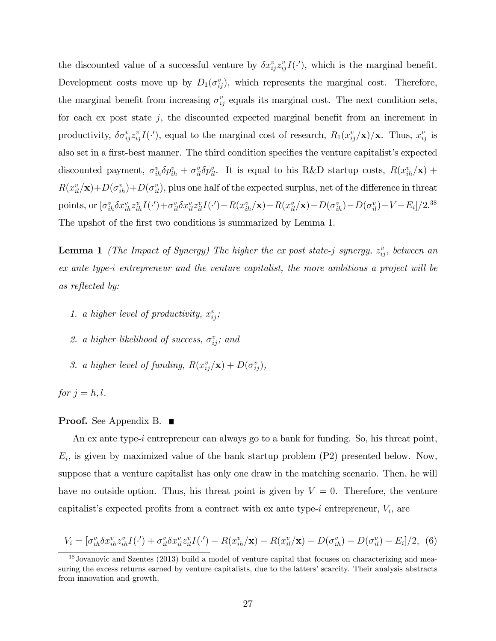the discounted value of a successful venture by  $\delta x_{ij}^v z_{ij}^v I(\cdot)$ , which is the marginal benefit. Development costs move up by  $D_1(\sigma_{ij}^v)$ , which represents the marginal cost. Therefore, the marginal benefit from increasing  $\sigma_{ij}^v$  equals its marginal cost. The next condition sets, for each ex post state  $j$ , the discounted expected marginal benefit from an increment in productivity,  $\delta \sigma_{ij}^v z_{ij}^v I(\cdot')$ , equal to the marginal cost of research,  $R_1(x_{ij}^v/\mathbf{x})/\mathbf{x}$ . Thus,  $x_{ij}^v$  is also set in a first-best manner. The third condition specifies the venture capitalist's expected discounted payment,  $\sigma_{ih}^v \delta p_{ih}^v + \sigma_{il}^v \delta p_{il}^v$ . It is equal to his R&D startup costs,  $R(x_{ih}^v/\mathbf{x})$  +  $R(x_{il}^v/\mathbf{x})+D(\sigma_{ih}^v)+D(\sigma_{il}^v)$ , plus one half of the expected surplus, net of the difference in threat points, or  $[\sigma_{ih}^v \delta x_{ih}^v z_{ih}^v I(\cdot) + \sigma_{il}^v \delta x_{il}^v z_{il}^v I(\cdot') - R(x_{ih}^v/\mathbf{x}) - R(x_{il}^v/\mathbf{x}) - D(\sigma_{ih}^v) - D(\sigma_{il}^v) + V - E_i]/2^{38}$ The upshot of the first two conditions is summarized by Lemma 1.

**Lemma 1** (The Impact of Synergy) The higher the ex-post state-j synergy,  $z_{ij}^v$ , between an ex ante type-i entrepreneur and the venture capitalist, the more ambitious a project will be as reflected by:

- 1. a higher level of productivity,  $x_{ij}^v$ ;
- 2. a higher likelihood of success,  $\sigma_{ij}^v$ ; and
- 3. a higher level of funding,  $R(x_{ij}^v/\mathbf{x}) + D(\sigma_{ij}^v)$ ,

for  $j = h, l$ .

### **Proof.** See Appendix B. ■

An ex ante type-i entrepreneur can always go to a bank for funding. So, his threat point,  $E_i$ , is given by maximized value of the bank startup problem  $(P2)$  presented below. Now, suppose that a venture capitalist has only one draw in the matching scenario. Then, he will have no outside option. Thus, his threat point is given by  $V = 0$ . Therefore, the venture capitalist's expected profits from a contract with ex ante type-i entrepreneur,  $V_i$ , are

$$
V_i = [\sigma_{ih}^v \delta x_{ih}^v z_{ih}^v I(\cdot') + \sigma_{il}^v \delta x_{il}^v z_{il}^v I(\cdot') - R(x_{ih}^v / \mathbf{x}) - R(x_{il}^v / \mathbf{x}) - D(\sigma_{ih}^v) - D(\sigma_{il}^v) - E_i]/2, \tag{6}
$$

<sup>&</sup>lt;sup>38</sup>Jovanovic and Szentes (2013) build a model of venture capital that focuses on characterizing and measuring the excess returns earned by venture capitalists, due to the latters' scarcity. Their analysis abstracts from innovation and growth.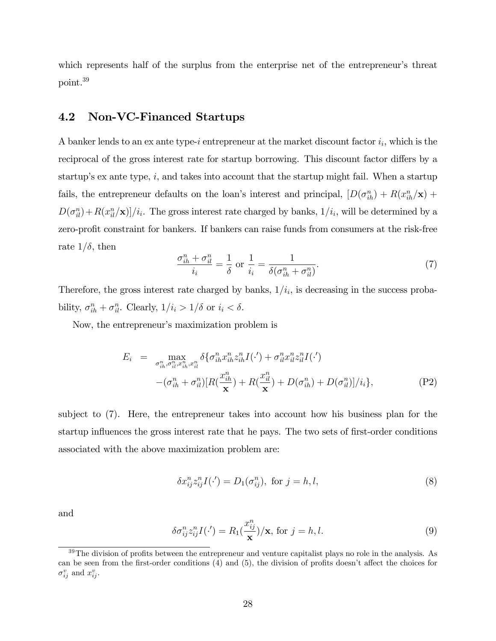which represents half of the surplus from the enterprise net of the entrepreneur's threat point.<sup>39</sup>

## 4.2 Non-VC-Financed Startups

A banker lends to an ex ante type-i entrepreneur at the market discount factor  $i_i$ , which is the reciprocal of the gross interest rate for startup borrowing. This discount factor differs by a startup's ex ante type,  $i$ , and takes into account that the startup might fail. When a startup fails, the entrepreneur defaults on the loan's interest and principal,  $[D(\sigma_{ih}^n) + R(x_{ih}^n/\mathbf{x}) +$  $D(\sigma_{il}^n)+R(x_{il}^n/\mathbf{x})]/i_i$ . The gross interest rate charged by banks,  $1/i_i$ , will be determined by a zero-profit constraint for bankers. If bankers can raise funds from consumers at the risk-free rate  $1/\delta$ , then

$$
\frac{\sigma_{ih}^n + \sigma_{il}^n}{i_i} = \frac{1}{\delta} \text{ or } \frac{1}{i_i} = \frac{1}{\delta(\sigma_{ih}^n + \sigma_{il}^n)}.
$$
\n(7)

Therefore, the gross interest rate charged by banks,  $1/i_i$ , is decreasing in the success probability,  $\sigma_{ih}^n + \sigma_{il}^n$ . Clearly,  $1/i_i > 1/\delta$  or  $i_i < \delta$ .

Now, the entrepreneur's maximization problem is

$$
E_{i} = \max_{\sigma_{ih}^{n}, \sigma_{il}^{n}, x_{ih}^{n}, x_{il}^{n}} \delta \{ \sigma_{ih}^{n} x_{ih}^{n} z_{ih}^{n} I(\cdot') + \sigma_{il}^{n} x_{il}^{n} z_{il}^{n} I(\cdot') - (\sigma_{ih}^{n} + \sigma_{il}^{n}) [R(\frac{x_{ih}^{n}}{\mathbf{x}}) + R(\frac{x_{il}^{n}}{\mathbf{x}}) + D(\sigma_{ih}^{n}) + D(\sigma_{il}^{n})] / i_{i} \},
$$
\n(P2)

subject to (7). Here, the entrepreneur takes into account how his business plan for the startup influences the gross interest rate that he pays. The two sets of first-order conditions associated with the above maximization problem are:

$$
\delta x_{ij}^n z_{ij}^n I(\cdot') = D_1(\sigma_{ij}^n), \text{ for } j = h, l,
$$
\n
$$
(8)
$$

and

$$
\delta \sigma_{ij}^n z_{ij}^n I(\cdot') = R_1(\frac{x_{ij}^n}{\mathbf{x}})/\mathbf{x}, \text{ for } j = h, l.
$$
 (9)

 $39$ The division of profits between the entrepreneur and venture capitalist plays no role in the analysis. As can be seen from the first-order conditions  $(4)$  and  $(5)$ , the division of profits doesn't affect the choices for  $\sigma_{ij}^v$  and  $x_{ij}^v$ .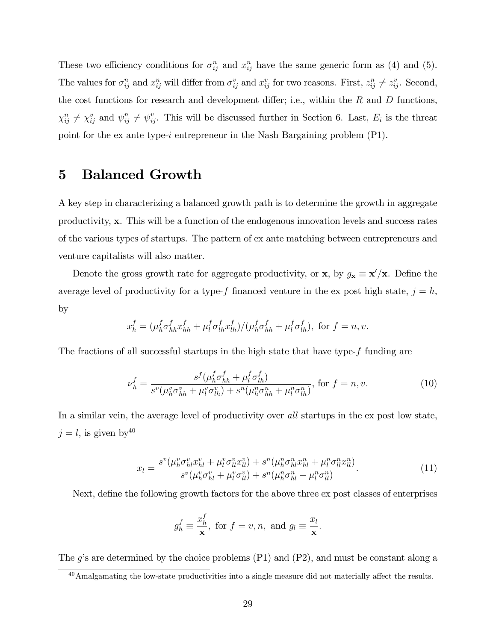These two efficiency conditions for  $\sigma_{ij}^n$  and  $x_{ij}^n$  have the same generic form as (4) and (5). The values for  $\sigma_{ij}^n$  and  $x_{ij}^n$  will differ from  $\sigma_{ij}^v$  and  $x_{ij}^v$  for two reasons. First,  $z_{ij}^n \neq z_{ij}^v$ . Second, the cost functions for research and development differ; i.e., within the  $R$  and  $D$  functions,  $\chi_{ij}^n \neq \chi_{ij}^v$  and  $\psi_{ij}^n \neq \psi_{ij}^v$ . This will be discussed further in Section 6. Last,  $E_i$  is the threat point for the ex ante type-i entrepreneur in the Nash Bargaining problem  $(P1)$ .

## 5 Balanced Growth

A key step in characterizing a balanced growth path is to determine the growth in aggregate productivity, x. This will be a function of the endogenous innovation levels and success rates of the various types of startups. The pattern of ex ante matching between entrepreneurs and venture capitalists will also matter.

Denote the gross growth rate for aggregate productivity, or  $\mathbf{x}$ , by  $g_{\mathbf{x}} \equiv \mathbf{x}'/\mathbf{x}$ . Define the average level of productivity for a type-f financed venture in the ex post high state,  $j = h$ , by

$$
x_h^f = (\mu_h^f \sigma_{hh}^f x_{hh}^f + \mu_l^f \sigma_{lh}^f x_{lh}^f) / (\mu_h^f \sigma_{hh}^f + \mu_l^f \sigma_{lh}^f),
$$
 for  $f = n, v$ .

The fractions of all successful startups in the high state that have type-f funding are

$$
\nu_h^f = \frac{s^f(\mu_h^f \sigma_{hh}^f + \mu_l^f \sigma_{lh}^f)}{s^v(\mu_h^v \sigma_{hh}^v + \mu_l^v \sigma_{lh}^v) + s^u(\mu_h^n \sigma_{hh}^n + \mu_l^n \sigma_{lh}^n)}, \text{ for } f = n, v. \tag{10}
$$

In a similar vein, the average level of productivity over all startups in the ex post low state,  $j = l$ , is given by  $40$ 

$$
x_{l} = \frac{s^{v}(\mu_{h}^{v}\sigma_{hl}^{v}x_{hl}^{v} + \mu_{l}^{v}\sigma_{ll}^{v}x_{ll}^{v}) + s^{n}(\mu_{h}^{n}\sigma_{hl}^{n}x_{hl}^{n} + \mu_{l}^{n}\sigma_{ll}^{n}x_{ll}^{n})}{s^{v}(\mu_{h}^{v}\sigma_{hl}^{v} + \mu_{l}^{v}\sigma_{ll}^{v}) + s^{n}(\mu_{h}^{n}\sigma_{hl}^{n} + \mu_{l}^{n}\sigma_{ll}^{n})}.
$$
\n(11)

Next, define the following growth factors for the above three ex post classes of enterprises

$$
g_h^f \equiv \frac{x_h^f}{\mathbf{x}}, \text{ for } f = v, n, \text{ and } g_l \equiv \frac{x_l}{\mathbf{x}}.
$$

The  $g$ 's are determined by the choice problems (P1) and (P2), and must be constant along a

 $^{40}$ Amalgamating the low-state productivities into a single measure did not materially affect the results.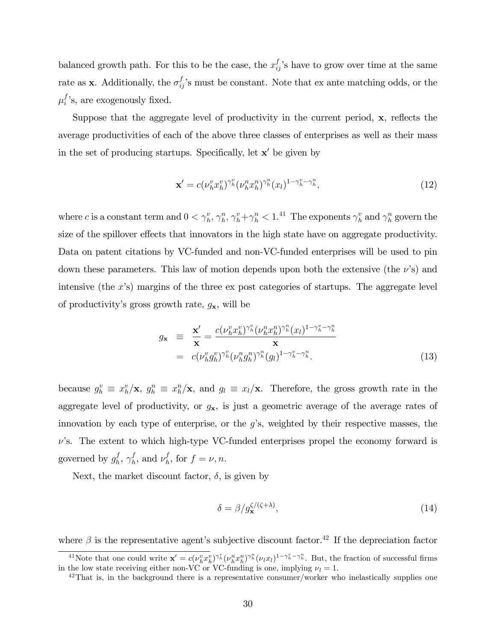balanced growth path. For this to be the case, the  $x_{ij}^f$ 's have to grow over time at the same rate as **x**. Additionally, the  $\sigma_{ij}^f$ 's must be constant. Note that ex ante matching odds, or the  $\mu_i^f$ 's, are exogenously fixed.

Suppose that the aggregate level of productivity in the current period,  $x$ , reflects the average productivities of each of the above three classes of enterprises as well as their mass in the set of producing startups. Specifically, let  $x'$  be given by

$$
\mathbf{x}' = c(\nu_h^v x_h^v)^{\gamma_h^v} (\nu_h^n x_h^n)^{\gamma_h^n} (x_l)^{1 - \gamma_h^v - \gamma_h^n},\tag{12}
$$

where c is a constant term and  $0 < \gamma_h^v$ ,  $\gamma_h^n$ ,  $\gamma_h^v + \gamma_h^n < 1$ .<sup>41</sup> The exponents  $\gamma_h^v$  and  $\gamma_h^n$  govern the size of the spillover effects that innovators in the high state have on aggregate productivity. Data on patent citations by VC-funded and non-VC-funded enterprises will be used to pin down these parameters. This law of motion depends upon both the extensive (the  $\nu$ 's) and intensive (the  $x$ 's) margins of the three ex post categories of startups. The aggregate level of productivity's gross growth rate,  $g_{\mathbf{x}}$ , will be

$$
g_{\mathbf{x}} \equiv \frac{\mathbf{x}'}{\mathbf{x}} = \frac{c(\nu_h^v x_h^v)^{\gamma_h^v} (\nu_h^n x_h^n)^{\gamma_h^n} (x_l)^{1-\gamma_h^v-\gamma_h^n}}{\mathbf{x}}
$$
  
=  $c(\nu_h^v g_h^v)^{\gamma_h^v} (\nu_h^n g_h^n)^{\gamma_h^n} (g_l)^{1-\gamma_h^v-\gamma_h^n}.$  (13)

because  $g_h^v \equiv x_h^v / \mathbf{x}$ ,  $g_h^n \equiv x_h^n / \mathbf{x}$ , and  $g_l \equiv x_l / \mathbf{x}$ . Therefore, the gross growth rate in the aggregate level of productivity, or  $g_{\mathbf{x}}$ , is just a geometric average of the average rates of innovation by each type of enterprise, or the  $g$ 's, weighted by their respective masses, the  $\nu$ 's. The extent to which high-type VC-funded enterprises propel the economy forward is governed by  $g_h^f$  $_{h}^{f},\ \gamma_{h}^{f}$  $\mathbf{f}_h^f$ , and  $\nu_h^f$  $_{h}^{J}$ , for  $f = \nu, n$ .

Next, the market discount factor,  $\delta$ , is given by

$$
\delta = \beta / g_{\mathbf{x}}^{\zeta/(\zeta + \lambda)},\tag{14}
$$

where  $\beta$  is the representative agent's subjective discount factor.<sup>42</sup> If the depreciation factor <sup>41</sup>Note that one could write  $\mathbf{x}' = c(\nu_h^v x_h^v)^{\gamma_h^v} (\nu_h^v x_h^v)^{\gamma_h^v} (\nu_l x_l)^{1-\gamma_h^v-\gamma_h^v}$ . But, the fraction of successful firms in the low state receiving either non-VC or VC-funding is one, implying  $\nu_l = 1$ .

 $^{42}$ That is, in the background there is a representative consumer/worker who inelastically supplies one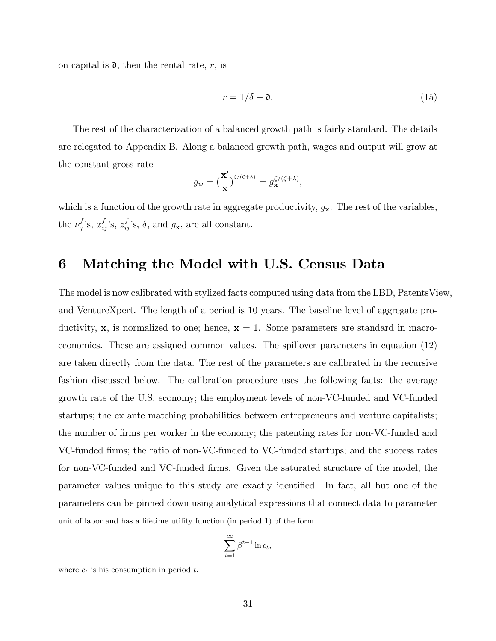on capital is  $\mathfrak{d}$ , then the rental rate, r, is

$$
r = 1/\delta - \mathfrak{d}.\tag{15}
$$

The rest of the characterization of a balanced growth path is fairly standard. The details are relegated to Appendix B. Along a balanced growth path, wages and output will grow at the constant gross rate

$$
g_w = \left(\frac{\mathbf{x}'}{\mathbf{x}}\right)^{\zeta/(\zeta+\lambda)} = g_{\mathbf{x}}^{\zeta/(\zeta+\lambda)},
$$

which is a function of the growth rate in aggregate productivity,  $g_{\mathbf{x}}$ . The rest of the variables, the  $\nu_j^f$ 's,  $x_{ij}^f$ 's,  $z_{ij}^f$ 's,  $\delta$ , and  $g_x$ , are all constant.

## 6 Matching the Model with U.S. Census Data

The model is now calibrated with stylized facts computed using data from the LBD, PatentsView, and VentureXpert. The length of a period is 10 years. The baseline level of aggregate productivity, **x**, is normalized to one; hence,  $x = 1$ . Some parameters are standard in macroeconomics. These are assigned common values. The spillover parameters in equation (12) are taken directly from the data. The rest of the parameters are calibrated in the recursive fashion discussed below. The calibration procedure uses the following facts: the average growth rate of the U.S. economy; the employment levels of non-VC-funded and VC-funded startups; the ex ante matching probabilities between entrepreneurs and venture capitalists; the number of firms per worker in the economy; the patenting rates for non-VC-funded and VC-funded Örms; the ratio of non-VC-funded to VC-funded startups; and the success rates for non-VC-funded and VC-funded firms. Given the saturated structure of the model, the parameter values unique to this study are exactly identified. In fact, all but one of the parameters can be pinned down using analytical expressions that connect data to parameter unit of labor and has a lifetime utility function (in period 1) of the form

$$
\sum_{t=1}^{\infty} \beta^{t-1} \ln c_t,
$$

where  $c_t$  is his consumption in period t.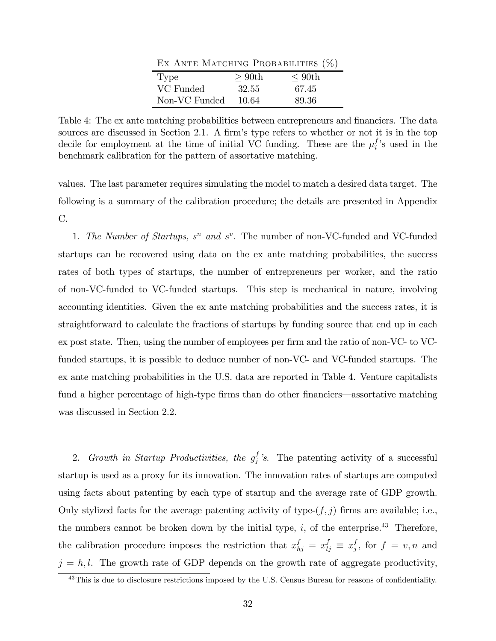Ex Ante Matching Probabilities (%)

| 'Type         | $>90$ th | $\rm 90th$ |
|---------------|----------|------------|
| VC Funded     | 32.55    | 67.45      |
| Non-VC Funded | 10.64    | 89.36      |

Table 4: The ex ante matching probabilities between entrepreneurs and financiers. The data sources are discussed in Section 2.1. A firm's type refers to whether or not it is in the top decile for employment at the time of initial VC funding. These are the  $\mu_i^f$ 's used in the benchmark calibration for the pattern of assortative matching.

values. The last parameter requires simulating the model to match a desired data target. The following is a summary of the calibration procedure; the details are presented in Appendix C.

1. The Number of Startups,  $s^n$  and  $s^v$ . The number of non-VC-funded and VC-funded startups can be recovered using data on the ex ante matching probabilities, the success rates of both types of startups, the number of entrepreneurs per worker, and the ratio of non-VC-funded to VC-funded startups. This step is mechanical in nature, involving accounting identities. Given the ex ante matching probabilities and the success rates, it is straightforward to calculate the fractions of startups by funding source that end up in each ex post state. Then, using the number of employees per firm and the ratio of non-VC- to VCfunded startups, it is possible to deduce number of non-VC- and VC-funded startups. The ex ante matching probabilities in the U.S. data are reported in Table 4. Venture capitalists fund a higher percentage of high-type firms than do other financiers—assortative matching was discussed in Section 2.2.

2. Growth in Startup Productivities, the  $g_j^f$ 's. The patenting activity of a successful startup is used as a proxy for its innovation. The innovation rates of startups are computed using facts about patenting by each type of startup and the average rate of GDP growth. Only stylized facts for the average patenting activity of type- $(f, j)$  firms are available; i.e., the numbers cannot be broken down by the initial type,  $i$ , of the enterprise.<sup>43</sup> Therefore, the calibration procedure imposes the restriction that  $x_{hj}^f = x_{lj}^f \equiv x_j^f$  $j,$  for  $f = v, n$  and  $j = h, l$ . The growth rate of GDP depends on the growth rate of aggregate productivity,

 $43$ This is due to disclosure restrictions imposed by the U.S. Census Bureau for reasons of confidentiality.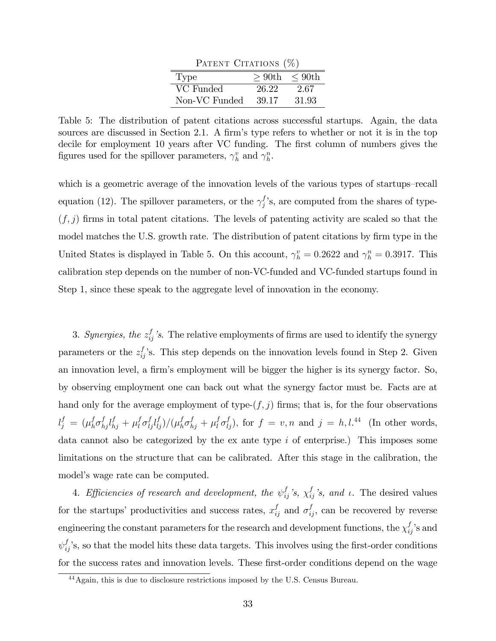| PATENT CITATIONS $(\%)$ |                     |       |  |  |  |
|-------------------------|---------------------|-------|--|--|--|
| Type                    | $> 90th$ $\lt$ 90th |       |  |  |  |
| VC Funded               | 26.22               | 2.67  |  |  |  |
| Non-VC Funded           | 39.17               | 31.93 |  |  |  |

Table 5: The distribution of patent citations across successful startups. Again, the data sources are discussed in Section 2.1. A firm's type refers to whether or not it is in the top decile for employment 10 years after VC funding. The first column of numbers gives the figures used for the spillover parameters,  $\gamma_h^v$  and  $\gamma_h^n$ .

which is a geometric average of the innovation levels of the various types of startups–recall equation (12). The spillover parameters, or the  $\gamma_j^f$ 's, are computed from the shares of type- $(f, j)$  firms in total patent citations. The levels of patenting activity are scaled so that the model matches the U.S. growth rate. The distribution of patent citations by firm type in the United States is displayed in Table 5. On this account,  $\gamma_h^v = 0.2622$  and  $\gamma_h^n = 0.3917$ . This calibration step depends on the number of non-VC-funded and VC-funded startups found in Step 1, since these speak to the aggregate level of innovation in the economy.

3. Synergies, the  $z_{ij}^f$ 's. The relative employments of firms are used to identify the synergy parameters or the  $z_{ij}^f$ 's. This step depends on the innovation levels found in Step 2. Given an innovation level, a firm's employment will be bigger the higher is its synergy factor. So, by observing employment one can back out what the synergy factor must be. Facts are at hand only for the average employment of type- $(f, j)$  firms; that is, for the four observations  $l_j^f \,=\, (\mu_h^f$  $_{h}^{f}\sigma_{hj}^{f}l_{hj}^{f} + \mu_{l}^{f}$  $\int_l^f\sigma_{lj}^f l_{lj}^f)/(\mu_h^f$  $_{h}^{f}\sigma_{hj}^{f}+\mu_{l}^{f}$  $\int_l^f \sigma_{lj}^f$ , for  $f = v, n$  and  $j = h, l$ .<sup>44</sup> (In other words, data cannot also be categorized by the ex ante type i of enterprise.) This imposes some limitations on the structure that can be calibrated. After this stage in the calibration, the model's wage rate can be computed.

4. Efficiencies of research and development, the  $\psi_{ij}^f$ 's,  $\chi_{ij}^f$ 's, and  $\iota$ . The desired values for the startups' productivities and success rates,  $x_{ij}^f$  and  $\sigma_{ij}^f$ , can be recovered by reverse engineering the constant parameters for the research and development functions, the  $\chi_{ij}^f$ 's and  $\psi_{ij}^f$ 's, so that the model hits these data targets. This involves using the first-order conditions for the success rates and innovation levels. These first-order conditions depend on the wage

<sup>44</sup>Again, this is due to disclosure restrictions imposed by the U.S. Census Bureau.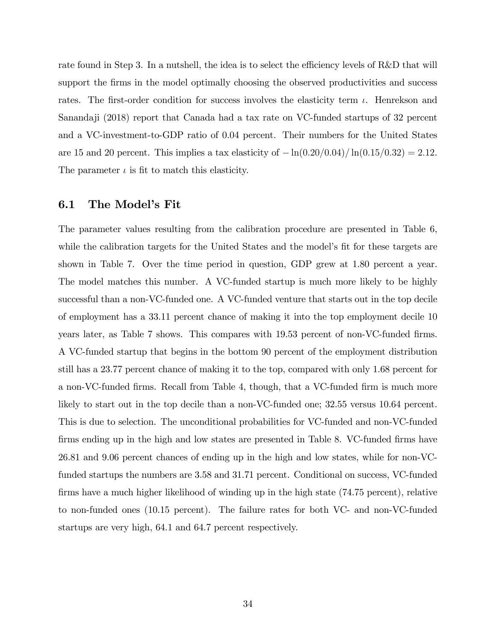rate found in Step 3. In a nutshell, the idea is to select the efficiency levels of  $R&D$  that will support the firms in the model optimally choosing the observed productivities and success rates. The first-order condition for success involves the elasticity term  $\iota$ . Henrekson and Sanandaji (2018) report that Canada had a tax rate on VC-funded startups of 32 percent and a VC-investment-to-GDP ratio of 0.04 percent. Their numbers for the United States are 15 and 20 percent. This implies a tax elasticity of  $-\ln(0.20/0.04)/\ln(0.15/0.32) = 2.12$ . The parameter  $\iota$  is fit to match this elasticity.

### 6.1 The Model's Fit

The parameter values resulting from the calibration procedure are presented in Table 6, while the calibration targets for the United States and the model's fit for these targets are shown in Table 7. Over the time period in question, GDP grew at 1.80 percent a year. The model matches this number. A VC-funded startup is much more likely to be highly successful than a non-VC-funded one. A VC-funded venture that starts out in the top decile of employment has a 33.11 percent chance of making it into the top employment decile 10 years later, as Table 7 shows. This compares with 19.53 percent of non-VC-funded firms. A VC-funded startup that begins in the bottom 90 percent of the employment distribution still has a 23.77 percent chance of making it to the top, compared with only 1.68 percent for a non-VC-funded Örms. Recall from Table 4, though, that a VC-funded Örm is much more likely to start out in the top decile than a non-VC-funded one; 32.55 versus 10.64 percent. This is due to selection. The unconditional probabilities for VC-funded and non-VC-funded firms ending up in the high and low states are presented in Table 8. VC-funded firms have 26.81 and 9.06 percent chances of ending up in the high and low states, while for non-VCfunded startups the numbers are 3.58 and 31.71 percent. Conditional on success, VC-funded firms have a much higher likelihood of winding up in the high state  $(74.75$  percent), relative to non-funded ones (10.15 percent). The failure rates for both VC- and non-VC-funded startups are very high, 64.1 and 64.7 percent respectively.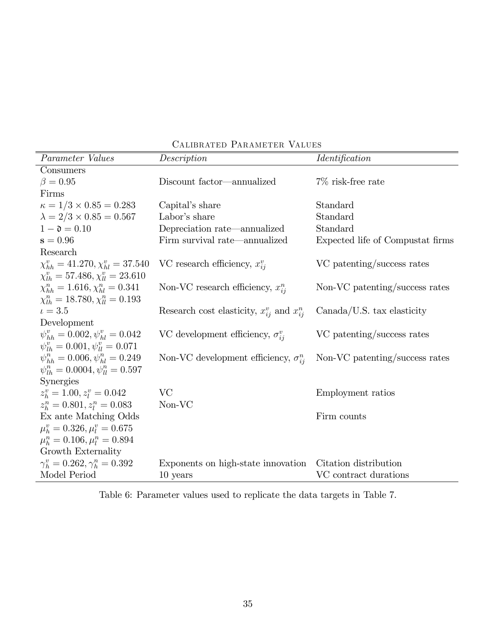| Parameter Values                               | Description                                         | <i><u><b>Identification</b></u></i> |
|------------------------------------------------|-----------------------------------------------------|-------------------------------------|
| Consumers                                      |                                                     |                                     |
| $\beta = 0.95$                                 | Discount factor—annualized                          | $7\%$ risk-free rate                |
| Firms                                          |                                                     |                                     |
| $\kappa = 1/3 \times 0.85 = 0.283$             | Capital's share                                     | Standard                            |
| $\lambda = 2/3 \times 0.85 = 0.567$            | Labor's share                                       | Standard                            |
| $1 - \mathfrak{d} = 0.10$                      | Depreciation rate—annualized                        | Standard                            |
| $s = 0.96$                                     | Firm survival rate—annualized                       | Expected life of Compustat firms    |
| Research                                       |                                                     |                                     |
| $\chi_{hh}^v = 41.270, \chi_{hl}^v = 37.540$   | VC research efficiency, $x_{ii}^{v}$                | VC patenting/success rates          |
| $\chi_{lh}^v = 57.486, \chi_{ll}^v = 23.610$   |                                                     |                                     |
| $\chi_{hh}^{n} = 1.616, \chi_{hl}^{n} = 0.341$ | Non-VC research efficiency, $x_{ii}^{n}$            | Non-VC patenting/success rates      |
| $\chi_{lh}^n = 18.780, \chi_{ll}^n = 0.193$    |                                                     |                                     |
| $t = 3.5$                                      | Research cost elasticity, $x_{ij}^v$ and $x_{ij}^n$ | $Canada/US.$ tax elasticity         |
| Development                                    |                                                     |                                     |
| $\psi_{hh}^v = 0.002, \psi_{hl}^v = 0.042$     | VC development efficiency, $\sigma_{ii}^{v}$        | VC patenting/success rates          |
| $\psi_{lh}^v = 0.001, \psi_{ll}^v = 0.071$     |                                                     |                                     |
| $\psi_{hh}^{n} = 0.006, \psi_{hl}^{n} = 0.249$ | Non-VC development efficiency, $\sigma_{ij}^n$      | Non-VC patenting/success rates      |
| $\psi_{1h}^n = 0.0004, \psi_{1l}^n = 0.597$    |                                                     |                                     |
| Synergies                                      |                                                     |                                     |
| $z_k^v = 1.00, z_l^v = 0.042$                  | VC                                                  | Employment ratios                   |
| $z_k^n = 0.801, z_l^n = 0.083$                 | Non-VC                                              |                                     |
| Ex ante Matching Odds                          |                                                     | Firm counts                         |
| $\mu_h^v = 0.326, \mu_l^v = 0.675$             |                                                     |                                     |
| $\mu_h^n = 0.106, \mu_l^n = 0.894$             |                                                     |                                     |
| Growth Externality                             |                                                     |                                     |
| $\gamma_h^v = 0.262, \gamma_h^n = 0.392$       | Exponents on high-state innovation                  | Citation distribution               |
| Model Period                                   | $10$ years                                          | VC contract durations               |

Calibrated Parameter Values

Table 6: Parameter values used to replicate the data targets in Table 7.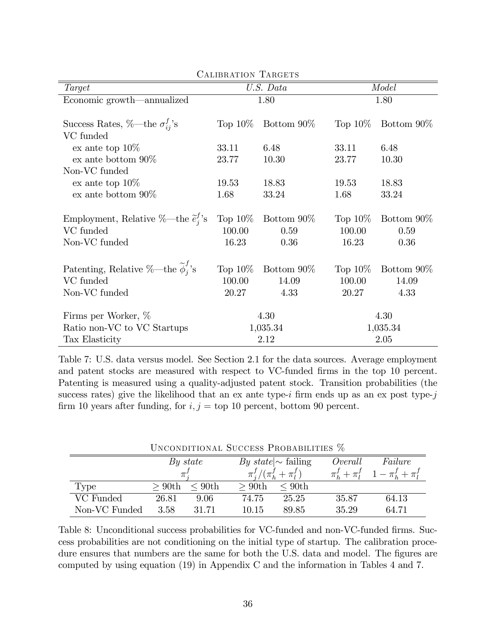| Target                                                         |            | U.S. Data     | Model      |                          |  |  |  |
|----------------------------------------------------------------|------------|---------------|------------|--------------------------|--|--|--|
| Economic growth—annualized                                     |            | 1.80          | 1.80       |                          |  |  |  |
|                                                                |            |               |            |                          |  |  |  |
| Success Rates, $\%$ —the $\sigma_{ii}^f$ 's                    | Top $10\%$ | Bottom $90\%$ | Top $10\%$ | Bottom 90\%              |  |  |  |
| VC funded                                                      |            |               |            |                          |  |  |  |
| ex ante top $10\%$                                             | 33.11      | 6.48          | 33.11      | 6.48                     |  |  |  |
| $ex$ ante bottom $90\%$                                        | 23.77      | 10.30         | 23.77      | 10.30                    |  |  |  |
| Non-VC funded                                                  |            |               |            |                          |  |  |  |
| ex ante top $10\%$                                             | 19.53      | 18.83         | 19.53      | 18.83                    |  |  |  |
| ex ante bottom $90\%$                                          | 1.68       | 33.24         | 1.68       | 33.24                    |  |  |  |
|                                                                |            |               |            |                          |  |  |  |
| Employment, Relative %—the $\tilde{e}_i^j$ 's                  | Top $10\%$ | Bottom 90\%   | Top $10\%$ | Bottom 90\%              |  |  |  |
| VC funded                                                      | 100.00     | 0.59          | 100.00     | 0.59                     |  |  |  |
| Non-VC funded                                                  | 16.23      | 0.36          | 16.23      | 0.36                     |  |  |  |
|                                                                |            |               |            |                          |  |  |  |
| Patenting, Relative %—the $\widetilde{\boldsymbol\phi}_i^f$ 's | Top $10\%$ | Bottom 90\%   |            | Top $10\%$ Bottom $90\%$ |  |  |  |
| VC funded                                                      | 100.00     | 14.09         | 100.00     | 14.09                    |  |  |  |
| Non-VC funded                                                  | 20.27      | 4.33          | 20.27      | 4.33                     |  |  |  |
| Firms per Worker, %                                            |            | 4.30          |            | 4.30                     |  |  |  |
| Ratio non-VC to VC Startups                                    |            | 1,035.34      | 1,035.34   |                          |  |  |  |
| Tax Elasticity                                                 | 2.12       |               | 2.05       |                          |  |  |  |

CALIBRATION TARGETS

Table 7: U.S. data versus model. See Section 2.1 for the data sources. Average employment and patent stocks are measured with respect to VC-funded firms in the top 10 percent. Patenting is measured using a quality-adjusted patent stock. Transition probabilities (the success rates) give the likelihood that an ex ante type-i firm ends up as an ex post type-j firm 10 years after funding, for  $i, j =$  top 10 percent, bottom 90 percent.

| UNCONDITIONAL SUCCESS PROBABILITIES 70 |          |              |          |                             |       |                                                 |  |  |
|----------------------------------------|----------|--------------|----------|-----------------------------|-------|-------------------------------------------------|--|--|
|                                        | By state | Failure      |          |                             |       |                                                 |  |  |
|                                        | $\pi$ .  |              |          | $\pi^f_i/(\pi^f_h+\pi^f_l)$ |       | $\pi_h^f + \pi_l^f \quad 1 - \pi_h^f + \pi_l^f$ |  |  |
| Type                                   | $>90$ th | $\leq 90$ th | $>90$ th | $\leq 90$ th                |       |                                                 |  |  |
| VC Funded                              | 26.81    | 9.06         | 74.75    | 25.25                       | 35.87 | 64.13                                           |  |  |
| Non-VC Funded                          | 3.58     | 31.71        | 10.15    | 89.85                       | 35.29 | 64.71                                           |  |  |

Unconditional Success Probabilities %

Table 8: Unconditional success probabilities for VC-funded and non-VC-funded firms. Success probabilities are not conditioning on the initial type of startup. The calibration procedure ensures that numbers are the same for both the U.S. data and model. The figures are computed by using equation (19) in Appendix C and the information in Tables 4 and 7.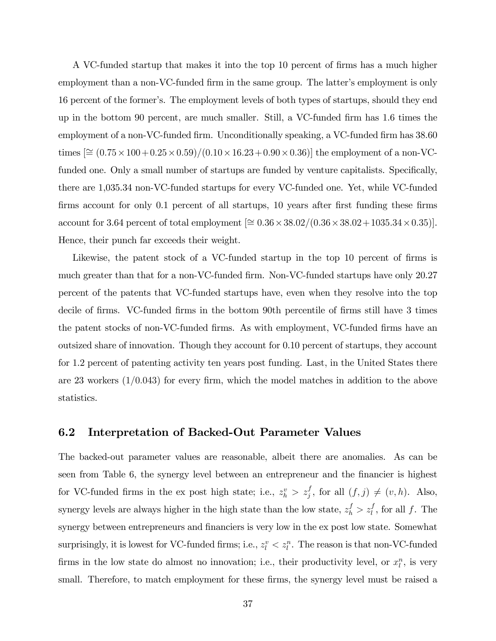A VC-funded startup that makes it into the top 10 percent of firms has a much higher employment than a non-VC-funded firm in the same group. The latter's employment is only 16 percent of the formerís. The employment levels of both types of startups, should they end up in the bottom 90 percent, are much smaller. Still, a VC-funded Örm has 1.6 times the employment of a non-VC-funded firm. Unconditionally speaking, a VC-funded firm has 38.60 times  $[\approx (0.75 \times 100 + 0.25 \times 0.59) / (0.10 \times 16.23 + 0.90 \times 0.36)]$  the employment of a non-VCfunded one. Only a small number of startups are funded by venture capitalists. Specifically, there are 1,035.34 non-VC-funded startups for every VC-funded one. Yet, while VC-funded firms account for only 0.1 percent of all startups, 10 years after first funding these firms  $\text{account for } 3.64 \text{ percent of total employment } [\approx 0.36 \times 38.02 / (0.36 \times 38.02 + 1035.34 \times 0.35)].$ Hence, their punch far exceeds their weight.

Likewise, the patent stock of a VC-funded startup in the top 10 percent of firms is much greater than that for a non-VC-funded firm. Non-VC-funded startups have only 20.27 percent of the patents that VC-funded startups have, even when they resolve into the top decile of firms. VC-funded firms in the bottom 90th percentile of firms still have 3 times the patent stocks of non-VC-funded firms. As with employment, VC-funded firms have an outsized share of innovation. Though they account for 0.10 percent of startups, they account for 1.2 percent of patenting activity ten years post funding. Last, in the United States there are 23 workers  $(1/0.043)$  for every firm, which the model matches in addition to the above statistics.

## 6.2 Interpretation of Backed-Out Parameter Values

The backed-out parameter values are reasonable, albeit there are anomalies. As can be seen from Table 6, the synergy level between an entrepreneur and the financier is highest for VC-funded firms in the ex post high state; i.e.,  $z_h^v > z_j^f$ , for all  $(f, j) \neq (v, h)$ . Also, synergy levels are always higher in the high state than the low state,  $z_h^f > z_l^f$ , for all f. The synergy between entrepreneurs and financiers is very low in the ex post low state. Somewhat surprisingly, it is lowest for VC-funded firms; i.e.,  $z_l^v < z_l^n$ . The reason is that non-VC-funded firms in the low state do almost no innovation; i.e., their productivity level, or  $x_l^n$ , is very small. Therefore, to match employment for these firms, the synergy level must be raised a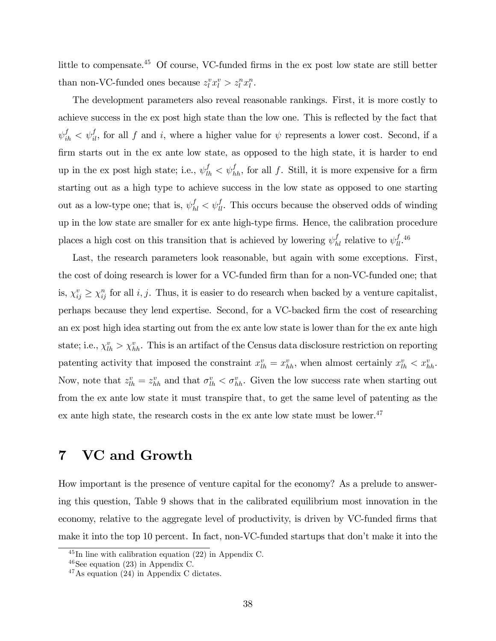little to compensate.<sup>45</sup> Of course, VC-funded firms in the ex post low state are still better than non-VC-funded ones because  $z_l^v x_l^v > z_l^u x_l^u$ .

The development parameters also reveal reasonable rankings. First, it is more costly to achieve success in the ex post high state than the low one. This is reflected by the fact that  $\psi_{ih}^f < \psi_{il}^f$ , for all f and i, where a higher value for  $\psi$  represents a lower cost. Second, if a firm starts out in the ex ante low state, as opposed to the high state, it is harder to end up in the ex post high state; i.e.,  $\psi_{lh}^f < \psi_{hh}^f$ , for all f. Still, it is more expensive for a firm starting out as a high type to achieve success in the low state as opposed to one starting out as a low-type one; that is,  $\psi_{hl}^f < \psi_{ll}^f$ . This occurs because the observed odds of winding up in the low state are smaller for ex ante high-type firms. Hence, the calibration procedure places a high cost on this transition that is achieved by lowering  $\psi_{hl}^f$  relative to  $\psi_{ll}^{f}$ .<sup>46</sup>

Last, the research parameters look reasonable, but again with some exceptions. First, the cost of doing research is lower for a VC-funded firm than for a non-VC-funded one; that is,  $\chi_{ij}^v \geq \chi_{ij}^n$  for all i, j. Thus, it is easier to do research when backed by a venture capitalist, perhaps because they lend expertise. Second, for a VC-backed Örm the cost of researching an ex post high idea starting out from the ex ante low state is lower than for the ex ante high state; i.e.,  $\chi_{lh}^v > \chi_{hh}^v$ . This is an artifact of the Census data disclosure restriction on reporting patenting activity that imposed the constraint  $x_{lh}^v = x_{hh}^v$ , when almost certainly  $x_{lh}^v < x_{hh}^v$ . Now, note that  $z_{lh}^v = z_{hh}^v$  and that  $\sigma_{lh}^v < \sigma_{hh}^v$ . Given the low success rate when starting out from the ex ante low state it must transpire that, to get the same level of patenting as the ex ante high state, the research costs in the ex ante low state must be lower.<sup>47</sup>

## 7 VC and Growth

How important is the presence of venture capital for the economy? As a prelude to answering this question, Table 9 shows that in the calibrated equilibrium most innovation in the economy, relative to the aggregate level of productivity, is driven by VC-funded firms that make it into the top 10 percent. In fact, non-VC-funded startups that don't make it into the

 $^{45}$ In line with calibration equation (22) in Appendix C.

 $46$ See equation (23) in Appendix C.

 $47\,\mathrm{As}$  equation (24) in Appendix C dictates.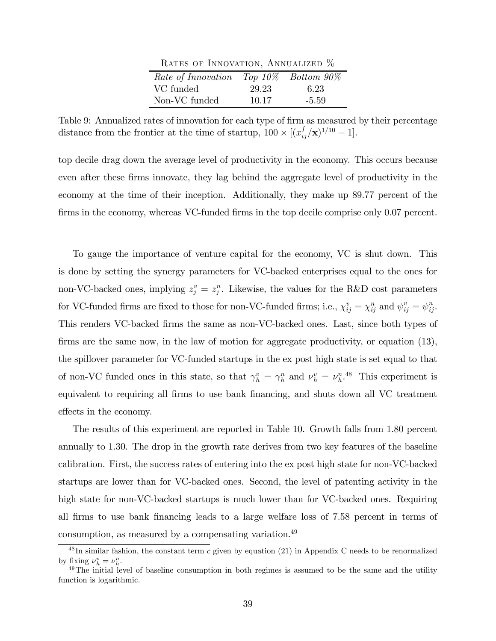| RATES OF INNOVATION, ANNUALIZED $\%$        |       |         |  |  |  |  |  |
|---------------------------------------------|-------|---------|--|--|--|--|--|
| Rate of Innovation Top $10\%$ Bottom $90\%$ |       |         |  |  |  |  |  |
| VC funded                                   | 29.23 | 6.23    |  |  |  |  |  |
| Non-VC funded                               | 10.17 | $-5.59$ |  |  |  |  |  |

 $\mathbf{D}_{\text{trans}}$  of Innovation, Annualized  $\mathbf{M}$ 

Table 9: Annualized rates of innovation for each type of firm as measured by their percentage distance from the frontier at the time of startup,  $100 \times \left[ (x_{ij}^f/\mathbf{x})^{1/10} - 1 \right]$ .

top decile drag down the average level of productivity in the economy. This occurs because even after these Örms innovate, they lag behind the aggregate level of productivity in the economy at the time of their inception. Additionally, they make up 89.77 percent of the firms in the economy, whereas VC-funded firms in the top decile comprise only 0.07 percent.

To gauge the importance of venture capital for the economy, VC is shut down. This is done by setting the synergy parameters for VC-backed enterprises equal to the ones for non-VC-backed ones, implying  $z_j^v = z_j^v$ . Likewise, the values for the R&D cost parameters for VC-funded firms are fixed to those for non-VC-funded firms; i.e.,  $\chi_{ij}^v = \chi_{ij}^n$  and  $\psi_{ij}^v = \psi_{ij}^n$ . This renders VC-backed firms the same as non-VC-backed ones. Last, since both types of firms are the same now, in the law of motion for aggregate productivity, or equation (13), the spillover parameter for VC-funded startups in the ex post high state is set equal to that of non-VC funded ones in this state, so that  $\gamma_h^v = \gamma_h^n$  and  $\nu_h^v = \nu_h^n$ .<sup>48</sup> This experiment is equivalent to requiring all firms to use bank financing, and shuts down all VC treatment effects in the economy.

The results of this experiment are reported in Table 10. Growth falls from 1.80 percent annually to 1.30. The drop in the growth rate derives from two key features of the baseline calibration. First, the success rates of entering into the ex post high state for non-VC-backed startups are lower than for VC-backed ones. Second, the level of patenting activity in the high state for non-VC-backed startups is much lower than for VC-backed ones. Requiring all Örms to use bank Önancing leads to a large welfare loss of 7.58 percent in terms of consumption, as measured by a compensating variation.<sup>49</sup>

 $^{48}$ In similar fashion, the constant term c given by equation (21) in Appendix C needs to be renormalized by fixing  $\nu_h^v = \nu_h^n$ .

<sup>&</sup>lt;sup>49</sup>The initial level of baseline consumption in both regimes is assumed to be the same and the utility function is logarithmic.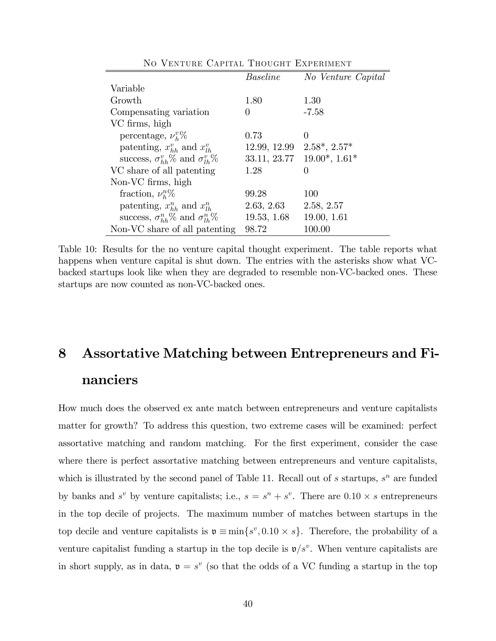|                                                  | <i>Baseline</i> | No Venture Capital   |
|--------------------------------------------------|-----------------|----------------------|
| Variable                                         |                 |                      |
| Growth                                           | 1.80            | 1.30                 |
| Compensating variation                           | $\theta$        | $-7.58$              |
| VC firms, high                                   |                 |                      |
| percentage, $\nu_h^v\%$                          | 0.73            | $\theta$             |
| patenting, $x_{hh}^v$ and $x_{lh}^v$             | 12.99, 12.99    | $2.58^*$ , $2.57^*$  |
| success, $\sigma_{hh}^v\%$ and $\sigma_{lh}^v\%$ | 33.11, 23.77    | $19.00^*$ , $1.61^*$ |
| VC share of all patenting                        | 1.28            | 0                    |
| Non-VC firms, high                               |                 |                      |
| fraction, $\nu_h^n\%$                            | 99.28           | 100                  |
| patenting, $x_{hh}^n$ and $x_{lh}^n$             | 2.63, 2.63      | 2.58, 2.57           |
| success, $\sigma_{hh}^n$ % and $\sigma_{lh}^n$ % | 19.53, 1.68     | 19.00, 1.61          |
| Non-VC share of all patenting                    | 98.72           | 100.00               |

No Venture Capital Thought Experiment

Table 10: Results for the no venture capital thought experiment. The table reports what happens when venture capital is shut down. The entries with the asterisks show what VCbacked startups look like when they are degraded to resemble non-VC-backed ones. These startups are now counted as non-VC-backed ones.

# 8 Assortative Matching between Entrepreneurs and Financiers

How much does the observed ex ante match between entrepreneurs and venture capitalists matter for growth? To address this question, two extreme cases will be examined: perfect assortative matching and random matching. For the Örst experiment, consider the case where there is perfect assortative matching between entrepreneurs and venture capitalists, which is illustrated by the second panel of Table 11. Recall out of  $s$  startups,  $s^n$  are funded by banks and  $s^v$  by venture capitalists; i.e.,  $s = s^n + s^v$ . There are  $0.10 \times s$  entrepreneurs in the top decile of projects. The maximum number of matches between startups in the top decile and venture capitalists is  $\mathfrak{v} \equiv \min\{s^v, 0.10 \times s\}$ . Therefore, the probability of a venture capitalist funding a startup in the top decile is  $\mathfrak{v}/s^v$ . When venture capitalists are in short supply, as in data,  $\mathfrak{v} = s^v$  (so that the odds of a VC funding a startup in the top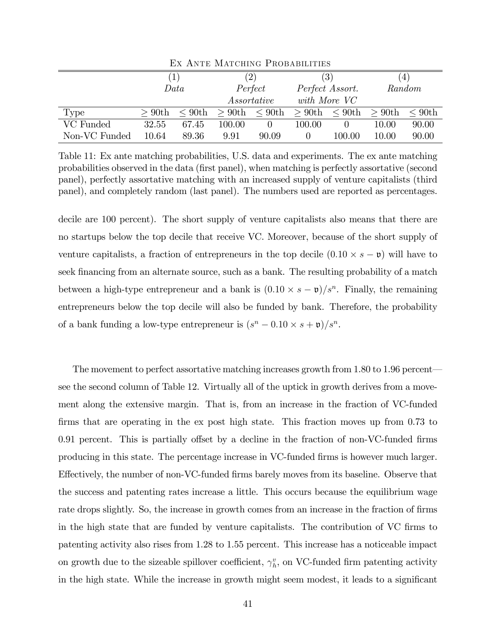| 111 1111 111 11111 VIIIIIV 1 10V DIIDIDI 1110 |          |              |                   |             |                        |              |                 |              |
|-----------------------------------------------|----------|--------------|-------------------|-------------|------------------------|--------------|-----------------|--------------|
|                                               | $\perp$  |              | $\left( 2\right)$ |             | $\left( 3\right)$      |              | $\vert 4 \vert$ |              |
|                                               | Data     |              |                   | Perfect     | Perfect Assort.        |              | Random          |              |
|                                               |          |              |                   | Assortative |                        | with More VC |                 |              |
| Type                                          | $>90$ th | $\leq 90$ th | $>90$ th          |             | $\leq 90$ th $> 90$ th | $\rm < 90th$ | $>90$ th        | $\leq 90$ th |
| VC Funded                                     | 32.55    | 67.45        | 100.00            |             | 100.00                 |              | 10.00           | 90.00        |
| Non-VC Funded                                 | 10.64    | 89.36        | 9.91              | 90.09       |                        | 100.00       | 10.00           | 90.00        |

Ex Ante Matching Probabilities

Table 11: Ex ante matching probabilities, U.S. data and experiments. The ex ante matching probabilities observed in the data (Örst panel), when matching is perfectly assortative (second panel), perfectly assortative matching with an increased supply of venture capitalists (third panel), and completely random (last panel). The numbers used are reported as percentages.

decile are 100 percent). The short supply of venture capitalists also means that there are no startups below the top decile that receive VC. Moreover, because of the short supply of venture capitalists, a fraction of entrepreneurs in the top decile  $(0.10 \times s - \mathfrak{v})$  will have to seek financing from an alternate source, such as a bank. The resulting probability of a match between a high-type entrepreneur and a bank is  $(0.10 \times s - \mathfrak{v})/s^n$ . Finally, the remaining entrepreneurs below the top decile will also be funded by bank. Therefore, the probability of a bank funding a low-type entrepreneur is  $(s<sup>n</sup> - 0.10 \times s + \mathfrak{v})/s<sup>n</sup>$ .

The movement to perfect assortative matching increases growth from  $1.80$  to  $1.96$  percent see the second column of Table 12. Virtually all of the uptick in growth derives from a movement along the extensive margin. That is, from an increase in the fraction of VC-funded firms that are operating in the ex post high state. This fraction moves up from 0.73 to  $0.91$  percent. This is partially offset by a decline in the fraction of non-VC-funded firms producing in this state. The percentage increase in VC-funded Örms is however much larger. Effectively, the number of non-VC-funded firms barely moves from its baseline. Observe that the success and patenting rates increase a little. This occurs because the equilibrium wage rate drops slightly. So, the increase in growth comes from an increase in the fraction of firms in the high state that are funded by venture capitalists. The contribution of VC firms to patenting activity also rises from 1.28 to 1.55 percent. This increase has a noticeable impact on growth due to the sizeable spillover coefficient,  $\gamma_h^v$ , on VC-funded firm patenting activity in the high state. While the increase in growth might seem modest, it leads to a significant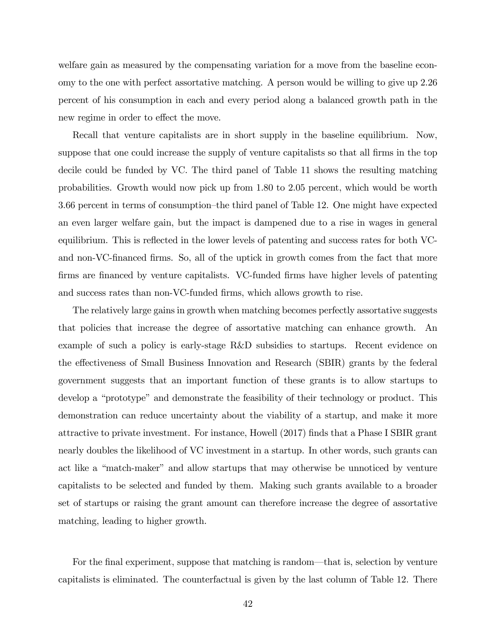welfare gain as measured by the compensating variation for a move from the baseline economy to the one with perfect assortative matching. A person would be willing to give up 2.26 percent of his consumption in each and every period along a balanced growth path in the new regime in order to effect the move.

Recall that venture capitalists are in short supply in the baseline equilibrium. Now, suppose that one could increase the supply of venture capitalists so that all firms in the top decile could be funded by VC. The third panel of Table 11 shows the resulting matching probabilities. Growth would now pick up from 1.80 to 2.05 percent, which would be worth 3.66 percent in terms of consumption–the third panel of Table 12. One might have expected an even larger welfare gain, but the impact is dampened due to a rise in wages in general equilibrium. This is reflected in the lower levels of patenting and success rates for both VCand non-VC-financed firms. So, all of the uptick in growth comes from the fact that more firms are financed by venture capitalists. VC-funded firms have higher levels of patenting and success rates than non-VC-funded firms, which allows growth to rise.

The relatively large gains in growth when matching becomes perfectly assortative suggests that policies that increase the degree of assortative matching can enhance growth. An example of such a policy is early-stage R&D subsidies to startups. Recent evidence on the effectiveness of Small Business Innovation and Research (SBIR) grants by the federal government suggests that an important function of these grants is to allow startups to develop a "prototype" and demonstrate the feasibility of their technology or product. This demonstration can reduce uncertainty about the viability of a startup, and make it more attractive to private investment. For instance, Howell (2017) Önds that a Phase I SBIR grant nearly doubles the likelihood of VC investment in a startup. In other words, such grants can act like a "match-maker" and allow startups that may otherwise be unnoticed by venture capitalists to be selected and funded by them. Making such grants available to a broader set of startups or raising the grant amount can therefore increase the degree of assortative matching, leading to higher growth.

For the final experiment, suppose that matching is random—that is, selection by venture capitalists is eliminated. The counterfactual is given by the last column of Table 12. There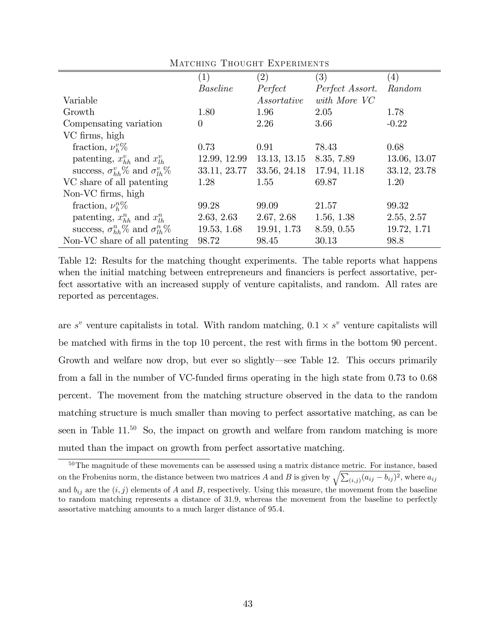| $\left(1\right)$ | (2)          | (3)             | $\left(4\right)$ |
|------------------|--------------|-----------------|------------------|
| <b>Baseline</b>  | Perfect      | Perfect Assort. | Random           |
|                  | Assortative  | with More VC    |                  |
| 1.80             | 1.96         | 2.05            | 1.78             |
| $\theta$         | 2.26         | 3.66            | $-0.22$          |
|                  |              |                 |                  |
| 0.73             | 0.91         | 78.43           | 0.68             |
| 12.99, 12.99     | 13.13, 13.15 | 8.35, 7.89      | 13.06, 13.07     |
| 33.11, 23.77     | 33.56, 24.18 | 17.94, 11.18    | 33.12, 23.78     |
| 1.28             | 1.55         | 69.87           | 1.20             |
|                  |              |                 |                  |
| 99.28            | 99.09        | 21.57           | 99.32            |
| 2.63, 2.63       | 2.67, 2.68   | 1.56, 1.38      | 2.55, 2.57       |
| 19.53, 1.68      | 19.91, 1.73  | 8.59, 0.55      | 19.72, 1.71      |
| 98.72            | 98.45        | 30.13           | 98.8             |
|                  |              |                 |                  |

Matching Thought Experiments

Table 12: Results for the matching thought experiments. The table reports what happens when the initial matching between entrepreneurs and financiers is perfect assortative, perfect assortative with an increased supply of venture capitalists, and random. All rates are reported as percentages.

are  $s^v$  venture capitalists in total. With random matching,  $0.1 \times s^v$  venture capitalists will be matched with Örms in the top 10 percent, the rest with Örms in the bottom 90 percent. Growth and welfare now drop, but ever so slightly—see Table 12. This occurs primarily from a fall in the number of VC-funded firms operating in the high state from 0.73 to 0.68 percent. The movement from the matching structure observed in the data to the random matching structure is much smaller than moving to perfect assortative matching, as can be seen in Table  $11^{50}$  So, the impact on growth and welfare from random matching is more muted than the impact on growth from perfect assortative matching.

<sup>50</sup>The magnitude of these movements can be assessed using a matrix distance metric. For instance, based on the Frobenius norm, the distance between two matrices A and B is given by  $\sqrt{\sum_{(i,j)} (a_{ij} - b_{ij})^2}$ , where  $a_{ij}$ and  $b_{ij}$  are the  $(i, j)$  elements of A and B, respectively. Using this measure, the movement from the baseline to random matching represents a distance of 31:9; whereas the movement from the baseline to perfectly assortative matching amounts to a much larger distance of 95:4: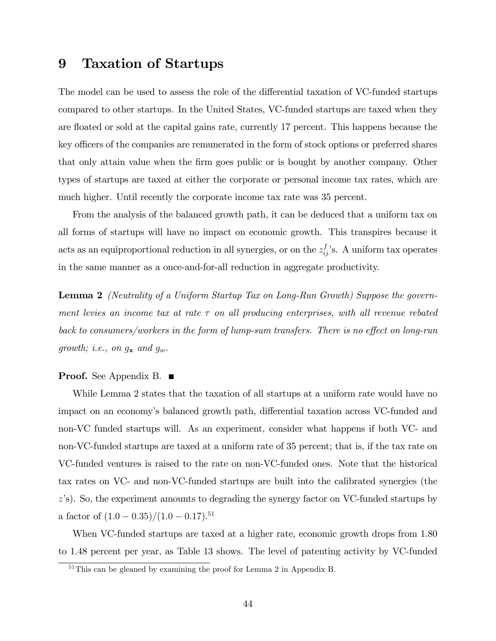## 9 Taxation of Startups

The model can be used to assess the role of the differential taxation of VC-funded startups compared to other startups. In the United States, VC-funded startups are taxed when they are floated or sold at the capital gains rate, currently 17 percent. This happens because the key officers of the companies are remunerated in the form of stock options or preferred shares that only attain value when the Örm goes public or is bought by another company. Other types of startups are taxed at either the corporate or personal income tax rates, which are much higher. Until recently the corporate income tax rate was 35 percent.

From the analysis of the balanced growth path, it can be deduced that a uniform tax on all forms of startups will have no impact on economic growth. This transpires because it acts as an equiproportional reduction in all synergies, or on the  $z_{ij}^f$ 's. A uniform tax operates in the same manner as a once-and-for-all reduction in aggregate productivity.

Lemma 2 (Neutrality of a Uniform Startup Tax on Long-Run Growth) Suppose the government levies an income tax at rate  $\tau$  on all producing enterprises, with all revenue rebated back to consumers/workers in the form of lump-sum transfers. There is no effect on long-run growth; i.e., on  $g_{\mathbf{x}}$  and  $g_w$ .

### **Proof.** See Appendix B.  $\blacksquare$

While Lemma 2 states that the taxation of all startups at a uniform rate would have no impact on an economy's balanced growth path, differential taxation across VC-funded and non-VC funded startups will. As an experiment, consider what happens if both VC- and non-VC-funded startups are taxed at a uniform rate of 35 percent; that is, if the tax rate on VC-funded ventures is raised to the rate on non-VC-funded ones. Note that the historical tax rates on VC- and non-VC-funded startups are built into the calibrated synergies (the  $z$ 's). So, the experiment amounts to degrading the synergy factor on VC-funded startups by a factor of  $(1.0 - 0.35)/(1.0 - 0.17).$ <sup>51</sup>

When VC-funded startups are taxed at a higher rate, economic growth drops from 1.80 to 1.48 percent per year, as Table 13 shows. The level of patenting activity by VC-funded

 $51$ This can be gleaned by examining the proof for Lemma 2 in Appendix B.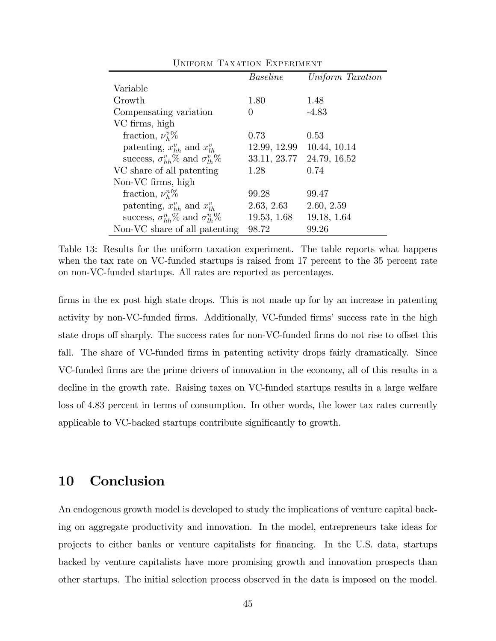|                                                  | <b>Baseline</b> | Uniform Taxation |
|--------------------------------------------------|-----------------|------------------|
| Variable                                         |                 |                  |
| Growth                                           | 1.80            | 1.48             |
| Compensating variation                           | 0               | $-4.83$          |
| VC firms, high                                   |                 |                  |
| fraction, $\nu_h^v\%$                            | 0.73            | 0.53             |
| patenting, $x_{hh}^v$ and $x_{lh}^v$             | 12.99, 12.99    | 10.44, 10.14     |
| success, $\sigma_{hh}^v\%$ and $\sigma_{lh}^v\%$ | 33.11, 23.77    | 24.79, 16.52     |
| VC share of all patenting                        | 1.28            | 0.74             |
| Non-VC firms, high                               |                 |                  |
| fraction, $\nu_h^n\%$                            | 99.28           | 99.47            |
| patenting, $x_{hh}^v$ and $x_{lh}^v$             | 2.63, 2.63      | 2.60, 2.59       |
| success, $\sigma_{hh}^n$ % and $\sigma_{lh}^n$ % | 19.53, 1.68     | 19.18, 1.64      |
| Non-VC share of all patenting                    | 98.72           | 99.26            |
|                                                  |                 |                  |

Uniform Taxation Experiment

Table 13: Results for the uniform taxation experiment. The table reports what happens when the tax rate on VC-funded startups is raised from 17 percent to the 35 percent rate on non-VC-funded startups. All rates are reported as percentages.

firms in the ex post high state drops. This is not made up for by an increase in patenting activity by non-VC-funded firms. Additionally, VC-funded firms' success rate in the high state drops off sharply. The success rates for non-VC-funded firms do not rise to offset this fall. The share of VC-funded firms in patenting activity drops fairly dramatically. Since VC-funded Örms are the prime drivers of innovation in the economy, all of this results in a decline in the growth rate. Raising taxes on VC-funded startups results in a large welfare loss of 4.83 percent in terms of consumption. In other words, the lower tax rates currently applicable to VC-backed startups contribute significantly to growth.

## 10 Conclusion

An endogenous growth model is developed to study the implications of venture capital backing on aggregate productivity and innovation. In the model, entrepreneurs take ideas for projects to either banks or venture capitalists for Önancing. In the U.S. data, startups backed by venture capitalists have more promising growth and innovation prospects than other startups. The initial selection process observed in the data is imposed on the model.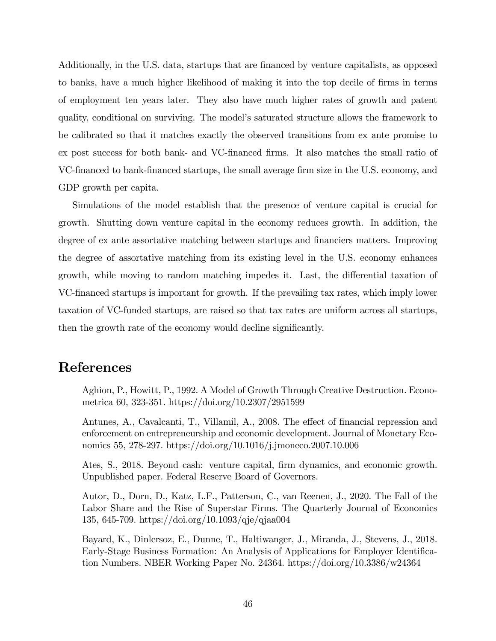Additionally, in the U.S. data, startups that are financed by venture capitalists, as opposed to banks, have a much higher likelihood of making it into the top decile of firms in terms of employment ten years later. They also have much higher rates of growth and patent quality, conditional on surviving. The modelís saturated structure allows the framework to be calibrated so that it matches exactly the observed transitions from ex ante promise to ex post success for both bank- and VC-Önanced Örms. It also matches the small ratio of VC-financed to bank-financed startups, the small average firm size in the U.S. economy, and GDP growth per capita.

Simulations of the model establish that the presence of venture capital is crucial for growth. Shutting down venture capital in the economy reduces growth. In addition, the degree of ex ante assortative matching between startups and financiers matters. Improving the degree of assortative matching from its existing level in the U.S. economy enhances growth, while moving to random matching impedes it. Last, the differential taxation of VC-financed startups is important for growth. If the prevailing tax rates, which imply lower taxation of VC-funded startups, are raised so that tax rates are uniform across all startups, then the growth rate of the economy would decline significantly.

## References

Aghion, P., Howitt, P., 1992. A Model of Growth Through Creative Destruction. Econometrica 60, 323-351. https://doi.org/10.2307/2951599

Antunes, A., Cavalcanti, T., Villamil, A., 2008. The effect of financial repression and enforcement on entrepreneurship and economic development. Journal of Monetary Economics 55, 278-297. https://doi.org/10.1016/j.jmoneco.2007.10.006

Ates, S., 2018. Beyond cash: venture capital, firm dynamics, and economic growth. Unpublished paper. Federal Reserve Board of Governors.

Autor, D., Dorn, D., Katz, L.F., Patterson, C., van Reenen, J., 2020. The Fall of the Labor Share and the Rise of Superstar Firms. The Quarterly Journal of Economics 135, 645-709. https://doi.org/10.1093/qje/qjaa004

Bayard, K., Dinlersoz, E., Dunne, T., Haltiwanger, J., Miranda, J., Stevens, J., 2018. Early-Stage Business Formation: An Analysis of Applications for Employer Identification Numbers. NBER Working Paper No. 24364. https://doi.org/10.3386/w24364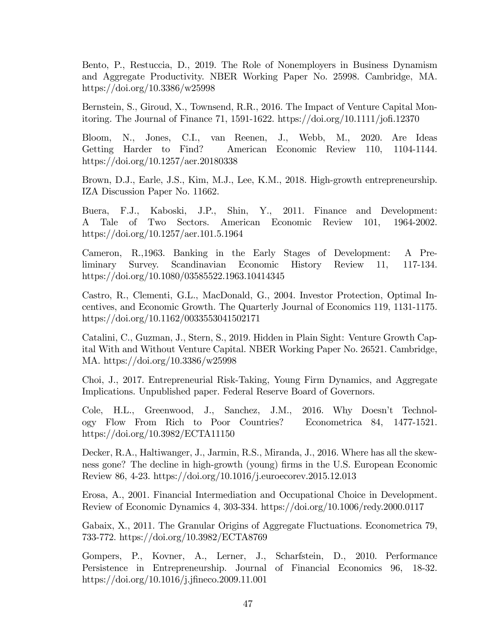Bento, P., Restuccia, D., 2019. The Role of Nonemployers in Business Dynamism and Aggregate Productivity. NBER Working Paper No. 25998. Cambridge, MA. https://doi.org/10.3386/w25998

Bernstein, S., Giroud, X., Townsend, R.R., 2016. The Impact of Venture Capital Monitoring. The Journal of Finance 71, 1591-1622. https://doi.org/10.1111/jofi.12370

Bloom, N., Jones, C.I., van Reenen, J., Webb, M., 2020. Are Ideas Getting Harder to Find? American Economic Review 110, 1104-1144. https://doi.org/10.1257/aer.20180338

Brown, D.J., Earle, J.S., Kim, M.J., Lee, K.M., 2018. High-growth entrepreneurship. IZA Discussion Paper No. 11662.

Buera, F.J., Kaboski, J.P., Shin, Y., 2011. Finance and Development: A Tale of Two Sectors. American Economic Review 101, 1964-2002. https://doi.org/10.1257/aer.101.5.1964

Cameron, R.,1963. Banking in the Early Stages of Development: A Preliminary Survey. Scandinavian Economic History Review 11, 117-134. https://doi.org/10.1080/03585522.1963.10414345

Castro, R., Clementi, G.L., MacDonald, G., 2004. Investor Protection, Optimal Incentives, and Economic Growth. The Quarterly Journal of Economics 119, 1131-1175. https://doi.org/10.1162/0033553041502171

Catalini, C., Guzman, J., Stern, S., 2019. Hidden in Plain Sight: Venture Growth Capital With and Without Venture Capital. NBER Working Paper No. 26521. Cambridge, MA. https://doi.org/10.3386/w25998

Choi, J., 2017. Entrepreneurial Risk-Taking, Young Firm Dynamics, and Aggregate Implications. Unpublished paper. Federal Reserve Board of Governors.

Cole, H.L., Greenwood, J., Sanchez, J.M., 2016. Why Doesn't Technology Flow From Rich to Poor Countries? Econometrica 84, 1477-1521. https://doi.org/10.3982/ECTA11150

Decker, R.A., Haltiwanger, J., Jarmin, R.S., Miranda, J., 2016. Where has all the skewness gone? The decline in high-growth (young) firms in the U.S. European Economic Review 86, 4-23. https://doi.org/10.1016/j.euroecorev.2015.12.013

Erosa, A., 2001. Financial Intermediation and Occupational Choice in Development. Review of Economic Dynamics 4, 303-334. https://doi.org/10.1006/redy.2000.0117

Gabaix, X., 2011. The Granular Origins of Aggregate Fluctuations. Econometrica 79, 733-772. https://doi.org/10.3982/ECTA8769

Gompers, P., Kovner, A., Lerner, J., Scharfstein, D., 2010. Performance Persistence in Entrepreneurship. Journal of Financial Economics 96, 18-32. https://doi.org/10.1016/j.jfineco.2009.11.001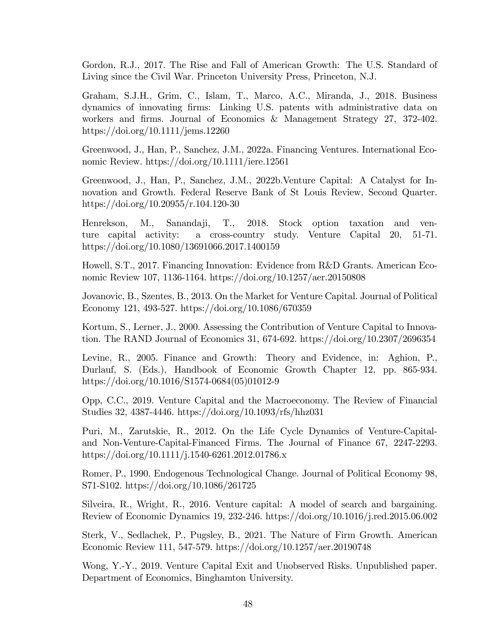Gordon, R.J., 2017. The Rise and Fall of American Growth: The U.S. Standard of Living since the Civil War. Princeton University Press, Princeton, N.J.

Graham, S.J.H., Grim, C., Islam, T., Marco, A.C., Miranda, J., 2018. Business dynamics of innovating Örms: Linking U.S. patents with administrative data on workers and firms. Journal of Economics & Management Strategy 27, 372-402. https://doi.org/10.1111/jems.12260

Greenwood, J., Han, P., Sanchez, J.M., 2022a. Financing Ventures. International Economic Review. https://doi.org/10.1111/iere.12561

Greenwood, J., Han, P., Sanchez, J.M., 2022b.Venture Capital: A Catalyst for Innovation and Growth. Federal Reserve Bank of St Louis Review, Second Quarter. https://doi.org/10.20955/r.104.120-30

Henrekson, M., Sanandaji, T., 2018. Stock option taxation and venture capital activity: a cross-country study. Venture Capital 20, 51-71. https://doi.org/10.1080/13691066.2017.1400159

Howell, S.T., 2017. Financing Innovation: Evidence from R&D Grants. American Economic Review 107, 1136-1164. https://doi.org/10.1257/aer.20150808

Jovanovic, B., Szentes, B., 2013. On the Market for Venture Capital. Journal of Political Economy 121, 493-527. https://doi.org/10.1086/670359

Kortum, S., Lerner, J., 2000. Assessing the Contribution of Venture Capital to Innovation. The RAND Journal of Economics 31, 674-692. https://doi.org/10.2307/2696354

Levine, R., 2005. Finance and Growth: Theory and Evidence, in: Aghion, P., Durlauf, S. (Eds.), Handbook of Economic Growth Chapter 12, pp. 865-934. https://doi.org/10.1016/S1574-0684(05)01012-9

Opp, C.C., 2019. Venture Capital and the Macroeconomy. The Review of Financial Studies 32, 4387-4446. https://doi.org/10.1093/rfs/hhz031

Puri, M., Zarutskie, R., 2012. On the Life Cycle Dynamics of Venture-Capitaland Non-Venture-Capital-Financed Firms. The Journal of Finance 67, 2247-2293. https://doi.org/10.1111/j.1540-6261.2012.01786.x

Romer, P., 1990. Endogenous Technological Change. Journal of Political Economy 98, S71-S102. https://doi.org/10.1086/261725

Silveira, R., Wright, R., 2016. Venture capital: A model of search and bargaining. Review of Economic Dynamics 19, 232-246. https://doi.org/10.1016/j.red.2015.06.002

Sterk, V., Sedlachek, P., Pugsley, B., 2021. The Nature of Firm Growth. American Economic Review 111, 547-579. https://doi.org/10.1257/aer.20190748

Wong, Y.-Y., 2019. Venture Capital Exit and Unobserved Risks. Unpublished paper. Department of Economics, Binghamton University.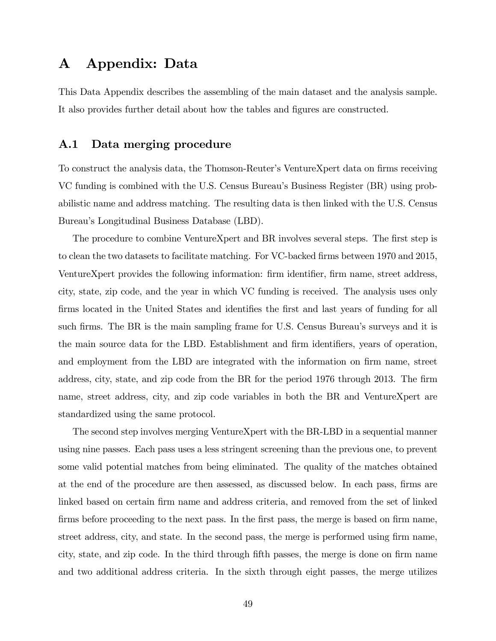## A Appendix: Data

This Data Appendix describes the assembling of the main dataset and the analysis sample. It also provides further detail about how the tables and figures are constructed.

## A.1 Data merging procedure

To construct the analysis data, the Thomson-Reuter's VentureXpert data on firms receiving VC funding is combined with the U.S. Census Bureau's Business Register (BR) using probabilistic name and address matching. The resulting data is then linked with the U.S. Census Bureauís Longitudinal Business Database (LBD).

The procedure to combine VentureXpert and BR involves several steps. The first step is to clean the two datasets to facilitate matching. For VC-backed firms between 1970 and 2015, VentureXpert provides the following information: firm identifier, firm name, street address, city, state, zip code, and the year in which VC funding is received. The analysis uses only firms located in the United States and identifies the first and last years of funding for all such firms. The BR is the main sampling frame for U.S. Census Bureau's surveys and it is the main source data for the LBD. Establishment and firm identifiers, years of operation, and employment from the LBD are integrated with the information on firm name, street address, city, state, and zip code from the BR for the period 1976 through 2013. The firm name, street address, city, and zip code variables in both the BR and VentureXpert are standardized using the same protocol.

The second step involves merging VentureXpert with the BR-LBD in a sequential manner using nine passes. Each pass uses a less stringent screening than the previous one, to prevent some valid potential matches from being eliminated. The quality of the matches obtained at the end of the procedure are then assessed, as discussed below. In each pass, Örms are linked based on certain firm name and address criteria, and removed from the set of linked firms before proceeding to the next pass. In the first pass, the merge is based on firm name, street address, city, and state. In the second pass, the merge is performed using firm name, city, state, and zip code. In the third through Öfth passes, the merge is done on Örm name and two additional address criteria. In the sixth through eight passes, the merge utilizes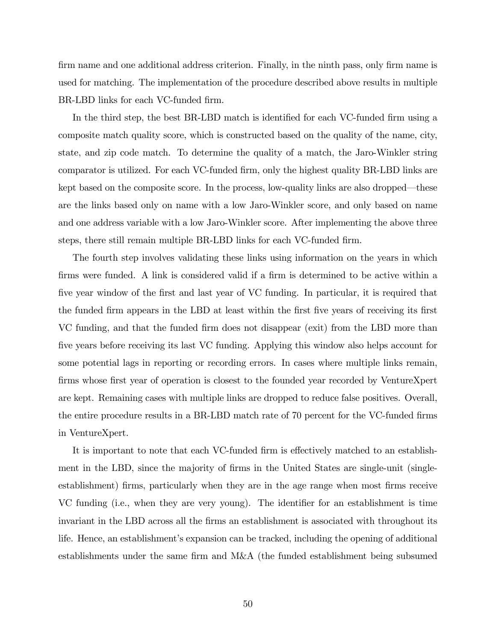firm name and one additional address criterion. Finally, in the ninth pass, only firm name is used for matching. The implementation of the procedure described above results in multiple BR-LBD links for each VC-funded firm.

In the third step, the best BR-LBD match is identified for each VC-funded firm using a composite match quality score, which is constructed based on the quality of the name, city, state, and zip code match. To determine the quality of a match, the Jaro-Winkler string comparator is utilized. For each VC-funded Örm, only the highest quality BR-LBD links are kept based on the composite score. In the process, low-quality links are also dropped—these are the links based only on name with a low Jaro-Winkler score, and only based on name and one address variable with a low Jaro-Winkler score. After implementing the above three steps, there still remain multiple BR-LBD links for each VC-funded firm.

The fourth step involves validating these links using information on the years in which firms were funded. A link is considered valid if a firm is determined to be active within a five year window of the first and last year of VC funding. In particular, it is required that the funded firm appears in the LBD at least within the first five years of receiving its first VC funding, and that the funded firm does not disappear (exit) from the LBD more than five years before receiving its last VC funding. Applying this window also helps account for some potential lags in reporting or recording errors. In cases where multiple links remain, firms whose first year of operation is closest to the founded year recorded by VentureXpert are kept. Remaining cases with multiple links are dropped to reduce false positives. Overall, the entire procedure results in a BR-LBD match rate of 70 percent for the VC-funded firms in VentureXpert.

It is important to note that each VC-funded firm is effectively matched to an establishment in the LBD, since the majority of firms in the United States are single-unit (singleestablishment) firms, particularly when they are in the age range when most firms receive VC funding (i.e., when they are very young). The identifier for an establishment is time invariant in the LBD across all the firms an establishment is associated with throughout its life. Hence, an establishment's expansion can be tracked, including the opening of additional establishments under the same firm and  $M&A$  (the funded establishment being subsumed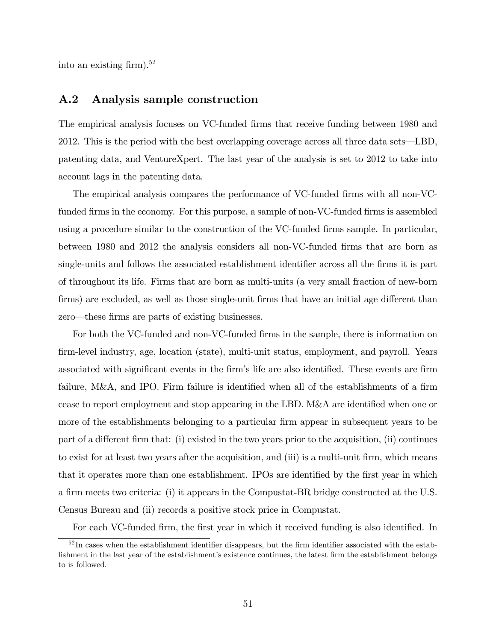into an existing firm).<sup>52</sup>

## A.2 Analysis sample construction

The empirical analysis focuses on VC-funded firms that receive funding between 1980 and 2012. This is the period with the best overlapping coverage across all three data sets—LBD, patenting data, and VentureXpert. The last year of the analysis is set to 2012 to take into account lags in the patenting data.

The empirical analysis compares the performance of VC-funded firms with all non-VCfunded firms in the economy. For this purpose, a sample of non-VC-funded firms is assembled using a procedure similar to the construction of the VC-funded firms sample. In particular, between 1980 and 2012 the analysis considers all non-VC-funded Örms that are born as single-units and follows the associated establishment identifier across all the firms it is part of throughout its life. Firms that are born as multi-units (a very small fraction of new-born firms) are excluded, as well as those single-unit firms that have an initial age different than zero—these firms are parts of existing businesses.

For both the VC-funded and non-VC-funded firms in the sample, there is information on Örm-level industry, age, location (state), multi-unit status, employment, and payroll. Years associated with significant events in the firm's life are also identified. These events are firm failure,  $M&A$ , and IPO. Firm failure is identified when all of the establishments of a firm cease to report employment and stop appearing in the LBD. M&A are identified when one or more of the establishments belonging to a particular firm appear in subsequent years to be part of a different firm that: (i) existed in the two years prior to the acquisition, (ii) continues to exist for at least two years after the acquisition, and (iii) is a multi-unit firm, which means that it operates more than one establishment. IPOs are identified by the first year in which a firm meets two criteria: (i) it appears in the Compustat-BR bridge constructed at the U.S. Census Bureau and (ii) records a positive stock price in Compustat.

For each VC-funded firm, the first year in which it received funding is also identified. In

 $52$ In cases when the establishment identifier disappears, but the firm identifier associated with the establishment in the last year of the establishment's existence continues, the latest firm the establishment belongs to is followed.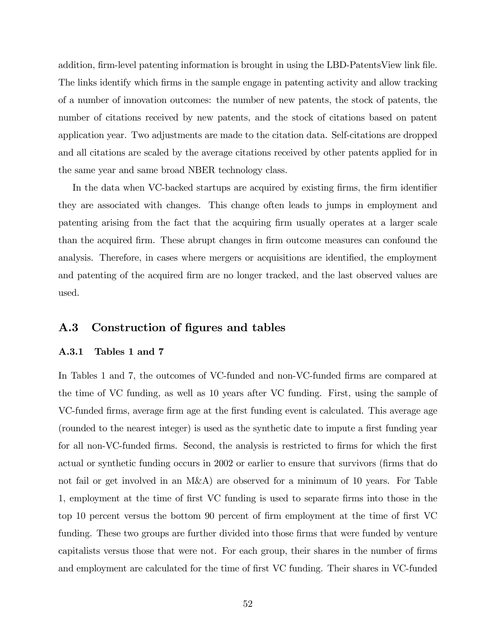addition, firm-level patenting information is brought in using the LBD-PatentsView link file. The links identify which firms in the sample engage in patenting activity and allow tracking of a number of innovation outcomes: the number of new patents, the stock of patents, the number of citations received by new patents, and the stock of citations based on patent application year. Two adjustments are made to the citation data. Self-citations are dropped and all citations are scaled by the average citations received by other patents applied for in the same year and same broad NBER technology class.

In the data when VC-backed startups are acquired by existing firms, the firm identifier they are associated with changes. This change often leads to jumps in employment and patenting arising from the fact that the acquiring Örm usually operates at a larger scale than the acquired Örm. These abrupt changes in Örm outcome measures can confound the analysis. Therefore, in cases where mergers or acquisitions are identified, the employment and patenting of the acquired firm are no longer tracked, and the last observed values are used.

### A.3 Construction of figures and tables

### A.3.1 Tables 1 and 7

In Tables 1 and 7, the outcomes of VC-funded and non-VC-funded firms are compared at the time of VC funding, as well as 10 years after VC funding. First, using the sample of VC-funded firms, average firm age at the first funding event is calculated. This average age (rounded to the nearest integer) is used as the synthetic date to impute a first funding year for all non-VC-funded firms. Second, the analysis is restricted to firms for which the first actual or synthetic funding occurs in 2002 or earlier to ensure that survivors (firms that do not fail or get involved in an M&A) are observed for a minimum of 10 years. For Table 1, employment at the time of Örst VC funding is used to separate Örms into those in the top 10 percent versus the bottom 90 percent of firm employment at the time of first VC funding. These two groups are further divided into those firms that were funded by venture capitalists versus those that were not. For each group, their shares in the number of firms and employment are calculated for the time of first VC funding. Their shares in VC-funded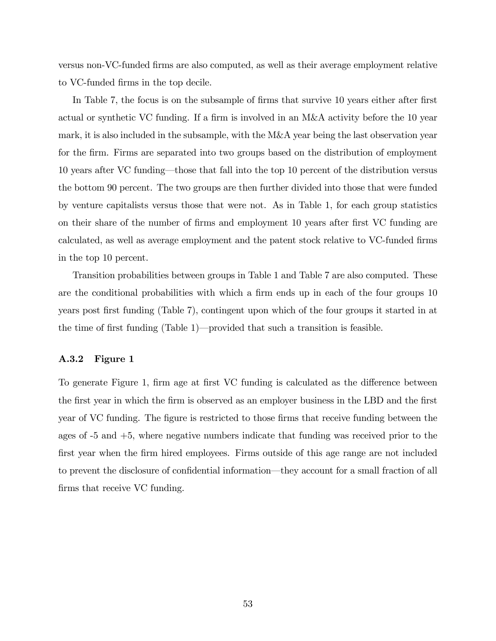versus non-VC-funded Örms are also computed, as well as their average employment relative to VC-funded firms in the top decile.

In Table 7, the focus is on the subsample of firms that survive 10 years either after first actual or synthetic VC funding. If a firm is involved in an M&A activity before the 10 year mark, it is also included in the subsample, with the M&A year being the last observation year for the firm. Firms are separated into two groups based on the distribution of employment 10 years after VC funding—those that fall into the top 10 percent of the distribution versus the bottom 90 percent. The two groups are then further divided into those that were funded by venture capitalists versus those that were not. As in Table 1, for each group statistics on their share of the number of firms and employment 10 years after first VC funding are calculated, as well as average employment and the patent stock relative to VC-funded firms in the top 10 percent.

Transition probabilities between groups in Table 1 and Table 7 are also computed. These are the conditional probabilities with which a firm ends up in each of the four groups 10 years post first funding (Table 7), contingent upon which of the four groups it started in at the time of first funding (Table 1)—provided that such a transition is feasible.

### A.3.2 Figure 1

To generate Figure 1, firm age at first VC funding is calculated as the difference between the first year in which the firm is observed as an employer business in the LBD and the first year of VC funding. The figure is restricted to those firms that receive funding between the ages of -5 and +5, where negative numbers indicate that funding was received prior to the first year when the firm hired employees. Firms outside of this age range are not included to prevent the disclosure of confidential information—they account for a small fraction of all firms that receive VC funding.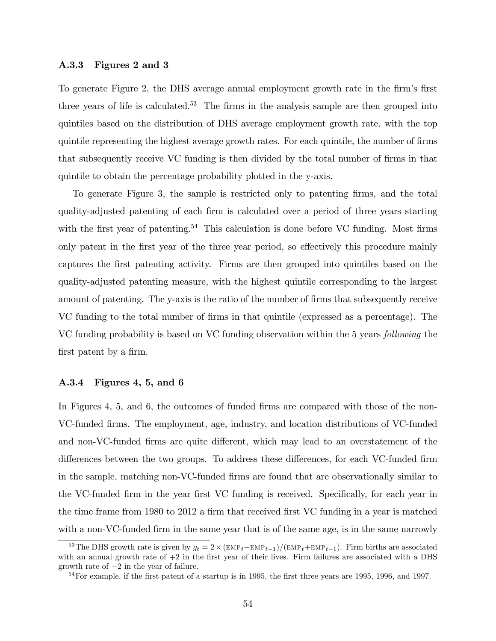### A.3.3 Figures 2 and 3

To generate Figure 2, the DHS average annual employment growth rate in the firm's first three years of life is calculated.<sup>53</sup> The firms in the analysis sample are then grouped into quintiles based on the distribution of DHS average employment growth rate, with the top quintile representing the highest average growth rates. For each quintile, the number of firms that subsequently receive VC funding is then divided by the total number of firms in that quintile to obtain the percentage probability plotted in the y-axis.

To generate Figure 3, the sample is restricted only to patenting firms, and the total quality-adjusted patenting of each Örm is calculated over a period of three years starting with the first year of patenting.<sup>54</sup> This calculation is done before VC funding. Most firms only patent in the first year of the three year period, so effectively this procedure mainly captures the Örst patenting activity. Firms are then grouped into quintiles based on the quality-adjusted patenting measure, with the highest quintile corresponding to the largest amount of patenting. The y-axis is the ratio of the number of firms that subsequently receive VC funding to the total number of firms in that quintile (expressed as a percentage). The VC funding probability is based on VC funding observation within the 5 years following the first patent by a firm.

### A.3.4 Figures 4, 5, and 6

In Figures 4, 5, and 6, the outcomes of funded firms are compared with those of the non-VC-funded Örms. The employment, age, industry, and location distributions of VC-funded and non-VC-funded firms are quite different, which may lead to an overstatement of the differences between the two groups. To address these differences, for each VC-funded firm in the sample, matching non-VC-funded firms are found that are observationally similar to the VC-funded firm in the year first VC funding is received. Specifically, for each year in the time frame from 1980 to 2012 a firm that received first VC funding in a year is matched with a non-VC-funded firm in the same year that is of the same age, is in the same narrowly

<sup>&</sup>lt;sup>53</sup>The DHS growth rate is given by  $g_t = 2 \times (\text{EMP}_t - \text{EMP}_{t-1})/(\text{EMP}_t + \text{EMP}_{t-1})$ . Firm births are associated with an annual growth rate of  $+2$  in the first year of their lives. Firm failures are associated with a DHS growth rate of  $-2$  in the year of failure.

 $54$  For example, if the first patent of a startup is in 1995, the first three years are 1995, 1996, and 1997.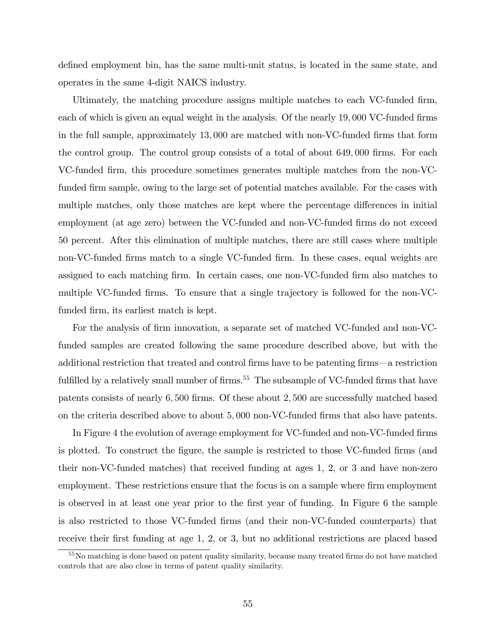defined employment bin, has the same multi-unit status, is located in the same state, and operates in the same 4-digit NAICS industry.

Ultimately, the matching procedure assigns multiple matches to each VC-funded firm, each of which is given an equal weight in the analysis. Of the nearly 19,000 VC-funded firms in the full sample, approximately  $13,000$  are matched with non-VC-funded firms that form the control group. The control group consists of a total of about 649,000 firms. For each VC-funded Örm, this procedure sometimes generates multiple matches from the non-VCfunded firm sample, owing to the large set of potential matches available. For the cases with multiple matches, only those matches are kept where the percentage differences in initial employment (at age zero) between the VC-funded and non-VC-funded firms do not exceed 50 percent. After this elimination of multiple matches, there are still cases where multiple non-VC-funded firms match to a single VC-funded firm. In these cases, equal weights are assigned to each matching firm. In certain cases, one non-VC-funded firm also matches to multiple VC-funded firms. To ensure that a single trajectory is followed for the non-VCfunded firm, its earliest match is kept.

For the analysis of firm innovation, a separate set of matched VC-funded and non-VCfunded samples are created following the same procedure described above, but with the additional restriction that treated and control firms have to be patenting firms—a restriction fulfilled by a relatively small number of firms.<sup>55</sup> The subsample of VC-funded firms that have patents consists of nearly  $6,500$  firms. Of these about 2,500 are successfully matched based on the criteria described above to about 5; 000 non-VC-funded Örms that also have patents.

In Figure 4 the evolution of average employment for VC-funded and non-VC-funded firms is plotted. To construct the figure, the sample is restricted to those VC-funded firms (and their non-VC-funded matches) that received funding at ages 1, 2, or 3 and have non-zero employment. These restrictions ensure that the focus is on a sample where firm employment is observed in at least one year prior to the first year of funding. In Figure 6 the sample is also restricted to those VC-funded Örms (and their non-VC-funded counterparts) that receive their first funding at age 1, 2, or 3, but no additional restrictions are placed based

<sup>&</sup>lt;sup>55</sup>No matching is done based on patent quality similarity, because many treated firms do not have matched controls that are also close in terms of patent quality similarity.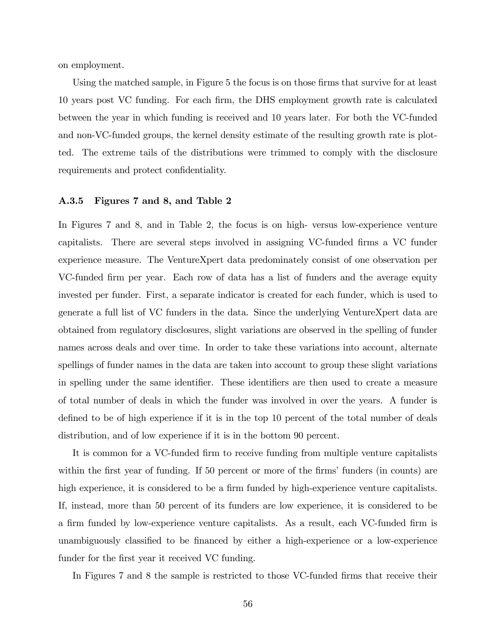on employment.

Using the matched sample, in Figure 5 the focus is on those firms that survive for at least 10 years post VC funding. For each Örm, the DHS employment growth rate is calculated between the year in which funding is received and 10 years later. For both the VC-funded and non-VC-funded groups, the kernel density estimate of the resulting growth rate is plotted. The extreme tails of the distributions were trimmed to comply with the disclosure requirements and protect confidentiality.

### A.3.5 Figures 7 and 8, and Table 2

In Figures 7 and 8, and in Table 2, the focus is on high- versus low-experience venture capitalists. There are several steps involved in assigning VC-funded firms a VC funder experience measure. The VentureXpert data predominately consist of one observation per VC-funded Örm per year. Each row of data has a list of funders and the average equity invested per funder. First, a separate indicator is created for each funder, which is used to generate a full list of VC funders in the data. Since the underlying VentureXpert data are obtained from regulatory disclosures, slight variations are observed in the spelling of funder names across deals and over time. In order to take these variations into account, alternate spellings of funder names in the data are taken into account to group these slight variations in spelling under the same identifier. These identifiers are then used to create a measure of total number of deals in which the funder was involved in over the years. A funder is defined to be of high experience if it is in the top 10 percent of the total number of deals distribution, and of low experience if it is in the bottom 90 percent.

It is common for a VC-funded firm to receive funding from multiple venture capitalists within the first year of funding. If 50 percent or more of the firms' funders (in counts) are high experience, it is considered to be a firm funded by high-experience venture capitalists. If, instead, more than 50 percent of its funders are low experience, it is considered to be a firm funded by low-experience venture capitalists. As a result, each VC-funded firm is unambiguously classified to be financed by either a high-experience or a low-experience funder for the first year it received VC funding.

In Figures 7 and 8 the sample is restricted to those VC-funded firms that receive their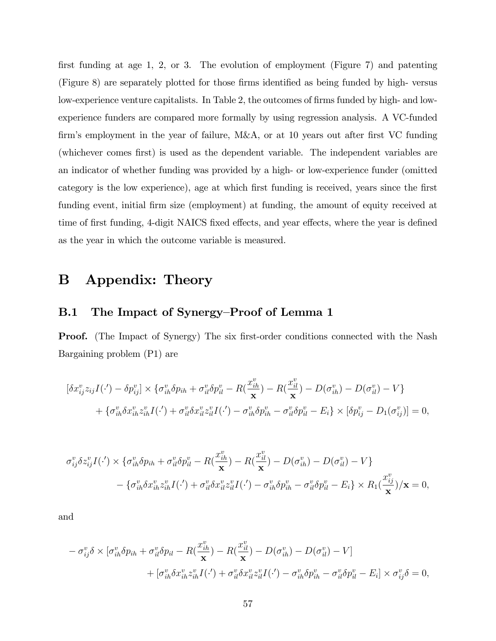first funding at age 1, 2, or 3. The evolution of employment (Figure 7) and patenting (Figure 8) are separately plotted for those firms identified as being funded by high-versus low-experience venture capitalists. In Table 2, the outcomes of firms funded by high- and lowexperience funders are compared more formally by using regression analysis. A VC-funded firm's employment in the year of failure, M&A, or at 10 years out after first VC funding (whichever comes first) is used as the dependent variable. The independent variables are an indicator of whether funding was provided by a high- or low-experience funder (omitted category is the low experience), age at which first funding is received, years since the first funding event, initial firm size (employment) at funding, the amount of equity received at time of first funding, 4-digit NAICS fixed effects, and year effects, where the year is defined as the year in which the outcome variable is measured.

## B Appendix: Theory

### B.1 The Impact of Synergy–Proof of Lemma 1

**Proof.** (The Impact of Synergy) The six first-order conditions connected with the Nash Bargaining problem (P1) are

$$
[\delta x_{ij}^{v} z_{ij} I(\cdot') - \delta p_{ij}^{v}] \times \{ \sigma_{ih}^{v} \delta p_{ih} + \sigma_{il}^{v} \delta p_{il}^{v} - R(\frac{x_{ih}^{v}}{x}) - R(\frac{x_{il}^{v}}{x}) - D(\sigma_{ih}^{v}) - D(\sigma_{il}^{v}) - V \} + \{ \sigma_{ih}^{v} \delta x_{ih}^{v} z_{ih}^{v} I(\cdot') + \sigma_{il}^{v} \delta x_{il}^{v} z_{il}^{v} I(\cdot') - \sigma_{ih}^{v} \delta p_{ih}^{v} - \sigma_{il}^{v} \delta p_{il}^{v} - E_{i} \} \times [\delta p_{ij}^{v} - D(\sigma_{ij}^{v})] = 0,
$$

$$
\sigma_{ij}^v \delta z_{ij}^v I(\cdot') \times \{ \sigma_{ih}^v \delta p_{ih} + \sigma_{il}^v \delta p_{il}^v - R(\frac{x_{ih}^v}{\mathbf{x}}) - R(\frac{x_{il}^v}{\mathbf{x}}) - D(\sigma_{ih}^v) - D(\sigma_{il}^v) - V \} - \{ \sigma_{ih}^v \delta x_{ih}^v z_{ih}^v I(\cdot') + \sigma_{il}^v \delta x_{il}^v z_{il}^v I(\cdot') - \sigma_{ih}^v \delta p_{ih}^v - \sigma_{il}^v \delta p_{il}^v - E_i \} \times R_1(\frac{x_{ij}^v}{\mathbf{x}})/\mathbf{x} = 0,
$$

and

$$
- \sigma_{ij}^v \delta \times [\sigma_{ih}^v \delta p_{ih} + \sigma_{il}^v \delta p_{il} - R(\frac{x_{ih}^v}{\mathbf{x}}) - R(\frac{x_{il}^v}{\mathbf{x}}) - D(\sigma_{ih}^v) - D(\sigma_{il}^v) - V] + [\sigma_{ih}^v \delta x_{ih}^v z_{ih}^v I(\cdot') + \sigma_{il}^v \delta x_{il}^v z_{il}^v I(\cdot') - \sigma_{ih}^v \delta p_{ih}^v - \sigma_{il}^v \delta p_{il}^v - E_i] \times \sigma_{ij}^v \delta = 0,
$$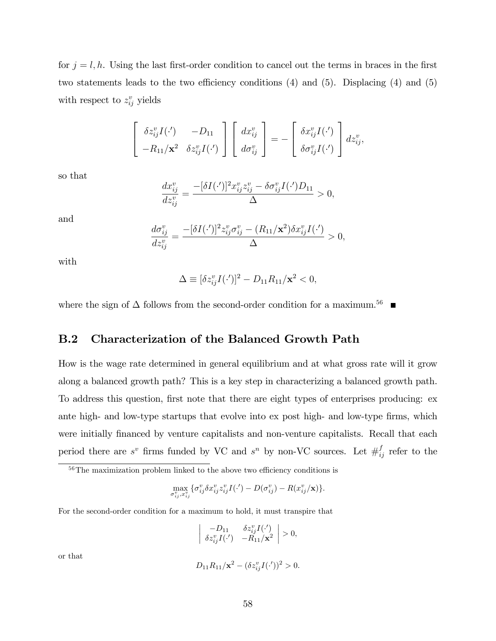for  $j = l, h$ . Using the last first-order condition to cancel out the terms in braces in the first two statements leads to the two efficiency conditions  $(4)$  and  $(5)$ . Displacing  $(4)$  and  $(5)$ with respect to  $z_{ij}^v$  yields

$$
\begin{bmatrix}\n\delta z_{ij}^v I(\cdot'') & -D_{11} \\
-R_{11}/\mathbf{x}^2 & \delta z_{ij}^v I(\cdot')\n\end{bmatrix}\n\begin{bmatrix}\ndx_{ij}^v \\
d\sigma_{ij}^v\n\end{bmatrix} = -\begin{bmatrix}\n\delta x_{ij}^v I(\cdot') \\
\delta \sigma_{ij}^v I(\cdot')\n\end{bmatrix} dz_{ij}^v,
$$

so that

$$
\frac{dx_{ij}^v}{dz_{ij}^v} = \frac{-[\delta I(\cdot')]^2 x_{ij}^v z_{ij}^v - \delta \sigma_{ij}^v I(\cdot')D_{11}}{\Delta} > 0,
$$

and

$$
\frac{d\sigma_{ij}^v}{dz_{ij}^v} = \frac{-[\delta I(\cdot')]^2 z_{ij}^v \sigma_{ij}^v - (R_{11}/\mathbf{x}^2) \delta x_{ij}^v I(\cdot')}{\Delta} > 0,
$$

with

$$
\Delta \equiv [\delta z_{ij}^v I(\cdot')]^2 - D_{11} R_{11} / \mathbf{x}^2 < 0,
$$

where the sign of  $\Delta$  follows from the second-order condition for a maximum.<sup>56</sup>

## B.2 Characterization of the Balanced Growth Path

How is the wage rate determined in general equilibrium and at what gross rate will it grow along a balanced growth path? This is a key step in characterizing a balanced growth path. To address this question, first note that there are eight types of enterprises producing: ex ante high- and low-type startups that evolve into ex post high- and low-type firms, which were initially financed by venture capitalists and non-venture capitalists. Recall that each period there are  $s^v$  firms funded by VC and  $s^n$  by non-VC sources. Let  $\#_{ij}^f$  refer to the

$$
\max_{\sigma_{ij}^v, x_{ij}^v} \{\sigma_{ij}^v \delta x_{ij}^v z_{ij}^v I(\cdot') - D(\sigma_{ij}^v) - R(x_{ij}^v/\mathbf{x})\}.
$$

For the second-order condition for a maximum to hold, it must transpire that

$$
\left| \begin{array}{cc} -D_{11} & \delta z_{ij}^v I(\cdot') \\ \delta z_{ij}^v I(\cdot') & -R_{11}/\mathbf{x}^2 \end{array} \right| > 0,
$$

or that

$$
D_{11}R_{11}/\mathbf{x}^2 - (\delta z_{ij}^v I(\cdot'))^2 > 0.
$$

 $56$ The maximization problem linked to the above two efficiency conditions is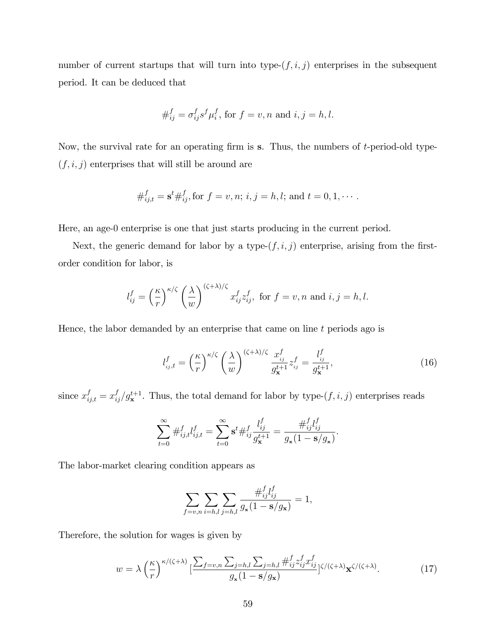number of current startups that will turn into type- $(f, i, j)$  enterprises in the subsequent period. It can be deduced that

$$
\#_{ij}^f=\sigma_{ij}^fs^f\mu_i^f\text{, for }f=v,n\text{ and }i,j=h,l.
$$

Now, the survival rate for an operating firm is  $s$ . Thus, the numbers of  $t$ -period-old type- $(f, i, j)$  enterprises that will still be around are

$$
\#_{ij,t}^f = \mathbf{s}^t \#_{ij}^f
$$
, for  $f = v, n$ ;  $i, j = h, l$ ; and  $t = 0, 1, \cdots$ .

Here, an age-0 enterprise is one that just starts producing in the current period.

Next, the generic demand for labor by a type- $(f, i, j)$  enterprise, arising from the firstorder condition for labor, is

$$
l_{ij}^f = \left(\frac{\kappa}{r}\right)^{\kappa/\zeta} \left(\frac{\lambda}{w}\right)^{(\zeta+\lambda)/\zeta} x_{ij}^f z_{ij}^f, \text{ for } f = v, n \text{ and } i, j = h, l.
$$

Hence, the labor demanded by an enterprise that came on line  $t$  periods ago is

$$
l_{ij,t}^f = \left(\frac{\kappa}{r}\right)^{\kappa/\zeta} \left(\frac{\lambda}{w}\right)^{(\zeta+\lambda)/\zeta} \frac{x_{ij}^f}{g_{\mathbf{x}}^{t+1}} z_{ij}^f = \frac{l_{ij}^f}{g_{\mathbf{x}}^{t+1}},\tag{16}
$$

since  $x_{ij,t}^f = x_{ij}^f / g_{\mathbf{x}}^{t+1}$ . Thus, the total demand for labor by type- $(f, i, j)$  enterprises reads

$$
\sum_{t=0}^{\infty} \#_{ij,t}^f l_{ij,t}^f = \sum_{t=0}^{\infty} \mathbf{s}^t \#_{ij}^f \frac{l_{ij}^f}{g_{\mathbf{x}}^{t+1}} = \frac{\#_{ij}^f l_{ij}^f}{g_{\mathbf{x}} (1 - \mathbf{s}/g_{\mathbf{x}})}.
$$

The labor-market clearing condition appears as

$$
\sum_{f=v,n}\sum_{i=h,l}\sum_{j=h,l}\frac{\#_{ij}^f l_{ij}^f}{g_{\mathbf{x}}(1-\mathbf{s}/g_{\mathbf{x}})}=1,
$$

Therefore, the solution for wages is given by

$$
w = \lambda \left(\frac{\kappa}{r}\right)^{\kappa/(\zeta+\lambda)} \left[\frac{\sum_{f=v,n} \sum_{j=h,l} \sum_{j=h,l} \#_{ij}^f z_{ij}^f x_{ij}^f}{g_x (1 - \mathbf{s}/g_\mathbf{x})}\right] \zeta/(\zeta+\lambda) \mathbf{x}^{\zeta/(\zeta+\lambda)}.\tag{17}
$$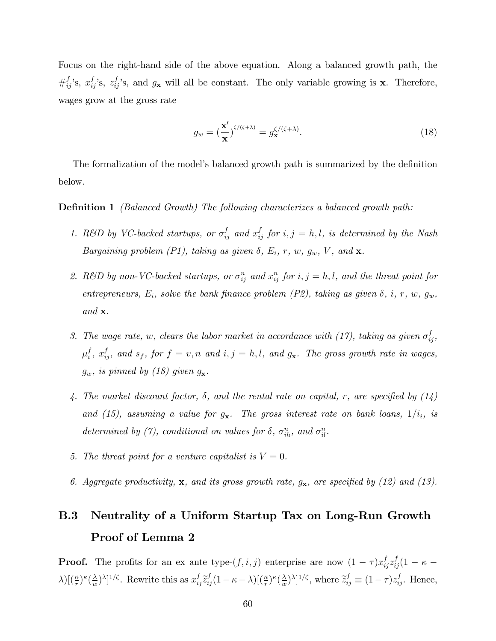Focus on the right-hand side of the above equation. Along a balanced growth path, the  $\#_{ij}^{f}$ 's,  $x_{ij}^{f}$ 's,  $z_{ij}^{f}$ 's, and  $g_{\mathbf{x}}$  will all be constant. The only variable growing is **x**. Therefore, wages grow at the gross rate

$$
g_w = \left(\frac{\mathbf{x}'}{\mathbf{x}}\right)^{\zeta/(\zeta+\lambda)} = g_\mathbf{x}^{\zeta/(\zeta+\lambda)}.\tag{18}
$$

The formalization of the model's balanced growth path is summarized by the definition below.

### **Definition 1** (Balanced Growth) The following characterizes a balanced growth path:

- 1. R&D by VC-backed startups, or  $\sigma_{ij}^f$  and  $x_{ij}^f$  for  $i, j = h, l$ , is determined by the Nash Bargaining problem (P1), taking as given  $\delta$ ,  $E_i$ , r, w,  $g_w$ , V, and **x**.
- 2. R&D by non-VC-backed startups, or  $\sigma_{ij}^n$  and  $x_{ij}^n$  for  $i, j = h, l$ , and the threat point for entrepreneurs,  $E_i$ , solve the bank finance problem (P2), taking as given  $\delta$ , i, r, w,  $g_w$ , and  $\mathbf{x}$ .
- 3. The wage rate, w, clears the labor market in accordance with (17), taking as given  $\sigma_{ij}^f$ ,  $\mu_i^f$  $i<sup>f</sup>$ ,  $x<sup>f</sup>_{ij}$ , and  $s<sub>f</sub>$ , for  $f = v, n$  and  $i, j = h, l$ , and  $g<sub>x</sub>$ . The gross growth rate in wages,  $g_w$ , is pinned by (18) given  $g_x$ .
- 4. The market discount factor,  $\delta$ , and the rental rate on capital, r, are specified by (14) and (15), assuming a value for  $g_{\mathbf{x}}$ . The gross interest rate on bank loans,  $1/i_i$ , is determined by (7), conditional on values for  $\delta$ ,  $\sigma_{ih}^n$ , and  $\sigma_{il}^n$ .
- 5. The threat point for a venture capitalist is  $V = 0$ .
- 6. Aggregate productivity,  $x$ , and its gross growth rate,  $g_x$ , are specified by (12) and (13).

## B.3 Neutrality of a Uniform Startup Tax on Long-Run Growth-Proof of Lemma 2

**Proof.** The profits for an ex ante type- $(f, i, j)$  enterprise are now  $(1 - \tau)x_{ij}^f z_{ij}^f (1 - \kappa \lambda)$ [ $(\frac{\kappa}{r})^{\kappa}(\frac{\lambda}{w})$  $\frac{\lambda}{w}$ )<sup> $\lambda$ </sup>]<sup>1/ $\zeta$ </sup>. Rewrite this as  $x_{ij}^f \tilde{z}_{ij}^f (1 - \kappa - \lambda) \left[ \left( \frac{\kappa}{r} \right)^{\kappa} \left( \frac{\lambda}{w} \right)^{\kappa} \right]$  $(\frac{\lambda}{w})^{\lambda}]^{1/\zeta}$ , where  $\tilde{z}_{ij}^f \equiv (1 - \tau) z_{ij}^f$ . Hence,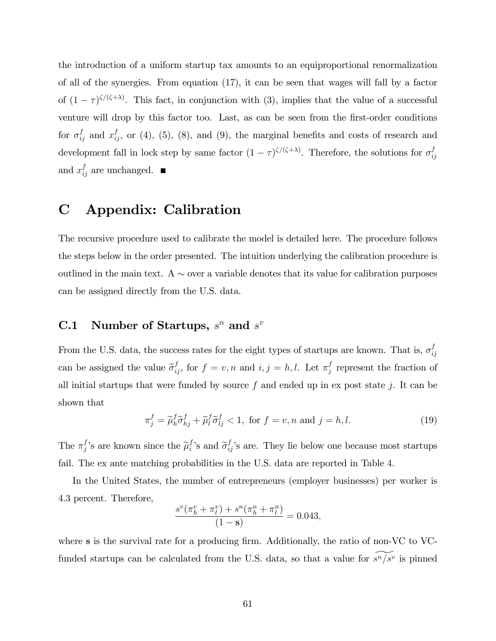the introduction of a uniform startup tax amounts to an equiproportional renormalization of all of the synergies. From equation (17), it can be seen that wages will fall by a factor of  $(1 - \tau)^{\zeta/(\zeta + \lambda)}$ . This fact, in conjunction with (3), implies that the value of a successful venture will drop by this factor too. Last, as can be seen from the first-order conditions for  $\sigma_{ij}^f$  and  $x_{ij}^f$ , or (4), (5), (8), and (9), the marginal benefits and costs of research and development fall in lock step by same factor  $(1 - \tau)^{\zeta/(\zeta + \lambda)}$ . Therefore, the solutions for  $\sigma_i^f$ ij and  $x_{ij}^f$  are unchanged.

## C Appendix: Calibration

The recursive procedure used to calibrate the model is detailed here. The procedure follows the steps below in the order presented. The intuition underlying the calibration procedure is outlined in the main text.  $A \sim$  over a variable denotes that its value for calibration purposes can be assigned directly from the U.S. data.

## **C.1** Number of Startups,  $s^n$  and  $s^v$

From the U.S. data, the success rates for the eight types of startups are known. That is,  $\sigma_i^f$ ij can be assigned the value  $\tilde{\sigma}_{ij}^f$ , for  $f = v, n$  and  $i, j = h, l$ . Let  $\pi_j^f$  $j$  represent the fraction of all initial startups that were funded by source f and ended up in ex post state j. It can be shown that

$$
\pi_j^f = \widetilde{\mu}_h^f \widetilde{\sigma}_{hj}^f + \widetilde{\mu}_l^f \widetilde{\sigma}_{lj}^f < 1, \text{ for } f = v, n \text{ and } j = h, l. \tag{19}
$$

The  $\pi_j^f$ 's are known since the  $\tilde{\mu}_i^f$ 's and  $\tilde{\sigma}_{ij}^f$ 's are. They lie below one because most startups fail. The ex ante matching probabilities in the U.S. data are reported in Table 4.

In the United States, the number of entrepreneurs (employer businesses) per worker is 4.3 percent. Therefore,

$$
\frac{s^v(\pi_h^v + \pi_l^v) + s^n(\pi_h^n + \pi_l^n)}{(1 - \mathbf{s})} = 0.043,
$$

where s is the survival rate for a producing firm. Additionally, the ratio of non-VC to VCfunded startups can be calculated from the U.S. data, so that a value for  $s^n/s^v$  is pinned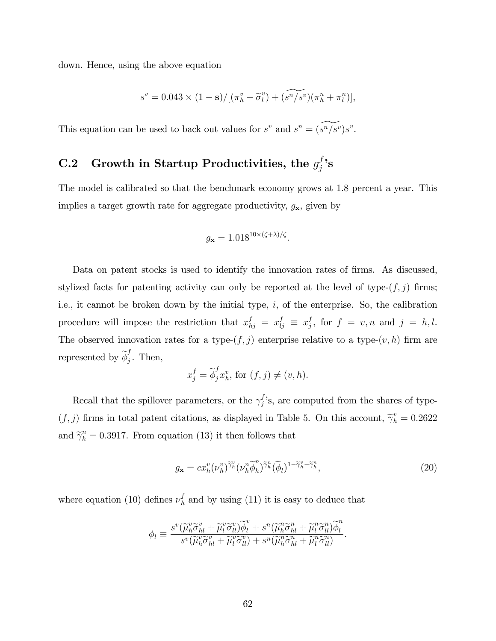down. Hence, using the above equation

$$
s^{v} = 0.043 \times (1 - \mathbf{s})/[(\pi_h^v + \widetilde{\sigma}_l^v) + (\widetilde{s^n/s^v})(\pi_h^n + \pi_l^n)],
$$

This equation can be used to back out values for  $s^v$  and  $s^n = (s^n/s^v)s^v$ .

# C.2 Growth in Startup Productivities, the  $g_j^f$ 's

The model is calibrated so that the benchmark economy grows at 1.8 percent a year. This implies a target growth rate for aggregate productivity,  $g_{\mathbf{x}}$ , given by

$$
g_{\mathbf{x}} = 1.018^{10 \times (\zeta + \lambda)/\zeta}.
$$

Data on patent stocks is used to identify the innovation rates of firms. As discussed, stylized facts for patenting activity can only be reported at the level of type- $(f, j)$  firms; i.e., it cannot be broken down by the initial type,  $i$ , of the enterprise. So, the calibration procedure will impose the restriction that  $x_{hj}^f = x_{lj}^f \equiv x_j^f$  $j<sup>J</sup>$ , for  $f = v, n$  and  $j = h, l$ . The observed innovation rates for a type- $(f, j)$  enterprise relative to a type- $(v, h)$  firm are represented by  $\widetilde{\phi}_j^f$  $j$ . Then,

$$
x_j^f = \widetilde{\phi}_j^f x_h^v, \text{ for } (f, j) \neq (v, h).
$$

Recall that the spillover parameters, or the  $\gamma_j^f$ 's, are computed from the shares of type- $(f, j)$  firms in total patent citations, as displayed in Table 5. On this account,  $\tilde{\gamma}_h^v = 0.2622$ and  $\tilde{\gamma}_h^n = 0.3917$ . From equation (13) it then follows that

$$
g_{\mathbf{x}} = c x_h^v (\nu_h^v)^{\widetilde{\gamma}_h^v} (\nu_h^n \widetilde{\phi}_h^n)^{\widetilde{\gamma}_h^n} (\widetilde{\phi}_l)^{1 - \widetilde{\gamma}_h^v - \widetilde{\gamma}_h^n},\tag{20}
$$

where equation (10) defines  $\nu_h^f$  $\frac{J}{h}$  and by using (11) it is easy to deduce that

$$
\phi_l \equiv \frac{s^v(\widetilde{\mu}_h^v \widetilde{\sigma}_{hl}^v + \widetilde{\mu}_l^v \widetilde{\sigma}_{ll}^v)\widetilde{\phi}_l^v + s^u(\widetilde{\mu}_h^n \widetilde{\sigma}_{hl}^n + \widetilde{\mu}_l^n \widetilde{\sigma}_{ll}^n)\widetilde{\phi}_l^n}{s^v(\widetilde{\mu}_h^v \widetilde{\sigma}_{hl}^v + \widetilde{\mu}_l^v \widetilde{\sigma}_{ll}^v) + s^u(\widetilde{\mu}_h^n \widetilde{\sigma}_{hl}^n + \widetilde{\mu}_l^n \widetilde{\sigma}_{ll}^n)}.
$$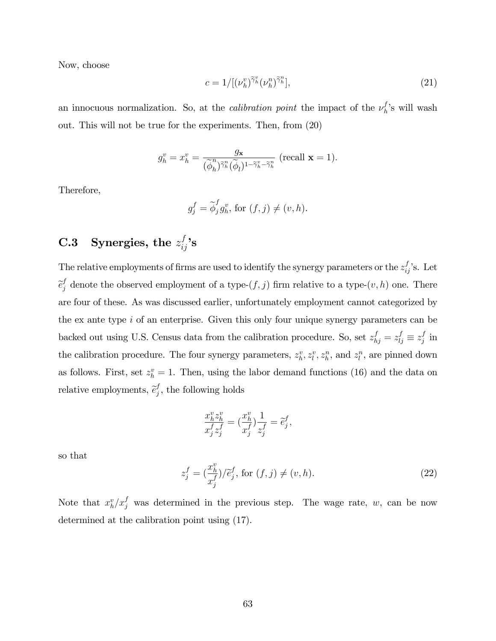Now, choose

$$
c = 1/[(\nu_h^v)^{\widetilde{\gamma}_h^v}(\nu_h^n)^{\widetilde{\gamma}_h^n}],\tag{21}
$$

an innocuous normalization. So, at the *calibration point* the impact of the  $\nu_h^f$  $\binom{J}{h}$ 's will wash out. This will not be true for the experiments. Then, from (20)

$$
g_h^v = x_h^v = \frac{g_{\mathbf{x}}}{(\widetilde{\phi}_h^n)^{\widetilde{\gamma}_h^n}(\widetilde{\phi}_l)^{1-\widetilde{\gamma}_h^v-\widetilde{\gamma}_h^n}} \text{ (recall } \mathbf{x} = 1\text{).}
$$

Therefore,

$$
g_j^f = \widetilde{\phi}_j^f g_h^v, \text{ for } (f, j) \neq (v, h).
$$

# C.3 Synergies, the  $z_{ij}^f$ 's

The relative employments of firms are used to identify the synergy parameters or the  $z_{ij}^f$ 's. Let  $\widetilde{e}_j^f$  denote the observed employment of a type- $(f, j)$  firm relative to a type- $(v, h)$  one. There are four of these. As was discussed earlier, unfortunately employment cannot categorized by the ex ante type i of an enterprise. Given this only four unique synergy parameters can be backed out using U.S. Census data from the calibration procedure. So, set  $z_{hj}^f = z_{lj}^f \equiv z_j^f$  $j$  in the calibration procedure. The four synergy parameters,  $z_k^v, z_l^v, z_h^n$ , and  $z_l^n$ , are pinned down as follows. First, set  $z_h^v = 1$ . Then, using the labor demand functions (16) and the data on relative employments,  $\tilde{e}_j^f$  $j<sub>j</sub>$ , the following holds

$$
\frac{x_h^v z_h^v}{x_j^f z_j^f} = \left(\frac{x_h^v}{x_j^f}\right) \frac{1}{z_j^f} = \tilde{e}_j^f,
$$

so that

$$
z_j^f = \left(\frac{x_h^v}{x_j^f}\right)/\tilde{e}_j^f, \text{ for } (f, j) \neq (v, h). \tag{22}
$$

Note that  $x_h^v/x_j^f$  was determined in the previous step. The wage rate, w, can be now determined at the calibration point using (17).